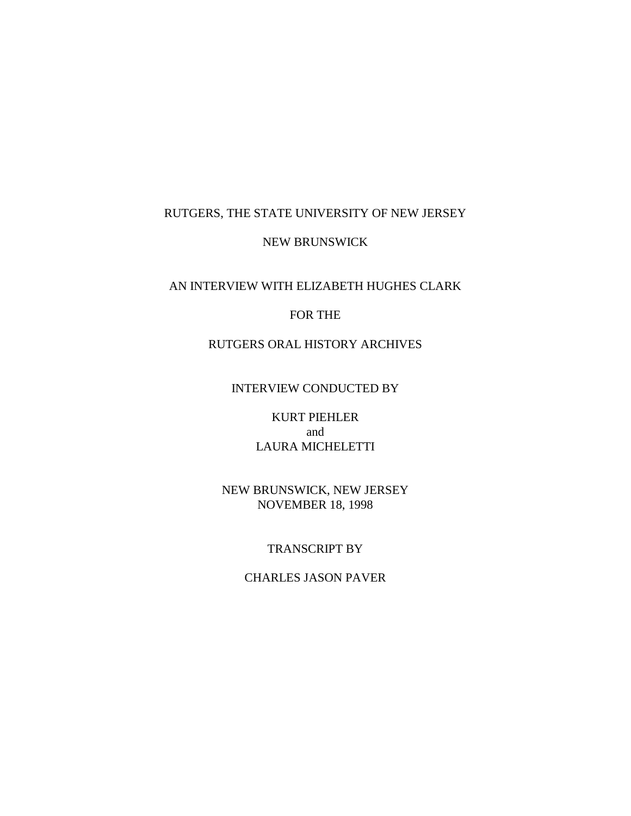## RUTGERS, THE STATE UNIVERSITY OF NEW JERSEY

#### NEW BRUNSWICK

# AN INTERVIEW WITH ELIZABETH HUGHES CLARK

## FOR THE

## RUTGERS ORAL HISTORY ARCHIVES

## INTERVIEW CONDUCTED BY

## KURT PIEHLER and LAURA MICHELETTI

## NEW BRUNSWICK, NEW JERSEY NOVEMBER 18, 1998

#### TRANSCRIPT BY

## CHARLES JASON PAVER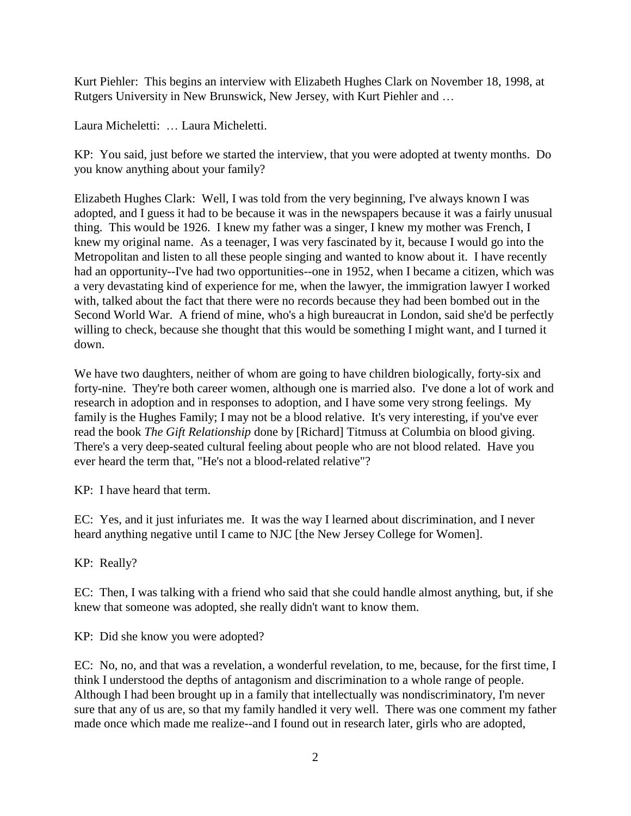Kurt Piehler: This begins an interview with Elizabeth Hughes Clark on November 18, 1998, at Rutgers University in New Brunswick, New Jersey, with Kurt Piehler and …

Laura Micheletti: … Laura Micheletti.

KP: You said, just before we started the interview, that you were adopted at twenty months. Do you know anything about your family?

Elizabeth Hughes Clark: Well, I was told from the very beginning, I've always known I was adopted, and I guess it had to be because it was in the newspapers because it was a fairly unusual thing. This would be 1926. I knew my father was a singer, I knew my mother was French, I knew my original name. As a teenager, I was very fascinated by it, because I would go into the Metropolitan and listen to all these people singing and wanted to know about it. I have recently had an opportunity--I've had two opportunities--one in 1952, when I became a citizen, which was a very devastating kind of experience for me, when the lawyer, the immigration lawyer I worked with, talked about the fact that there were no records because they had been bombed out in the Second World War. A friend of mine, who's a high bureaucrat in London, said she'd be perfectly willing to check, because she thought that this would be something I might want, and I turned it down.

We have two daughters, neither of whom are going to have children biologically, forty-six and forty-nine. They're both career women, although one is married also. I've done a lot of work and research in adoption and in responses to adoption, and I have some very strong feelings. My family is the Hughes Family; I may not be a blood relative. It's very interesting, if you've ever read the book *The Gift Relationship* done by [Richard] Titmuss at Columbia on blood giving. There's a very deep-seated cultural feeling about people who are not blood related. Have you ever heard the term that, "He's not a blood-related relative"?

KP: I have heard that term.

EC: Yes, and it just infuriates me. It was the way I learned about discrimination, and I never heard anything negative until I came to NJC [the New Jersey College for Women].

KP: Really?

EC: Then, I was talking with a friend who said that she could handle almost anything, but, if she knew that someone was adopted, she really didn't want to know them.

KP: Did she know you were adopted?

EC: No, no, and that was a revelation, a wonderful revelation, to me, because, for the first time, I think I understood the depths of antagonism and discrimination to a whole range of people. Although I had been brought up in a family that intellectually was nondiscriminatory, I'm never sure that any of us are, so that my family handled it very well. There was one comment my father made once which made me realize--and I found out in research later, girls who are adopted,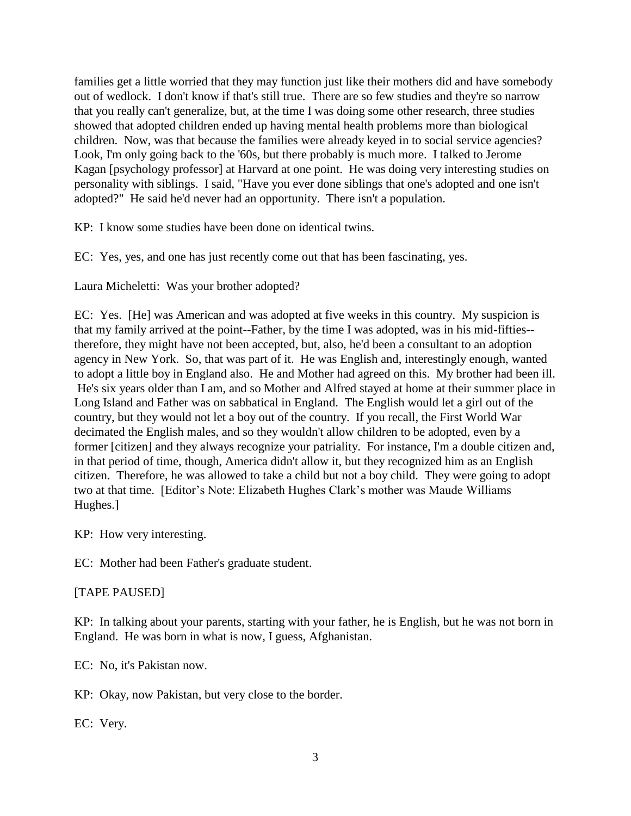families get a little worried that they may function just like their mothers did and have somebody out of wedlock. I don't know if that's still true. There are so few studies and they're so narrow that you really can't generalize, but, at the time I was doing some other research, three studies showed that adopted children ended up having mental health problems more than biological children. Now, was that because the families were already keyed in to social service agencies? Look, I'm only going back to the '60s, but there probably is much more. I talked to Jerome Kagan [psychology professor] at Harvard at one point. He was doing very interesting studies on personality with siblings. I said, "Have you ever done siblings that one's adopted and one isn't adopted?" He said he'd never had an opportunity. There isn't a population.

KP: I know some studies have been done on identical twins.

EC: Yes, yes, and one has just recently come out that has been fascinating, yes.

Laura Micheletti: Was your brother adopted?

EC: Yes. [He] was American and was adopted at five weeks in this country. My suspicion is that my family arrived at the point--Father, by the time I was adopted, was in his mid-fifties- therefore, they might have not been accepted, but, also, he'd been a consultant to an adoption agency in New York. So, that was part of it. He was English and, interestingly enough, wanted to adopt a little boy in England also. He and Mother had agreed on this. My brother had been ill. He's six years older than I am, and so Mother and Alfred stayed at home at their summer place in Long Island and Father was on sabbatical in England. The English would let a girl out of the country, but they would not let a boy out of the country. If you recall, the First World War decimated the English males, and so they wouldn't allow children to be adopted, even by a former [citizen] and they always recognize your patriality. For instance, I'm a double citizen and, in that period of time, though, America didn't allow it, but they recognized him as an English citizen. Therefore, he was allowed to take a child but not a boy child. They were going to adopt two at that time. [Editor's Note: Elizabeth Hughes Clark's mother was Maude Williams Hughes.]

KP: How very interesting.

EC: Mother had been Father's graduate student.

## [TAPE PAUSED]

KP: In talking about your parents, starting with your father, he is English, but he was not born in England. He was born in what is now, I guess, Afghanistan.

EC: No, it's Pakistan now.

KP: Okay, now Pakistan, but very close to the border.

EC: Very.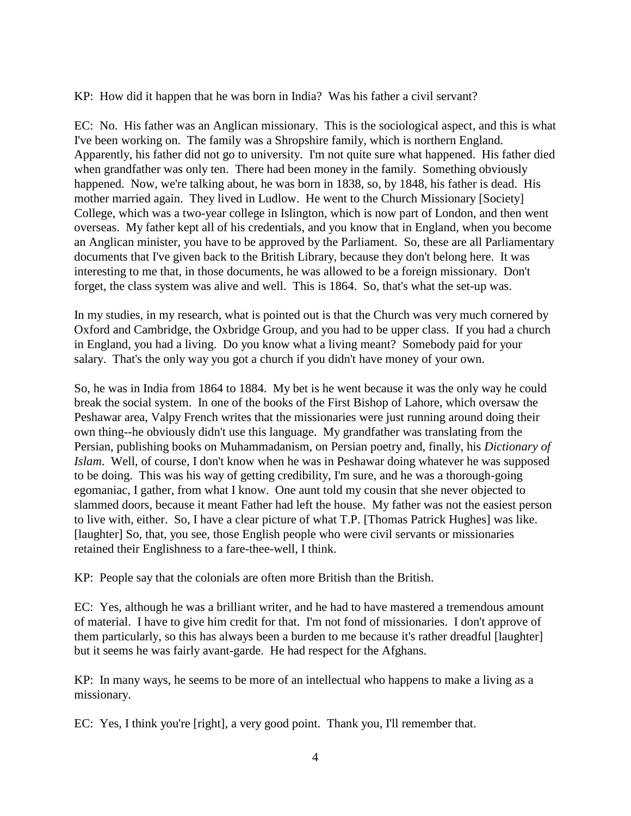KP: How did it happen that he was born in India? Was his father a civil servant?

EC: No. His father was an Anglican missionary. This is the sociological aspect, and this is what I've been working on. The family was a Shropshire family, which is northern England. Apparently, his father did not go to university. I'm not quite sure what happened. His father died when grandfather was only ten. There had been money in the family. Something obviously happened. Now, we're talking about, he was born in 1838, so, by 1848, his father is dead. His mother married again. They lived in Ludlow. He went to the Church Missionary [Society] College, which was a two-year college in Islington, which is now part of London, and then went overseas. My father kept all of his credentials, and you know that in England, when you become an Anglican minister, you have to be approved by the Parliament. So, these are all Parliamentary documents that I've given back to the British Library, because they don't belong here. It was interesting to me that, in those documents, he was allowed to be a foreign missionary. Don't forget, the class system was alive and well. This is 1864. So, that's what the set-up was.

In my studies, in my research, what is pointed out is that the Church was very much cornered by Oxford and Cambridge, the Oxbridge Group, and you had to be upper class. If you had a church in England, you had a living. Do you know what a living meant? Somebody paid for your salary. That's the only way you got a church if you didn't have money of your own.

So, he was in India from 1864 to 1884. My bet is he went because it was the only way he could break the social system. In one of the books of the First Bishop of Lahore, which oversaw the Peshawar area, Valpy French writes that the missionaries were just running around doing their own thing--he obviously didn't use this language. My grandfather was translating from the Persian, publishing books on Muhammadanism, on Persian poetry and, finally, his *Dictionary of Islam*. Well, of course, I don't know when he was in Peshawar doing whatever he was supposed to be doing. This was his way of getting credibility, I'm sure, and he was a thorough-going egomaniac, I gather, from what I know. One aunt told my cousin that she never objected to slammed doors, because it meant Father had left the house. My father was not the easiest person to live with, either. So, I have a clear picture of what T.P. [Thomas Patrick Hughes] was like. [laughter] So, that, you see, those English people who were civil servants or missionaries retained their Englishness to a fare-thee-well, I think.

KP: People say that the colonials are often more British than the British.

EC: Yes, although he was a brilliant writer, and he had to have mastered a tremendous amount of material. I have to give him credit for that. I'm not fond of missionaries. I don't approve of them particularly, so this has always been a burden to me because it's rather dreadful [laughter] but it seems he was fairly avant-garde. He had respect for the Afghans.

KP: In many ways, he seems to be more of an intellectual who happens to make a living as a missionary.

EC: Yes, I think you're [right], a very good point. Thank you, I'll remember that.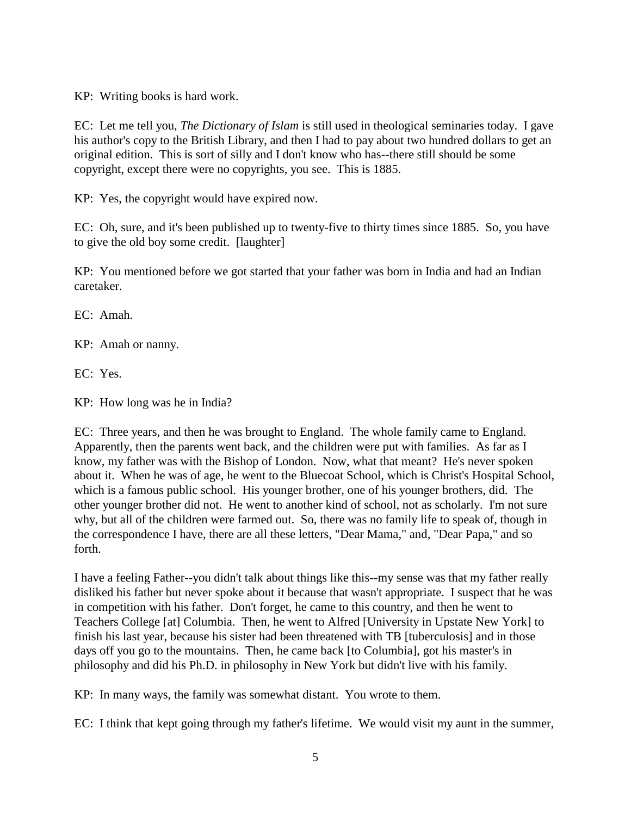KP: Writing books is hard work.

EC: Let me tell you, *The Dictionary of Islam* is still used in theological seminaries today. I gave his author's copy to the British Library, and then I had to pay about two hundred dollars to get an original edition. This is sort of silly and I don't know who has--there still should be some copyright, except there were no copyrights, you see. This is 1885.

KP: Yes, the copyright would have expired now.

EC: Oh, sure, and it's been published up to twenty-five to thirty times since 1885. So, you have to give the old boy some credit. [laughter]

KP: You mentioned before we got started that your father was born in India and had an Indian caretaker.

EC: Amah.

KP: Amah or nanny.

EC: Yes.

KP: How long was he in India?

EC: Three years, and then he was brought to England. The whole family came to England. Apparently, then the parents went back, and the children were put with families. As far as I know, my father was with the Bishop of London. Now, what that meant? He's never spoken about it. When he was of age, he went to the Bluecoat School, which is Christ's Hospital School, which is a famous public school. His younger brother, one of his younger brothers, did. The other younger brother did not. He went to another kind of school, not as scholarly. I'm not sure why, but all of the children were farmed out. So, there was no family life to speak of, though in the correspondence I have, there are all these letters, "Dear Mama," and, "Dear Papa," and so forth.

I have a feeling Father--you didn't talk about things like this--my sense was that my father really disliked his father but never spoke about it because that wasn't appropriate. I suspect that he was in competition with his father. Don't forget, he came to this country, and then he went to Teachers College [at] Columbia. Then, he went to Alfred [University in Upstate New York] to finish his last year, because his sister had been threatened with TB [tuberculosis] and in those days off you go to the mountains. Then, he came back [to Columbia], got his master's in philosophy and did his Ph.D. in philosophy in New York but didn't live with his family.

KP: In many ways, the family was somewhat distant. You wrote to them.

EC: I think that kept going through my father's lifetime. We would visit my aunt in the summer,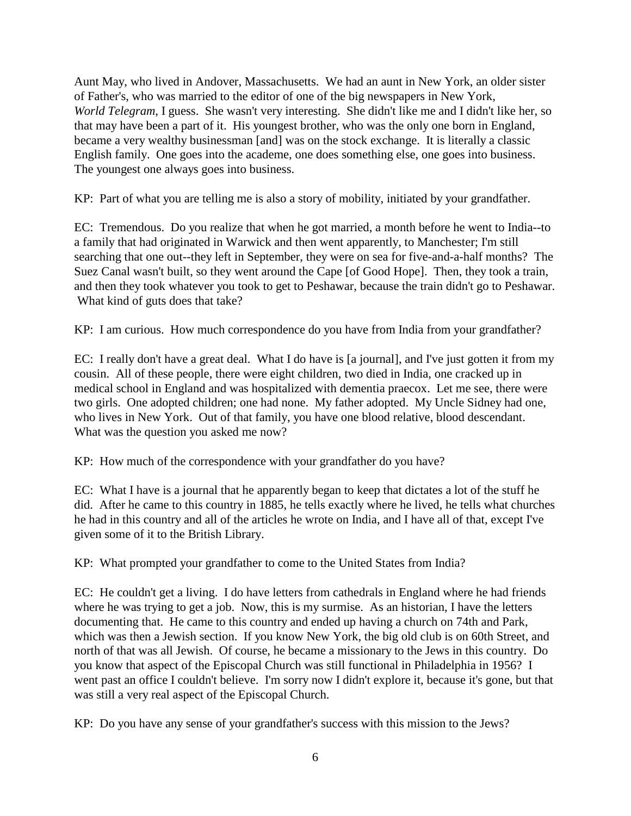Aunt May, who lived in Andover, Massachusetts. We had an aunt in New York, an older sister of Father's, who was married to the editor of one of the big newspapers in New York, *World Telegram*, I guess. She wasn't very interesting. She didn't like me and I didn't like her, so that may have been a part of it. His youngest brother, who was the only one born in England, became a very wealthy businessman [and] was on the stock exchange. It is literally a classic English family. One goes into the academe, one does something else, one goes into business. The youngest one always goes into business.

KP: Part of what you are telling me is also a story of mobility, initiated by your grandfather.

EC: Tremendous. Do you realize that when he got married, a month before he went to India--to a family that had originated in Warwick and then went apparently, to Manchester; I'm still searching that one out--they left in September, they were on sea for five-and-a-half months? The Suez Canal wasn't built, so they went around the Cape [of Good Hope]. Then, they took a train, and then they took whatever you took to get to Peshawar, because the train didn't go to Peshawar. What kind of guts does that take?

KP: I am curious. How much correspondence do you have from India from your grandfather?

EC: I really don't have a great deal. What I do have is [a journal], and I've just gotten it from my cousin. All of these people, there were eight children, two died in India, one cracked up in medical school in England and was hospitalized with dementia praecox. Let me see, there were two girls. One adopted children; one had none. My father adopted. My Uncle Sidney had one, who lives in New York. Out of that family, you have one blood relative, blood descendant. What was the question you asked me now?

KP: How much of the correspondence with your grandfather do you have?

EC: What I have is a journal that he apparently began to keep that dictates a lot of the stuff he did. After he came to this country in 1885, he tells exactly where he lived, he tells what churches he had in this country and all of the articles he wrote on India, and I have all of that, except I've given some of it to the British Library.

KP: What prompted your grandfather to come to the United States from India?

EC: He couldn't get a living. I do have letters from cathedrals in England where he had friends where he was trying to get a job. Now, this is my surmise. As an historian, I have the letters documenting that. He came to this country and ended up having a church on 74th and Park, which was then a Jewish section. If you know New York, the big old club is on 60th Street, and north of that was all Jewish. Of course, he became a missionary to the Jews in this country. Do you know that aspect of the Episcopal Church was still functional in Philadelphia in 1956? I went past an office I couldn't believe. I'm sorry now I didn't explore it, because it's gone, but that was still a very real aspect of the Episcopal Church.

KP: Do you have any sense of your grandfather's success with this mission to the Jews?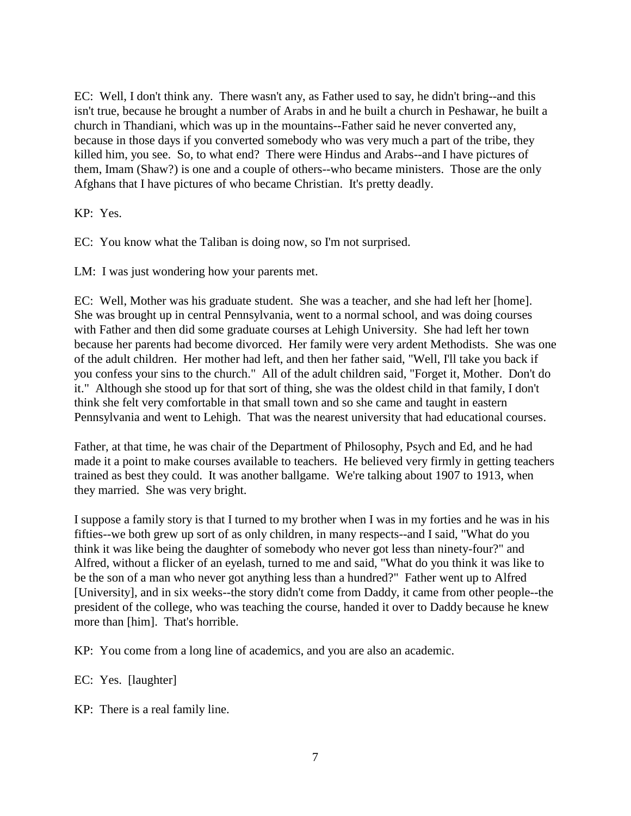EC: Well, I don't think any. There wasn't any, as Father used to say, he didn't bring--and this isn't true, because he brought a number of Arabs in and he built a church in Peshawar, he built a church in Thandiani, which was up in the mountains--Father said he never converted any, because in those days if you converted somebody who was very much a part of the tribe, they killed him, you see. So, to what end? There were Hindus and Arabs--and I have pictures of them, Imam (Shaw?) is one and a couple of others--who became ministers. Those are the only Afghans that I have pictures of who became Christian. It's pretty deadly.

KP: Yes.

EC: You know what the Taliban is doing now, so I'm not surprised.

LM: I was just wondering how your parents met.

EC: Well, Mother was his graduate student. She was a teacher, and she had left her [home]. She was brought up in central Pennsylvania, went to a normal school, and was doing courses with Father and then did some graduate courses at Lehigh University. She had left her town because her parents had become divorced. Her family were very ardent Methodists. She was one of the adult children. Her mother had left, and then her father said, "Well, I'll take you back if you confess your sins to the church." All of the adult children said, "Forget it, Mother. Don't do it." Although she stood up for that sort of thing, she was the oldest child in that family, I don't think she felt very comfortable in that small town and so she came and taught in eastern Pennsylvania and went to Lehigh. That was the nearest university that had educational courses.

Father, at that time, he was chair of the Department of Philosophy, Psych and Ed, and he had made it a point to make courses available to teachers. He believed very firmly in getting teachers trained as best they could. It was another ballgame. We're talking about 1907 to 1913, when they married. She was very bright.

I suppose a family story is that I turned to my brother when I was in my forties and he was in his fifties--we both grew up sort of as only children, in many respects--and I said, "What do you think it was like being the daughter of somebody who never got less than ninety-four?" and Alfred, without a flicker of an eyelash, turned to me and said, "What do you think it was like to be the son of a man who never got anything less than a hundred?" Father went up to Alfred [University], and in six weeks--the story didn't come from Daddy, it came from other people--the president of the college, who was teaching the course, handed it over to Daddy because he knew more than [him]. That's horrible.

KP: You come from a long line of academics, and you are also an academic.

- EC: Yes. [laughter]
- KP: There is a real family line.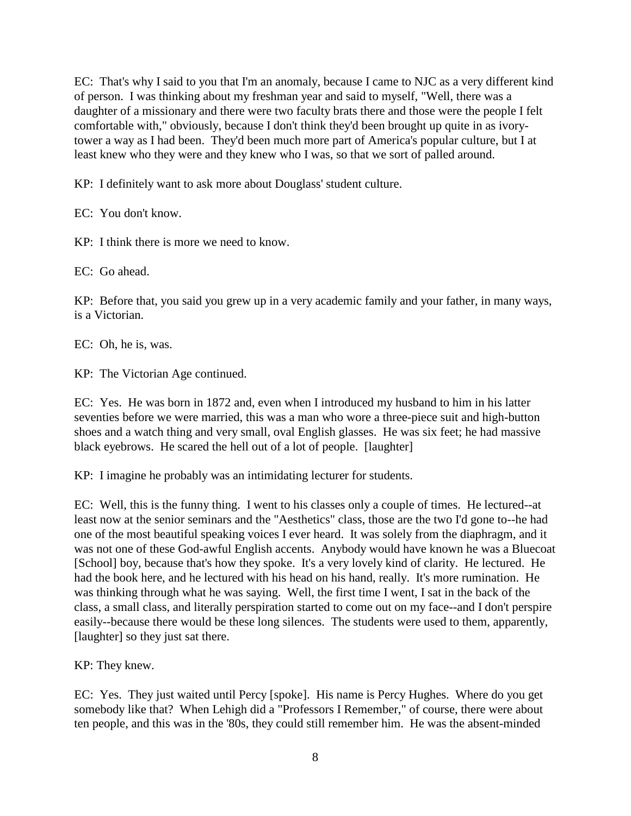EC: That's why I said to you that I'm an anomaly, because I came to NJC as a very different kind of person. I was thinking about my freshman year and said to myself, "Well, there was a daughter of a missionary and there were two faculty brats there and those were the people I felt comfortable with," obviously, because I don't think they'd been brought up quite in as ivorytower a way as I had been. They'd been much more part of America's popular culture, but I at least knew who they were and they knew who I was, so that we sort of palled around.

KP: I definitely want to ask more about Douglass' student culture.

EC: You don't know.

KP: I think there is more we need to know.

EC: Go ahead.

KP: Before that, you said you grew up in a very academic family and your father, in many ways, is a Victorian.

EC: Oh, he is, was.

KP: The Victorian Age continued.

EC: Yes. He was born in 1872 and, even when I introduced my husband to him in his latter seventies before we were married, this was a man who wore a three-piece suit and high-button shoes and a watch thing and very small, oval English glasses. He was six feet; he had massive black eyebrows. He scared the hell out of a lot of people. [laughter]

KP: I imagine he probably was an intimidating lecturer for students.

EC: Well, this is the funny thing. I went to his classes only a couple of times. He lectured--at least now at the senior seminars and the "Aesthetics" class, those are the two I'd gone to--he had one of the most beautiful speaking voices I ever heard. It was solely from the diaphragm, and it was not one of these God-awful English accents. Anybody would have known he was a Bluecoat [School] boy, because that's how they spoke. It's a very lovely kind of clarity. He lectured. He had the book here, and he lectured with his head on his hand, really. It's more rumination. He was thinking through what he was saying. Well, the first time I went, I sat in the back of the class, a small class, and literally perspiration started to come out on my face--and I don't perspire easily--because there would be these long silences. The students were used to them, apparently, [laughter] so they just sat there.

KP: They knew.

EC: Yes. They just waited until Percy [spoke]. His name is Percy Hughes. Where do you get somebody like that? When Lehigh did a "Professors I Remember," of course, there were about ten people, and this was in the '80s, they could still remember him. He was the absent-minded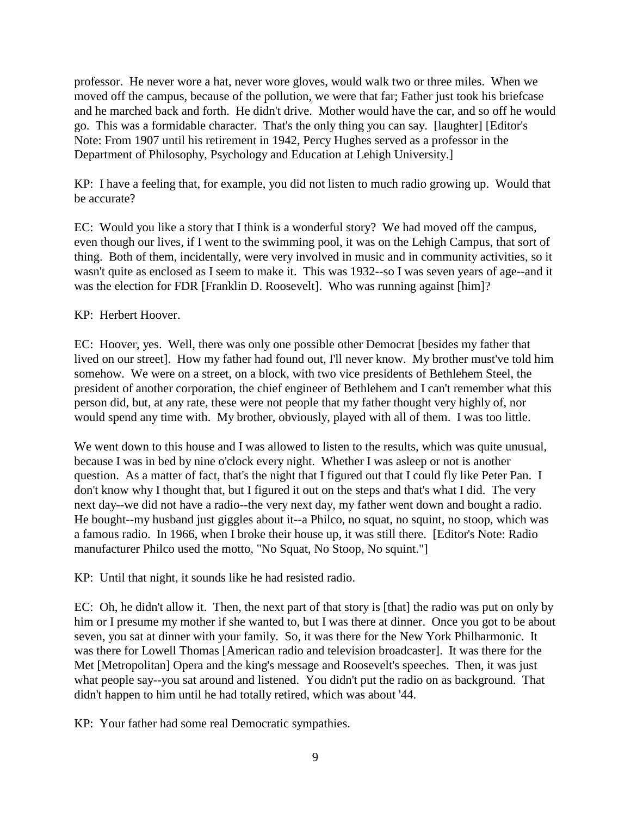professor. He never wore a hat, never wore gloves, would walk two or three miles. When we moved off the campus, because of the pollution, we were that far; Father just took his briefcase and he marched back and forth. He didn't drive. Mother would have the car, and so off he would go. This was a formidable character. That's the only thing you can say. [laughter] [Editor's Note: From 1907 until his retirement in 1942, Percy Hughes served as a professor in the Department of Philosophy, Psychology and Education at Lehigh University.]

KP: I have a feeling that, for example, you did not listen to much radio growing up. Would that be accurate?

EC: Would you like a story that I think is a wonderful story? We had moved off the campus, even though our lives, if I went to the swimming pool, it was on the Lehigh Campus, that sort of thing. Both of them, incidentally, were very involved in music and in community activities, so it wasn't quite as enclosed as I seem to make it. This was 1932--so I was seven years of age--and it was the election for FDR [Franklin D. Roosevelt]. Who was running against [him]?

# KP: Herbert Hoover.

EC: Hoover, yes. Well, there was only one possible other Democrat [besides my father that lived on our street]. How my father had found out, I'll never know. My brother must've told him somehow. We were on a street, on a block, with two vice presidents of Bethlehem Steel, the president of another corporation, the chief engineer of Bethlehem and I can't remember what this person did, but, at any rate, these were not people that my father thought very highly of, nor would spend any time with. My brother, obviously, played with all of them. I was too little.

We went down to this house and I was allowed to listen to the results, which was quite unusual, because I was in bed by nine o'clock every night. Whether I was asleep or not is another question. As a matter of fact, that's the night that I figured out that I could fly like Peter Pan. I don't know why I thought that, but I figured it out on the steps and that's what I did. The very next day--we did not have a radio--the very next day, my father went down and bought a radio. He bought--my husband just giggles about it--a Philco, no squat, no squint, no stoop, which was a famous radio. In 1966, when I broke their house up, it was still there. [Editor's Note: Radio manufacturer Philco used the motto, "No Squat, No Stoop, No squint."]

KP: Until that night, it sounds like he had resisted radio.

EC: Oh, he didn't allow it. Then, the next part of that story is [that] the radio was put on only by him or I presume my mother if she wanted to, but I was there at dinner. Once you got to be about seven, you sat at dinner with your family. So, it was there for the New York Philharmonic. It was there for Lowell Thomas [American radio and television broadcaster]. It was there for the Met [Metropolitan] Opera and the king's message and Roosevelt's speeches. Then, it was just what people say--you sat around and listened. You didn't put the radio on as background. That didn't happen to him until he had totally retired, which was about '44.

KP: Your father had some real Democratic sympathies.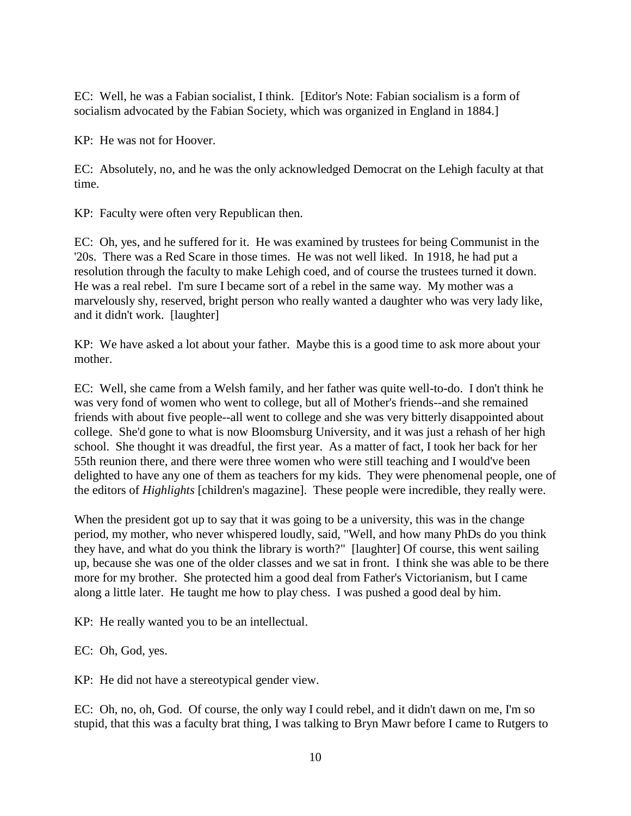EC: Well, he was a Fabian socialist, I think. [Editor's Note: Fabian socialism is a form of socialism advocated by the Fabian Society, which was organized in England in 1884.]

KP: He was not for Hoover.

EC: Absolutely, no, and he was the only acknowledged Democrat on the Lehigh faculty at that time.

KP: Faculty were often very Republican then.

EC: Oh, yes, and he suffered for it. He was examined by trustees for being Communist in the '20s. There was a Red Scare in those times. He was not well liked. In 1918, he had put a resolution through the faculty to make Lehigh coed, and of course the trustees turned it down. He was a real rebel. I'm sure I became sort of a rebel in the same way. My mother was a marvelously shy, reserved, bright person who really wanted a daughter who was very lady like, and it didn't work. [laughter]

KP: We have asked a lot about your father. Maybe this is a good time to ask more about your mother.

EC: Well, she came from a Welsh family, and her father was quite well-to-do. I don't think he was very fond of women who went to college, but all of Mother's friends--and she remained friends with about five people--all went to college and she was very bitterly disappointed about college. She'd gone to what is now Bloomsburg University, and it was just a rehash of her high school. She thought it was dreadful, the first year. As a matter of fact, I took her back for her 55th reunion there, and there were three women who were still teaching and I would've been delighted to have any one of them as teachers for my kids. They were phenomenal people, one of the editors of *Highlights* [children's magazine]. These people were incredible, they really were.

When the president got up to say that it was going to be a university, this was in the change period, my mother, who never whispered loudly, said, "Well, and how many PhDs do you think they have, and what do you think the library is worth?" [laughter] Of course, this went sailing up, because she was one of the older classes and we sat in front. I think she was able to be there more for my brother. She protected him a good deal from Father's Victorianism, but I came along a little later. He taught me how to play chess. I was pushed a good deal by him.

KP: He really wanted you to be an intellectual.

EC: Oh, God, yes.

KP: He did not have a stereotypical gender view.

EC: Oh, no, oh, God. Of course, the only way I could rebel, and it didn't dawn on me, I'm so stupid, that this was a faculty brat thing, I was talking to Bryn Mawr before I came to Rutgers to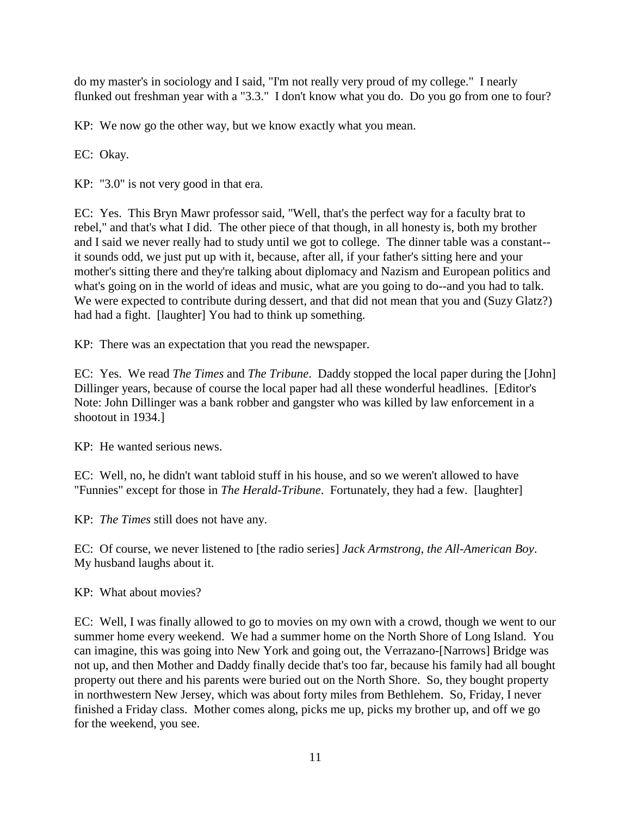do my master's in sociology and I said, "I'm not really very proud of my college." I nearly flunked out freshman year with a "3.3." I don't know what you do. Do you go from one to four?

KP: We now go the other way, but we know exactly what you mean.

EC: Okay.

KP: "3.0" is not very good in that era.

EC: Yes. This Bryn Mawr professor said, "Well, that's the perfect way for a faculty brat to rebel," and that's what I did. The other piece of that though, in all honesty is, both my brother and I said we never really had to study until we got to college. The dinner table was a constant- it sounds odd, we just put up with it, because, after all, if your father's sitting here and your mother's sitting there and they're talking about diplomacy and Nazism and European politics and what's going on in the world of ideas and music, what are you going to do--and you had to talk. We were expected to contribute during dessert, and that did not mean that you and (Suzy Glatz?) had had a fight. [laughter] You had to think up something.

KP: There was an expectation that you read the newspaper.

EC: Yes. We read *The Times* and *The Tribune*. Daddy stopped the local paper during the [John] Dillinger years, because of course the local paper had all these wonderful headlines. [Editor's Note: John Dillinger was a bank robber and gangster who was killed by law enforcement in a shootout in 1934.]

KP: He wanted serious news.

EC: Well, no, he didn't want tabloid stuff in his house, and so we weren't allowed to have "Funnies" except for those in *The Herald-Tribune*. Fortunately, they had a few. [laughter]

KP: *The Times* still does not have any.

EC: Of course, we never listened to [the radio series] *Jack Armstrong, the All-American Boy*. My husband laughs about it.

KP: What about movies?

EC: Well, I was finally allowed to go to movies on my own with a crowd, though we went to our summer home every weekend. We had a summer home on the North Shore of Long Island. You can imagine, this was going into New York and going out, the Verrazano-[Narrows] Bridge was not up, and then Mother and Daddy finally decide that's too far, because his family had all bought property out there and his parents were buried out on the North Shore. So, they bought property in northwestern New Jersey, which was about forty miles from Bethlehem. So, Friday, I never finished a Friday class. Mother comes along, picks me up, picks my brother up, and off we go for the weekend, you see.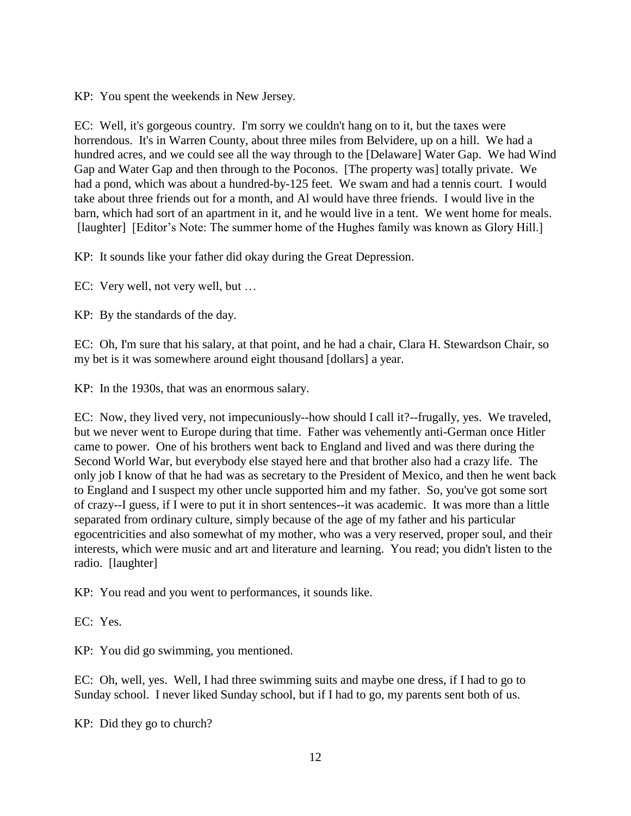KP: You spent the weekends in New Jersey.

EC: Well, it's gorgeous country. I'm sorry we couldn't hang on to it, but the taxes were horrendous. It's in Warren County, about three miles from Belvidere, up on a hill. We had a hundred acres, and we could see all the way through to the [Delaware] Water Gap. We had Wind Gap and Water Gap and then through to the Poconos. [The property was] totally private. We had a pond, which was about a hundred-by-125 feet. We swam and had a tennis court. I would take about three friends out for a month, and Al would have three friends. I would live in the barn, which had sort of an apartment in it, and he would live in a tent. We went home for meals. [laughter] [Editor's Note: The summer home of the Hughes family was known as Glory Hill.]

KP: It sounds like your father did okay during the Great Depression.

EC: Very well, not very well, but …

KP: By the standards of the day.

EC: Oh, I'm sure that his salary, at that point, and he had a chair, Clara H. Stewardson Chair, so my bet is it was somewhere around eight thousand [dollars] a year.

KP: In the 1930s, that was an enormous salary.

EC: Now, they lived very, not impecuniously--how should I call it?--frugally, yes. We traveled, but we never went to Europe during that time. Father was vehemently anti-German once Hitler came to power. One of his brothers went back to England and lived and was there during the Second World War, but everybody else stayed here and that brother also had a crazy life. The only job I know of that he had was as secretary to the President of Mexico, and then he went back to England and I suspect my other uncle supported him and my father. So, you've got some sort of crazy--I guess, if I were to put it in short sentences--it was academic. It was more than a little separated from ordinary culture, simply because of the age of my father and his particular egocentricities and also somewhat of my mother, who was a very reserved, proper soul, and their interests, which were music and art and literature and learning. You read; you didn't listen to the radio. [laughter]

KP: You read and you went to performances, it sounds like.

EC: Yes.

KP: You did go swimming, you mentioned.

EC: Oh, well, yes. Well, I had three swimming suits and maybe one dress, if I had to go to Sunday school. I never liked Sunday school, but if I had to go, my parents sent both of us.

KP: Did they go to church?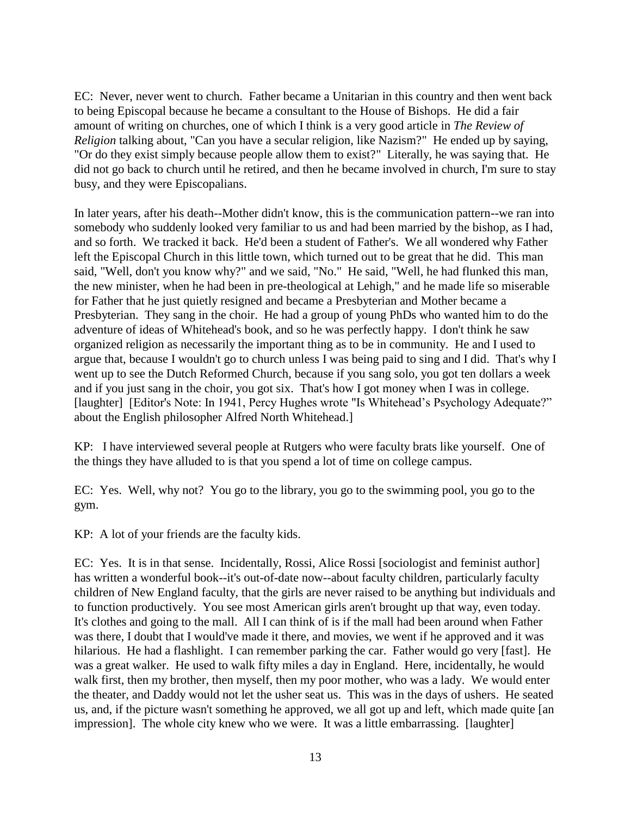EC: Never, never went to church. Father became a Unitarian in this country and then went back to being Episcopal because he became a consultant to the House of Bishops. He did a fair amount of writing on churches, one of which I think is a very good article in *The Review of Religion* talking about, "Can you have a secular religion, like Nazism?" He ended up by saying, "Or do they exist simply because people allow them to exist?" Literally, he was saying that. He did not go back to church until he retired, and then he became involved in church, I'm sure to stay busy, and they were Episcopalians.

In later years, after his death--Mother didn't know, this is the communication pattern--we ran into somebody who suddenly looked very familiar to us and had been married by the bishop, as I had, and so forth. We tracked it back. He'd been a student of Father's. We all wondered why Father left the Episcopal Church in this little town, which turned out to be great that he did. This man said, "Well, don't you know why?" and we said, "No." He said, "Well, he had flunked this man, the new minister, when he had been in pre-theological at Lehigh," and he made life so miserable for Father that he just quietly resigned and became a Presbyterian and Mother became a Presbyterian. They sang in the choir. He had a group of young PhDs who wanted him to do the adventure of ideas of Whitehead's book, and so he was perfectly happy. I don't think he saw organized religion as necessarily the important thing as to be in community. He and I used to argue that, because I wouldn't go to church unless I was being paid to sing and I did. That's why I went up to see the Dutch Reformed Church, because if you sang solo, you got ten dollars a week and if you just sang in the choir, you got six. That's how I got money when I was in college. [laughter] [Editor's Note: In 1941, Percy Hughes wrote "Is Whitehead's Psychology Adequate?" about the English philosopher Alfred North Whitehead.]

KP: I have interviewed several people at Rutgers who were faculty brats like yourself. One of the things they have alluded to is that you spend a lot of time on college campus.

EC: Yes. Well, why not? You go to the library, you go to the swimming pool, you go to the gym.

KP: A lot of your friends are the faculty kids.

EC: Yes. It is in that sense. Incidentally, Rossi, Alice Rossi [sociologist and feminist author] has written a wonderful book--it's out-of-date now--about faculty children, particularly faculty children of New England faculty, that the girls are never raised to be anything but individuals and to function productively. You see most American girls aren't brought up that way, even today. It's clothes and going to the mall. All I can think of is if the mall had been around when Father was there, I doubt that I would've made it there, and movies, we went if he approved and it was hilarious. He had a flashlight. I can remember parking the car. Father would go very [fast]. He was a great walker. He used to walk fifty miles a day in England. Here, incidentally, he would walk first, then my brother, then myself, then my poor mother, who was a lady. We would enter the theater, and Daddy would not let the usher seat us. This was in the days of ushers. He seated us, and, if the picture wasn't something he approved, we all got up and left, which made quite [an impression]. The whole city knew who we were. It was a little embarrassing. [laughter]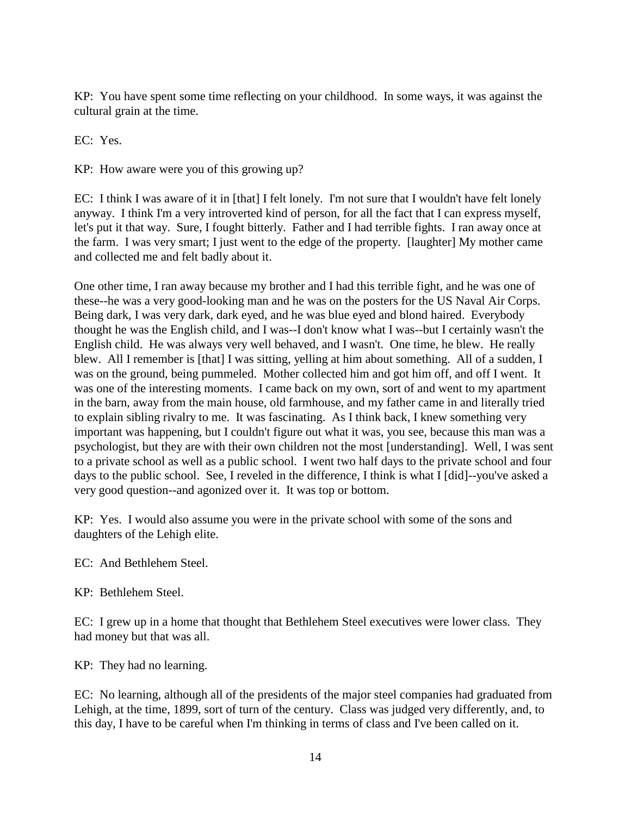KP: You have spent some time reflecting on your childhood. In some ways, it was against the cultural grain at the time.

EC: Yes.

KP: How aware were you of this growing up?

EC: I think I was aware of it in [that] I felt lonely. I'm not sure that I wouldn't have felt lonely anyway. I think I'm a very introverted kind of person, for all the fact that I can express myself, let's put it that way. Sure, I fought bitterly. Father and I had terrible fights. I ran away once at the farm. I was very smart; I just went to the edge of the property. [laughter] My mother came and collected me and felt badly about it.

One other time, I ran away because my brother and I had this terrible fight, and he was one of these--he was a very good-looking man and he was on the posters for the US Naval Air Corps. Being dark, I was very dark, dark eyed, and he was blue eyed and blond haired. Everybody thought he was the English child, and I was--I don't know what I was--but I certainly wasn't the English child. He was always very well behaved, and I wasn't. One time, he blew. He really blew. All I remember is [that] I was sitting, yelling at him about something. All of a sudden, I was on the ground, being pummeled. Mother collected him and got him off, and off I went. It was one of the interesting moments. I came back on my own, sort of and went to my apartment in the barn, away from the main house, old farmhouse, and my father came in and literally tried to explain sibling rivalry to me. It was fascinating. As I think back, I knew something very important was happening, but I couldn't figure out what it was, you see, because this man was a psychologist, but they are with their own children not the most [understanding]. Well, I was sent to a private school as well as a public school. I went two half days to the private school and four days to the public school. See, I reveled in the difference, I think is what I [did]--you've asked a very good question--and agonized over it. It was top or bottom.

KP: Yes. I would also assume you were in the private school with some of the sons and daughters of the Lehigh elite.

EC: And Bethlehem Steel.

KP: Bethlehem Steel.

EC: I grew up in a home that thought that Bethlehem Steel executives were lower class. They had money but that was all.

KP: They had no learning.

EC: No learning, although all of the presidents of the major steel companies had graduated from Lehigh, at the time, 1899, sort of turn of the century. Class was judged very differently, and, to this day, I have to be careful when I'm thinking in terms of class and I've been called on it.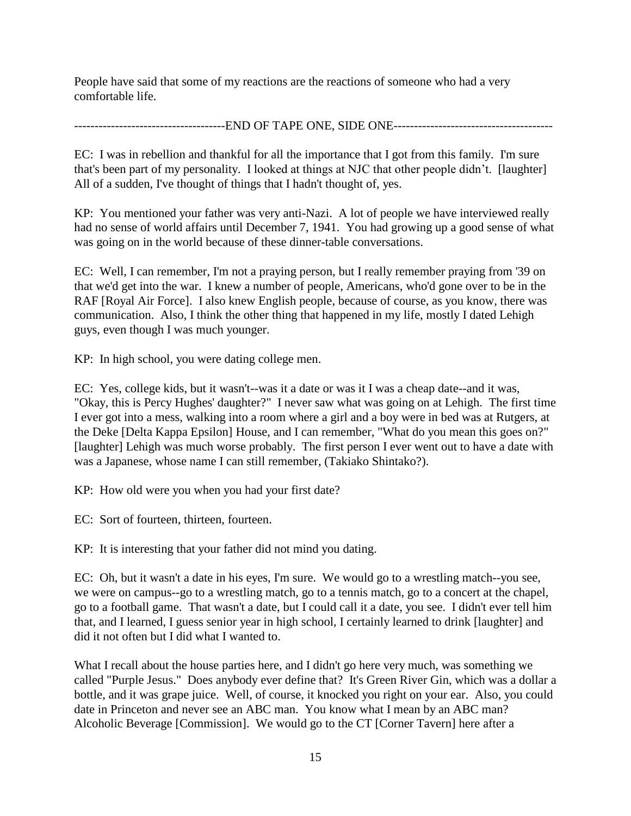People have said that some of my reactions are the reactions of someone who had a very comfortable life.

-------------------------------------END OF TAPE ONE, SIDE ONE---------------------------------------

EC: I was in rebellion and thankful for all the importance that I got from this family. I'm sure that's been part of my personality. I looked at things at NJC that other people didn't. [laughter] All of a sudden, I've thought of things that I hadn't thought of, yes.

KP: You mentioned your father was very anti-Nazi. A lot of people we have interviewed really had no sense of world affairs until December 7, 1941. You had growing up a good sense of what was going on in the world because of these dinner-table conversations.

EC: Well, I can remember, I'm not a praying person, but I really remember praying from '39 on that we'd get into the war. I knew a number of people, Americans, who'd gone over to be in the RAF [Royal Air Force]. I also knew English people, because of course, as you know, there was communication. Also, I think the other thing that happened in my life, mostly I dated Lehigh guys, even though I was much younger.

KP: In high school, you were dating college men.

EC: Yes, college kids, but it wasn't--was it a date or was it I was a cheap date--and it was, "Okay, this is Percy Hughes' daughter?" I never saw what was going on at Lehigh. The first time I ever got into a mess, walking into a room where a girl and a boy were in bed was at Rutgers, at the Deke [Delta Kappa Epsilon] House, and I can remember, "What do you mean this goes on?" [laughter] Lehigh was much worse probably. The first person I ever went out to have a date with was a Japanese, whose name I can still remember, (Takiako Shintako?).

KP: How old were you when you had your first date?

EC: Sort of fourteen, thirteen, fourteen.

KP: It is interesting that your father did not mind you dating.

EC: Oh, but it wasn't a date in his eyes, I'm sure. We would go to a wrestling match--you see, we were on campus--go to a wrestling match, go to a tennis match, go to a concert at the chapel, go to a football game. That wasn't a date, but I could call it a date, you see. I didn't ever tell him that, and I learned, I guess senior year in high school, I certainly learned to drink [laughter] and did it not often but I did what I wanted to.

What I recall about the house parties here, and I didn't go here very much, was something we called "Purple Jesus." Does anybody ever define that? It's Green River Gin, which was a dollar a bottle, and it was grape juice. Well, of course, it knocked you right on your ear. Also, you could date in Princeton and never see an ABC man. You know what I mean by an ABC man? Alcoholic Beverage [Commission]. We would go to the CT [Corner Tavern] here after a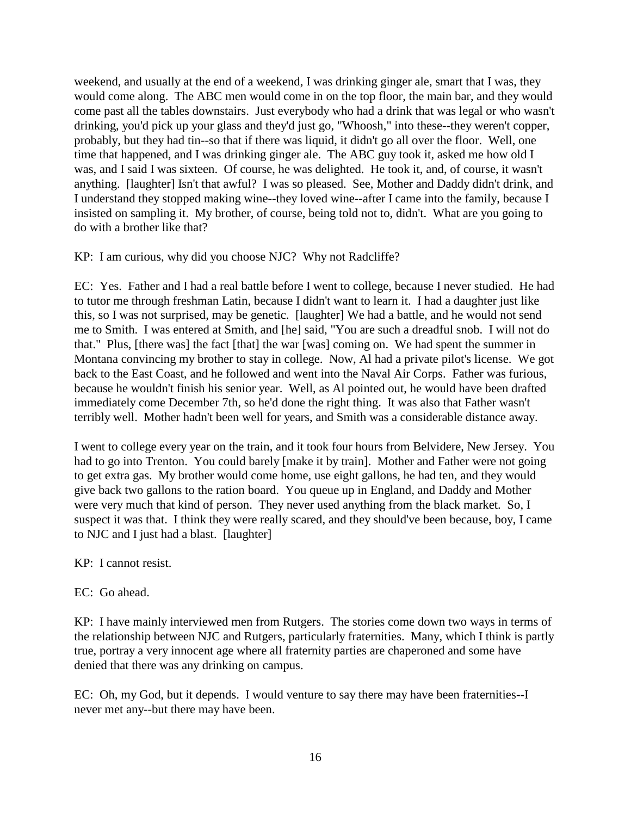weekend, and usually at the end of a weekend, I was drinking ginger ale, smart that I was, they would come along. The ABC men would come in on the top floor, the main bar, and they would come past all the tables downstairs. Just everybody who had a drink that was legal or who wasn't drinking, you'd pick up your glass and they'd just go, "Whoosh," into these--they weren't copper, probably, but they had tin--so that if there was liquid, it didn't go all over the floor. Well, one time that happened, and I was drinking ginger ale. The ABC guy took it, asked me how old I was, and I said I was sixteen. Of course, he was delighted. He took it, and, of course, it wasn't anything. [laughter] Isn't that awful? I was so pleased. See, Mother and Daddy didn't drink, and I understand they stopped making wine--they loved wine--after I came into the family, because I insisted on sampling it. My brother, of course, being told not to, didn't. What are you going to do with a brother like that?

KP: I am curious, why did you choose NJC? Why not Radcliffe?

EC: Yes. Father and I had a real battle before I went to college, because I never studied. He had to tutor me through freshman Latin, because I didn't want to learn it. I had a daughter just like this, so I was not surprised, may be genetic. [laughter] We had a battle, and he would not send me to Smith. I was entered at Smith, and [he] said, "You are such a dreadful snob. I will not do that." Plus, [there was] the fact [that] the war [was] coming on. We had spent the summer in Montana convincing my brother to stay in college. Now, Al had a private pilot's license. We got back to the East Coast, and he followed and went into the Naval Air Corps. Father was furious, because he wouldn't finish his senior year. Well, as Al pointed out, he would have been drafted immediately come December 7th, so he'd done the right thing. It was also that Father wasn't terribly well. Mother hadn't been well for years, and Smith was a considerable distance away.

I went to college every year on the train, and it took four hours from Belvidere, New Jersey. You had to go into Trenton. You could barely [make it by train]. Mother and Father were not going to get extra gas. My brother would come home, use eight gallons, he had ten, and they would give back two gallons to the ration board. You queue up in England, and Daddy and Mother were very much that kind of person. They never used anything from the black market. So, I suspect it was that. I think they were really scared, and they should've been because, boy, I came to NJC and I just had a blast. [laughter]

KP: I cannot resist.

# EC: Go ahead.

KP: I have mainly interviewed men from Rutgers. The stories come down two ways in terms of the relationship between NJC and Rutgers, particularly fraternities. Many, which I think is partly true, portray a very innocent age where all fraternity parties are chaperoned and some have denied that there was any drinking on campus.

EC: Oh, my God, but it depends. I would venture to say there may have been fraternities--I never met any--but there may have been.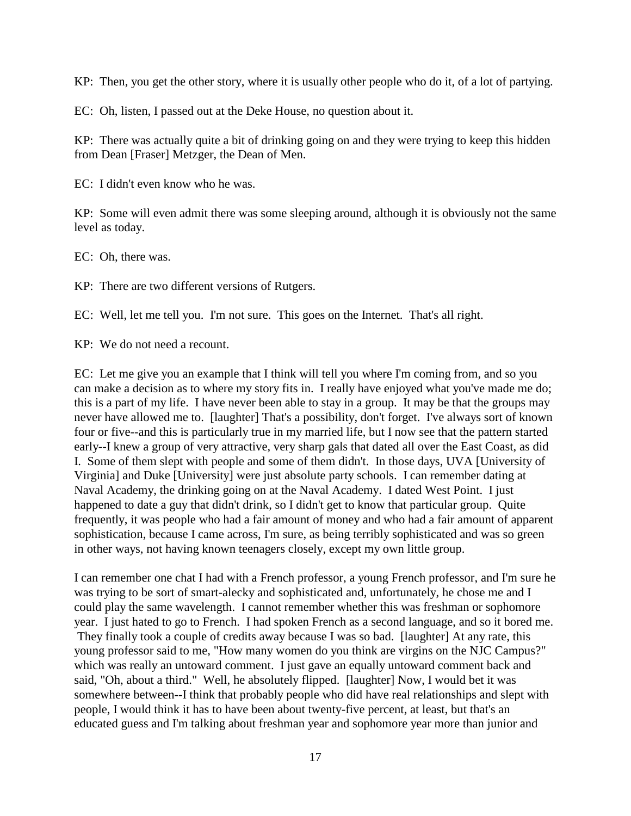KP: Then, you get the other story, where it is usually other people who do it, of a lot of partying.

EC: Oh, listen, I passed out at the Deke House, no question about it.

KP: There was actually quite a bit of drinking going on and they were trying to keep this hidden from Dean [Fraser] Metzger, the Dean of Men.

EC: I didn't even know who he was.

KP: Some will even admit there was some sleeping around, although it is obviously not the same level as today.

EC: Oh, there was.

KP: There are two different versions of Rutgers.

EC: Well, let me tell you. I'm not sure. This goes on the Internet. That's all right.

KP: We do not need a recount.

EC: Let me give you an example that I think will tell you where I'm coming from, and so you can make a decision as to where my story fits in. I really have enjoyed what you've made me do; this is a part of my life. I have never been able to stay in a group. It may be that the groups may never have allowed me to. [laughter] That's a possibility, don't forget. I've always sort of known four or five--and this is particularly true in my married life, but I now see that the pattern started early--I knew a group of very attractive, very sharp gals that dated all over the East Coast, as did I. Some of them slept with people and some of them didn't. In those days, UVA [University of Virginia] and Duke [University] were just absolute party schools. I can remember dating at Naval Academy, the drinking going on at the Naval Academy. I dated West Point. I just happened to date a guy that didn't drink, so I didn't get to know that particular group. Quite frequently, it was people who had a fair amount of money and who had a fair amount of apparent sophistication, because I came across, I'm sure, as being terribly sophisticated and was so green in other ways, not having known teenagers closely, except my own little group.

I can remember one chat I had with a French professor, a young French professor, and I'm sure he was trying to be sort of smart-alecky and sophisticated and, unfortunately, he chose me and I could play the same wavelength. I cannot remember whether this was freshman or sophomore year. I just hated to go to French. I had spoken French as a second language, and so it bored me. They finally took a couple of credits away because I was so bad. [laughter] At any rate, this young professor said to me, "How many women do you think are virgins on the NJC Campus?" which was really an untoward comment. I just gave an equally untoward comment back and said, "Oh, about a third." Well, he absolutely flipped. [laughter] Now, I would bet it was somewhere between--I think that probably people who did have real relationships and slept with people, I would think it has to have been about twenty-five percent, at least, but that's an educated guess and I'm talking about freshman year and sophomore year more than junior and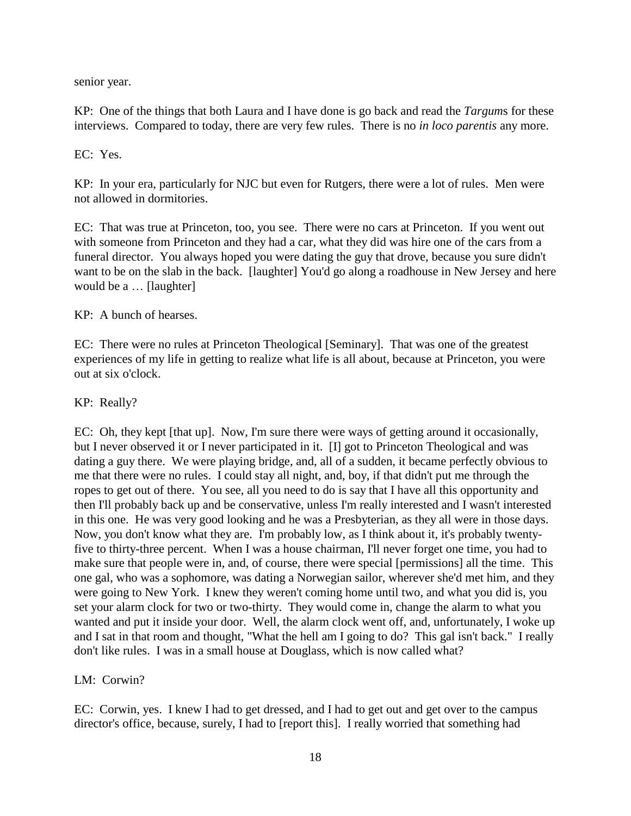senior year.

KP: One of the things that both Laura and I have done is go back and read the *Targum*s for these interviews. Compared to today, there are very few rules. There is no *in loco parentis* any more.

EC: Yes.

KP: In your era, particularly for NJC but even for Rutgers, there were a lot of rules. Men were not allowed in dormitories.

EC: That was true at Princeton, too, you see. There were no cars at Princeton. If you went out with someone from Princeton and they had a car, what they did was hire one of the cars from a funeral director. You always hoped you were dating the guy that drove, because you sure didn't want to be on the slab in the back. [laughter] You'd go along a roadhouse in New Jersey and here would be a … [laughter]

KP: A bunch of hearses.

EC: There were no rules at Princeton Theological [Seminary]. That was one of the greatest experiences of my life in getting to realize what life is all about, because at Princeton, you were out at six o'clock.

KP: Really?

EC: Oh, they kept [that up]. Now, I'm sure there were ways of getting around it occasionally, but I never observed it or I never participated in it. [I] got to Princeton Theological and was dating a guy there. We were playing bridge, and, all of a sudden, it became perfectly obvious to me that there were no rules. I could stay all night, and, boy, if that didn't put me through the ropes to get out of there. You see, all you need to do is say that I have all this opportunity and then I'll probably back up and be conservative, unless I'm really interested and I wasn't interested in this one. He was very good looking and he was a Presbyterian, as they all were in those days. Now, you don't know what they are. I'm probably low, as I think about it, it's probably twentyfive to thirty-three percent. When I was a house chairman, I'll never forget one time, you had to make sure that people were in, and, of course, there were special [permissions] all the time. This one gal, who was a sophomore, was dating a Norwegian sailor, wherever she'd met him, and they were going to New York. I knew they weren't coming home until two, and what you did is, you set your alarm clock for two or two-thirty. They would come in, change the alarm to what you wanted and put it inside your door. Well, the alarm clock went off, and, unfortunately, I woke up and I sat in that room and thought, "What the hell am I going to do? This gal isn't back." I really don't like rules. I was in a small house at Douglass, which is now called what?

LM: Corwin?

EC: Corwin, yes. I knew I had to get dressed, and I had to get out and get over to the campus director's office, because, surely, I had to [report this]. I really worried that something had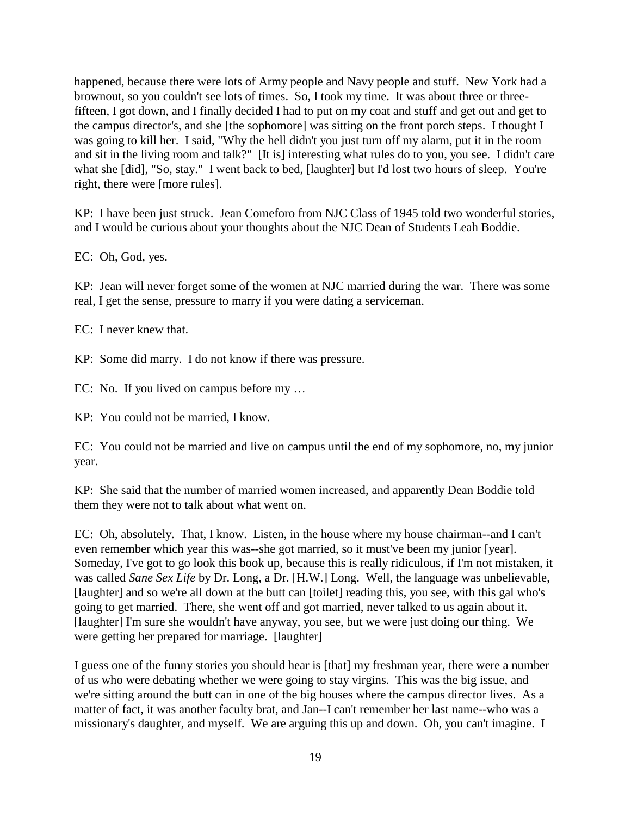happened, because there were lots of Army people and Navy people and stuff. New York had a brownout, so you couldn't see lots of times. So, I took my time. It was about three or threefifteen, I got down, and I finally decided I had to put on my coat and stuff and get out and get to the campus director's, and she [the sophomore] was sitting on the front porch steps. I thought I was going to kill her. I said, "Why the hell didn't you just turn off my alarm, put it in the room and sit in the living room and talk?" [It is] interesting what rules do to you, you see. I didn't care what she [did], "So, stay." I went back to bed, [laughter] but I'd lost two hours of sleep. You're right, there were [more rules].

KP: I have been just struck. Jean Comeforo from NJC Class of 1945 told two wonderful stories, and I would be curious about your thoughts about the NJC Dean of Students Leah Boddie.

EC: Oh, God, yes.

KP: Jean will never forget some of the women at NJC married during the war. There was some real, I get the sense, pressure to marry if you were dating a serviceman.

EC: I never knew that.

KP: Some did marry. I do not know if there was pressure.

EC: No. If you lived on campus before my …

KP: You could not be married, I know.

EC: You could not be married and live on campus until the end of my sophomore, no, my junior year.

KP: She said that the number of married women increased, and apparently Dean Boddie told them they were not to talk about what went on.

EC: Oh, absolutely. That, I know. Listen, in the house where my house chairman--and I can't even remember which year this was--she got married, so it must've been my junior [year]. Someday, I've got to go look this book up, because this is really ridiculous, if I'm not mistaken, it was called *Sane Sex Life* by Dr. Long, a Dr. [H.W.] Long. Well, the language was unbelievable, [laughter] and so we're all down at the butt can [toilet] reading this, you see, with this gal who's going to get married. There, she went off and got married, never talked to us again about it. [laughter] I'm sure she wouldn't have anyway, you see, but we were just doing our thing. We were getting her prepared for marriage. [laughter]

I guess one of the funny stories you should hear is [that] my freshman year, there were a number of us who were debating whether we were going to stay virgins. This was the big issue, and we're sitting around the butt can in one of the big houses where the campus director lives. As a matter of fact, it was another faculty brat, and Jan--I can't remember her last name--who was a missionary's daughter, and myself. We are arguing this up and down. Oh, you can't imagine. I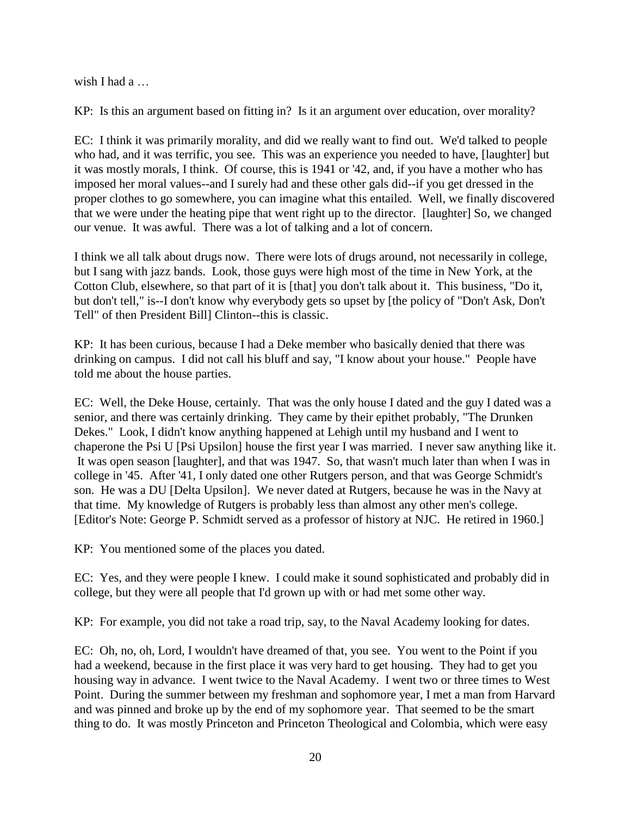wish I had a …

KP: Is this an argument based on fitting in? Is it an argument over education, over morality?

EC: I think it was primarily morality, and did we really want to find out. We'd talked to people who had, and it was terrific, you see. This was an experience you needed to have, [laughter] but it was mostly morals, I think. Of course, this is 1941 or '42, and, if you have a mother who has imposed her moral values--and I surely had and these other gals did--if you get dressed in the proper clothes to go somewhere, you can imagine what this entailed. Well, we finally discovered that we were under the heating pipe that went right up to the director. [laughter] So, we changed our venue. It was awful. There was a lot of talking and a lot of concern.

I think we all talk about drugs now. There were lots of drugs around, not necessarily in college, but I sang with jazz bands. Look, those guys were high most of the time in New York, at the Cotton Club, elsewhere, so that part of it is [that] you don't talk about it. This business, "Do it, but don't tell," is--I don't know why everybody gets so upset by [the policy of "Don't Ask, Don't Tell" of then President Bill] Clinton--this is classic.

KP: It has been curious, because I had a Deke member who basically denied that there was drinking on campus. I did not call his bluff and say, "I know about your house." People have told me about the house parties.

EC: Well, the Deke House, certainly. That was the only house I dated and the guy I dated was a senior, and there was certainly drinking. They came by their epithet probably, "The Drunken Dekes." Look, I didn't know anything happened at Lehigh until my husband and I went to chaperone the Psi U [Psi Upsilon] house the first year I was married. I never saw anything like it. It was open season [laughter], and that was 1947. So, that wasn't much later than when I was in college in '45. After '41, I only dated one other Rutgers person, and that was George Schmidt's son. He was a DU [Delta Upsilon]. We never dated at Rutgers, because he was in the Navy at that time. My knowledge of Rutgers is probably less than almost any other men's college. [Editor's Note: George P. Schmidt served as a professor of history at NJC. He retired in 1960.]

KP: You mentioned some of the places you dated.

EC: Yes, and they were people I knew. I could make it sound sophisticated and probably did in college, but they were all people that I'd grown up with or had met some other way.

KP: For example, you did not take a road trip, say, to the Naval Academy looking for dates.

EC: Oh, no, oh, Lord, I wouldn't have dreamed of that, you see. You went to the Point if you had a weekend, because in the first place it was very hard to get housing. They had to get you housing way in advance. I went twice to the Naval Academy. I went two or three times to West Point. During the summer between my freshman and sophomore year, I met a man from Harvard and was pinned and broke up by the end of my sophomore year. That seemed to be the smart thing to do. It was mostly Princeton and Princeton Theological and Colombia, which were easy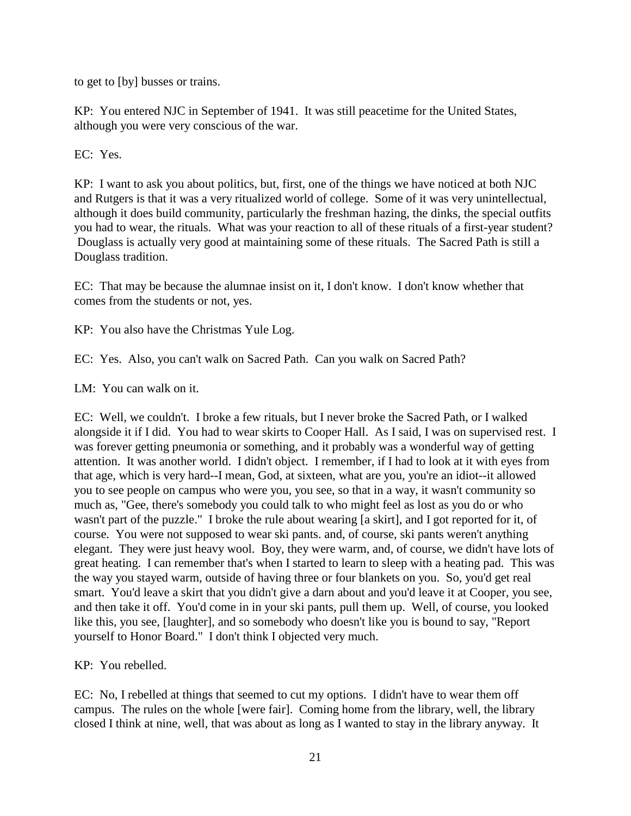to get to [by] busses or trains.

KP: You entered NJC in September of 1941. It was still peacetime for the United States, although you were very conscious of the war.

EC: Yes.

KP: I want to ask you about politics, but, first, one of the things we have noticed at both NJC and Rutgers is that it was a very ritualized world of college. Some of it was very unintellectual, although it does build community, particularly the freshman hazing, the dinks, the special outfits you had to wear, the rituals. What was your reaction to all of these rituals of a first-year student? Douglass is actually very good at maintaining some of these rituals. The Sacred Path is still a Douglass tradition.

EC: That may be because the alumnae insist on it, I don't know. I don't know whether that comes from the students or not, yes.

KP: You also have the Christmas Yule Log.

EC: Yes. Also, you can't walk on Sacred Path. Can you walk on Sacred Path?

LM: You can walk on it.

EC: Well, we couldn't. I broke a few rituals, but I never broke the Sacred Path, or I walked alongside it if I did. You had to wear skirts to Cooper Hall. As I said, I was on supervised rest. I was forever getting pneumonia or something, and it probably was a wonderful way of getting attention. It was another world. I didn't object. I remember, if I had to look at it with eyes from that age, which is very hard--I mean, God, at sixteen, what are you, you're an idiot--it allowed you to see people on campus who were you, you see, so that in a way, it wasn't community so much as, "Gee, there's somebody you could talk to who might feel as lost as you do or who wasn't part of the puzzle." I broke the rule about wearing [a skirt], and I got reported for it, of course. You were not supposed to wear ski pants. and, of course, ski pants weren't anything elegant. They were just heavy wool. Boy, they were warm, and, of course, we didn't have lots of great heating. I can remember that's when I started to learn to sleep with a heating pad. This was the way you stayed warm, outside of having three or four blankets on you. So, you'd get real smart. You'd leave a skirt that you didn't give a darn about and you'd leave it at Cooper, you see, and then take it off. You'd come in in your ski pants, pull them up. Well, of course, you looked like this, you see, [laughter], and so somebody who doesn't like you is bound to say, "Report yourself to Honor Board." I don't think I objected very much.

KP: You rebelled.

EC: No, I rebelled at things that seemed to cut my options. I didn't have to wear them off campus. The rules on the whole [were fair]. Coming home from the library, well, the library closed I think at nine, well, that was about as long as I wanted to stay in the library anyway. It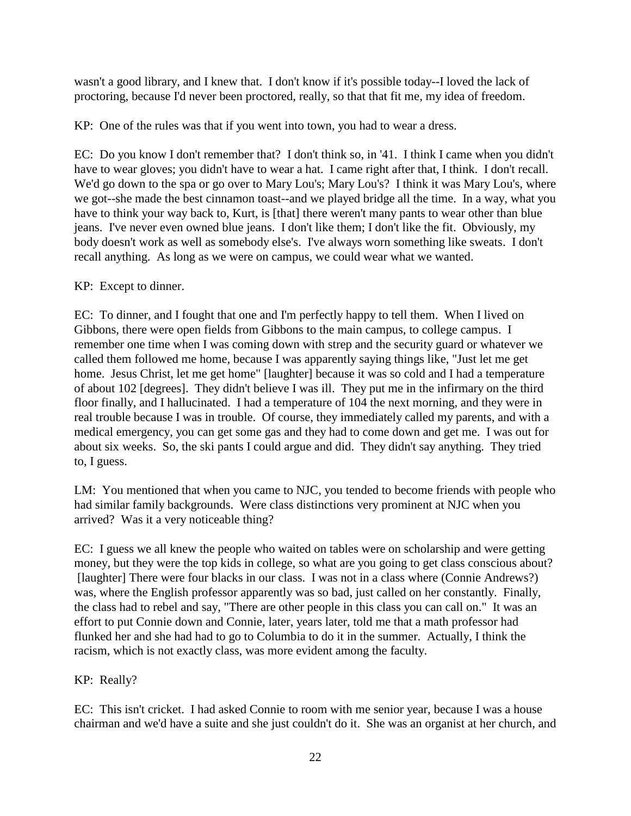wasn't a good library, and I knew that. I don't know if it's possible today--I loved the lack of proctoring, because I'd never been proctored, really, so that that fit me, my idea of freedom.

KP: One of the rules was that if you went into town, you had to wear a dress.

EC: Do you know I don't remember that? I don't think so, in '41. I think I came when you didn't have to wear gloves; you didn't have to wear a hat. I came right after that, I think. I don't recall. We'd go down to the spa or go over to Mary Lou's; Mary Lou's? I think it was Mary Lou's, where we got--she made the best cinnamon toast--and we played bridge all the time. In a way, what you have to think your way back to, Kurt, is [that] there weren't many pants to wear other than blue jeans. I've never even owned blue jeans. I don't like them; I don't like the fit. Obviously, my body doesn't work as well as somebody else's. I've always worn something like sweats. I don't recall anything. As long as we were on campus, we could wear what we wanted.

## KP: Except to dinner.

EC: To dinner, and I fought that one and I'm perfectly happy to tell them. When I lived on Gibbons, there were open fields from Gibbons to the main campus, to college campus. I remember one time when I was coming down with strep and the security guard or whatever we called them followed me home, because I was apparently saying things like, "Just let me get home. Jesus Christ, let me get home" [laughter] because it was so cold and I had a temperature of about 102 [degrees]. They didn't believe I was ill. They put me in the infirmary on the third floor finally, and I hallucinated. I had a temperature of 104 the next morning, and they were in real trouble because I was in trouble. Of course, they immediately called my parents, and with a medical emergency, you can get some gas and they had to come down and get me. I was out for about six weeks. So, the ski pants I could argue and did. They didn't say anything. They tried to, I guess.

LM: You mentioned that when you came to NJC, you tended to become friends with people who had similar family backgrounds. Were class distinctions very prominent at NJC when you arrived? Was it a very noticeable thing?

EC: I guess we all knew the people who waited on tables were on scholarship and were getting money, but they were the top kids in college, so what are you going to get class conscious about? [laughter] There were four blacks in our class. I was not in a class where (Connie Andrews?) was, where the English professor apparently was so bad, just called on her constantly. Finally, the class had to rebel and say, "There are other people in this class you can call on." It was an effort to put Connie down and Connie, later, years later, told me that a math professor had flunked her and she had had to go to Columbia to do it in the summer. Actually, I think the racism, which is not exactly class, was more evident among the faculty.

# KP: Really?

EC: This isn't cricket. I had asked Connie to room with me senior year, because I was a house chairman and we'd have a suite and she just couldn't do it. She was an organist at her church, and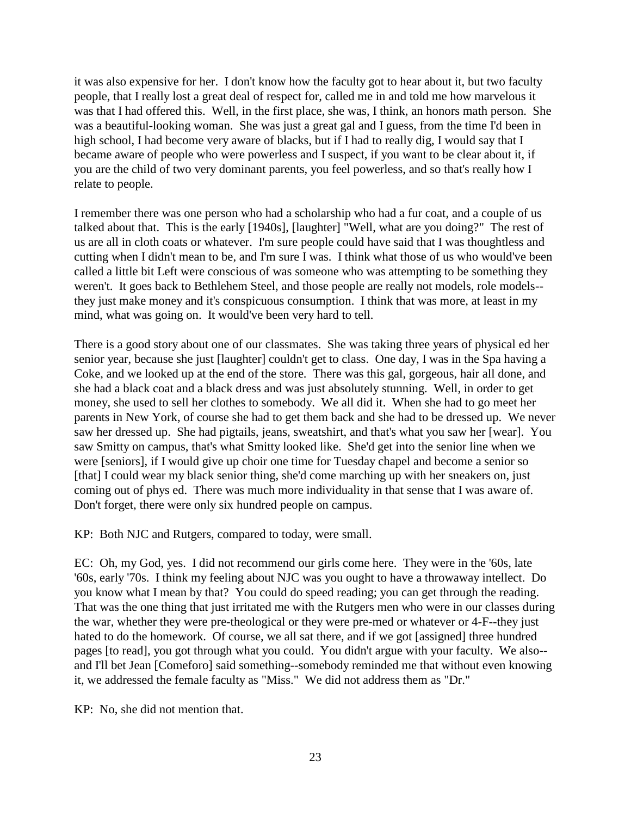it was also expensive for her. I don't know how the faculty got to hear about it, but two faculty people, that I really lost a great deal of respect for, called me in and told me how marvelous it was that I had offered this. Well, in the first place, she was, I think, an honors math person. She was a beautiful-looking woman. She was just a great gal and I guess, from the time I'd been in high school, I had become very aware of blacks, but if I had to really dig, I would say that I became aware of people who were powerless and I suspect, if you want to be clear about it, if you are the child of two very dominant parents, you feel powerless, and so that's really how I relate to people.

I remember there was one person who had a scholarship who had a fur coat, and a couple of us talked about that. This is the early [1940s], [laughter] "Well, what are you doing?" The rest of us are all in cloth coats or whatever. I'm sure people could have said that I was thoughtless and cutting when I didn't mean to be, and I'm sure I was. I think what those of us who would've been called a little bit Left were conscious of was someone who was attempting to be something they weren't. It goes back to Bethlehem Steel, and those people are really not models, role models- they just make money and it's conspicuous consumption. I think that was more, at least in my mind, what was going on. It would've been very hard to tell.

There is a good story about one of our classmates. She was taking three years of physical ed her senior year, because she just [laughter] couldn't get to class. One day, I was in the Spa having a Coke, and we looked up at the end of the store. There was this gal, gorgeous, hair all done, and she had a black coat and a black dress and was just absolutely stunning. Well, in order to get money, she used to sell her clothes to somebody. We all did it. When she had to go meet her parents in New York, of course she had to get them back and she had to be dressed up. We never saw her dressed up. She had pigtails, jeans, sweatshirt, and that's what you saw her [wear]. You saw Smitty on campus, that's what Smitty looked like. She'd get into the senior line when we were [seniors], if I would give up choir one time for Tuesday chapel and become a senior so [that] I could wear my black senior thing, she'd come marching up with her sneakers on, just coming out of phys ed. There was much more individuality in that sense that I was aware of. Don't forget, there were only six hundred people on campus.

KP: Both NJC and Rutgers, compared to today, were small.

EC: Oh, my God, yes. I did not recommend our girls come here. They were in the '60s, late '60s, early '70s. I think my feeling about NJC was you ought to have a throwaway intellect. Do you know what I mean by that? You could do speed reading; you can get through the reading. That was the one thing that just irritated me with the Rutgers men who were in our classes during the war, whether they were pre-theological or they were pre-med or whatever or 4-F--they just hated to do the homework. Of course, we all sat there, and if we got [assigned] three hundred pages [to read], you got through what you could. You didn't argue with your faculty. We also- and I'll bet Jean [Comeforo] said something--somebody reminded me that without even knowing it, we addressed the female faculty as "Miss." We did not address them as "Dr."

KP: No, she did not mention that.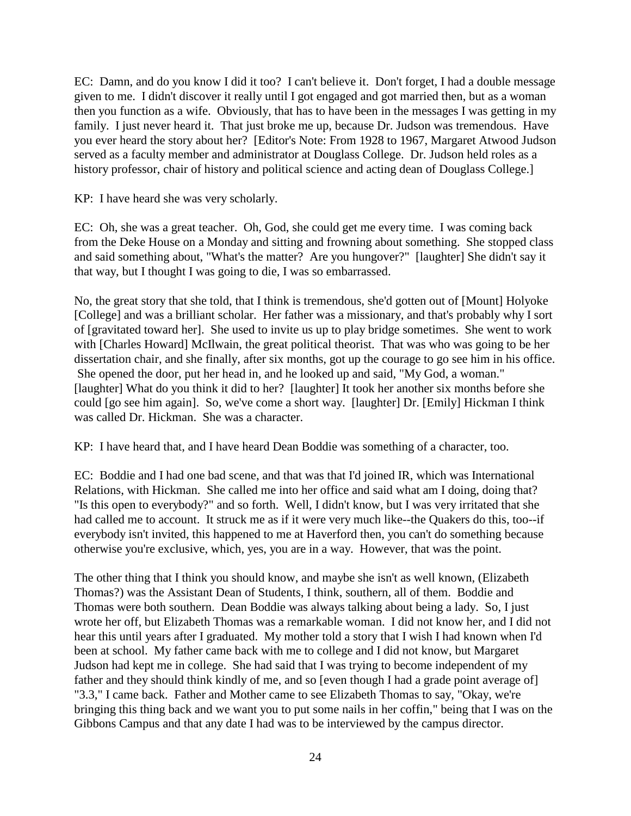EC: Damn, and do you know I did it too? I can't believe it. Don't forget, I had a double message given to me. I didn't discover it really until I got engaged and got married then, but as a woman then you function as a wife. Obviously, that has to have been in the messages I was getting in my family. I just never heard it. That just broke me up, because Dr. Judson was tremendous. Have you ever heard the story about her? [Editor's Note: From 1928 to 1967, Margaret Atwood Judson served as a faculty member and administrator at Douglass College. Dr. Judson held roles as a history professor, chair of history and political science and acting dean of Douglass College.

KP: I have heard she was very scholarly.

EC: Oh, she was a great teacher. Oh, God, she could get me every time. I was coming back from the Deke House on a Monday and sitting and frowning about something. She stopped class and said something about, "What's the matter? Are you hungover?" [laughter] She didn't say it that way, but I thought I was going to die, I was so embarrassed.

No, the great story that she told, that I think is tremendous, she'd gotten out of [Mount] Holyoke [College] and was a brilliant scholar. Her father was a missionary, and that's probably why I sort of [gravitated toward her]. She used to invite us up to play bridge sometimes. She went to work with [Charles Howard] McIlwain, the great political theorist. That was who was going to be her dissertation chair, and she finally, after six months, got up the courage to go see him in his office. She opened the door, put her head in, and he looked up and said, "My God, a woman." [laughter] What do you think it did to her? [laughter] It took her another six months before she could [go see him again]. So, we've come a short way. [laughter] Dr. [Emily] Hickman I think was called Dr. Hickman. She was a character.

KP: I have heard that, and I have heard Dean Boddie was something of a character, too.

EC: Boddie and I had one bad scene, and that was that I'd joined IR, which was International Relations, with Hickman. She called me into her office and said what am I doing, doing that? "Is this open to everybody?" and so forth. Well, I didn't know, but I was very irritated that she had called me to account. It struck me as if it were very much like--the Quakers do this, too--if everybody isn't invited, this happened to me at Haverford then, you can't do something because otherwise you're exclusive, which, yes, you are in a way. However, that was the point.

The other thing that I think you should know, and maybe she isn't as well known, (Elizabeth Thomas?) was the Assistant Dean of Students, I think, southern, all of them. Boddie and Thomas were both southern. Dean Boddie was always talking about being a lady. So, I just wrote her off, but Elizabeth Thomas was a remarkable woman. I did not know her, and I did not hear this until years after I graduated. My mother told a story that I wish I had known when I'd been at school. My father came back with me to college and I did not know, but Margaret Judson had kept me in college. She had said that I was trying to become independent of my father and they should think kindly of me, and so [even though I had a grade point average of] "3.3," I came back. Father and Mother came to see Elizabeth Thomas to say, "Okay, we're bringing this thing back and we want you to put some nails in her coffin," being that I was on the Gibbons Campus and that any date I had was to be interviewed by the campus director.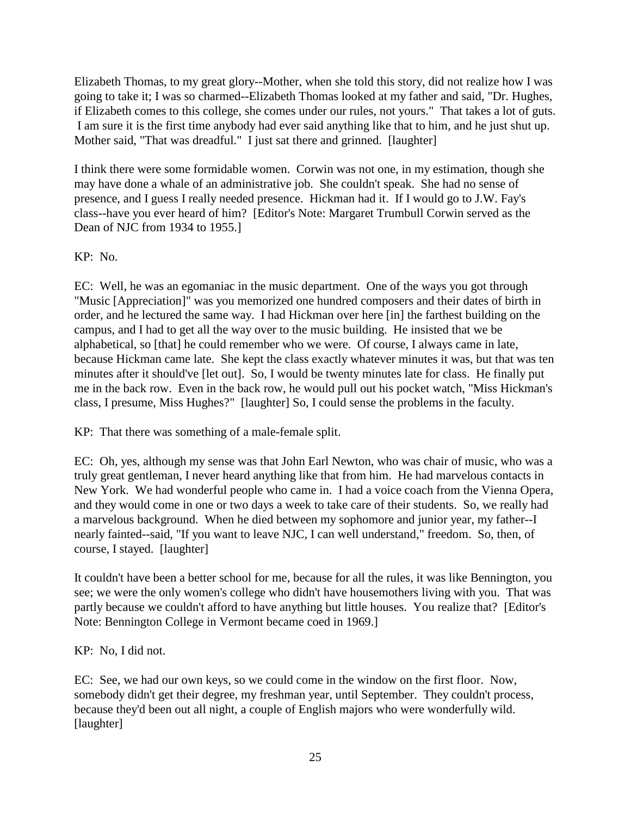Elizabeth Thomas, to my great glory--Mother, when she told this story, did not realize how I was going to take it; I was so charmed--Elizabeth Thomas looked at my father and said, "Dr. Hughes, if Elizabeth comes to this college, she comes under our rules, not yours." That takes a lot of guts. I am sure it is the first time anybody had ever said anything like that to him, and he just shut up. Mother said, "That was dreadful." I just sat there and grinned. [laughter]

I think there were some formidable women. Corwin was not one, in my estimation, though she may have done a whale of an administrative job. She couldn't speak. She had no sense of presence, and I guess I really needed presence. Hickman had it. If I would go to J.W. Fay's class--have you ever heard of him? [Editor's Note: Margaret Trumbull Corwin served as the Dean of NJC from 1934 to 1955.]

# KP: No.

EC: Well, he was an egomaniac in the music department. One of the ways you got through "Music [Appreciation]" was you memorized one hundred composers and their dates of birth in order, and he lectured the same way. I had Hickman over here [in] the farthest building on the campus, and I had to get all the way over to the music building. He insisted that we be alphabetical, so [that] he could remember who we were. Of course, I always came in late, because Hickman came late. She kept the class exactly whatever minutes it was, but that was ten minutes after it should've [let out]. So, I would be twenty minutes late for class. He finally put me in the back row. Even in the back row, he would pull out his pocket watch, "Miss Hickman's class, I presume, Miss Hughes?" [laughter] So, I could sense the problems in the faculty.

KP: That there was something of a male-female split.

EC: Oh, yes, although my sense was that John Earl Newton, who was chair of music, who was a truly great gentleman, I never heard anything like that from him. He had marvelous contacts in New York. We had wonderful people who came in. I had a voice coach from the Vienna Opera, and they would come in one or two days a week to take care of their students. So, we really had a marvelous background. When he died between my sophomore and junior year, my father--I nearly fainted--said, "If you want to leave NJC, I can well understand," freedom. So, then, of course, I stayed. [laughter]

It couldn't have been a better school for me, because for all the rules, it was like Bennington, you see; we were the only women's college who didn't have housemothers living with you. That was partly because we couldn't afford to have anything but little houses. You realize that? [Editor's Note: Bennington College in Vermont became coed in 1969.]

# KP: No, I did not.

EC: See, we had our own keys, so we could come in the window on the first floor. Now, somebody didn't get their degree, my freshman year, until September. They couldn't process, because they'd been out all night, a couple of English majors who were wonderfully wild. [laughter]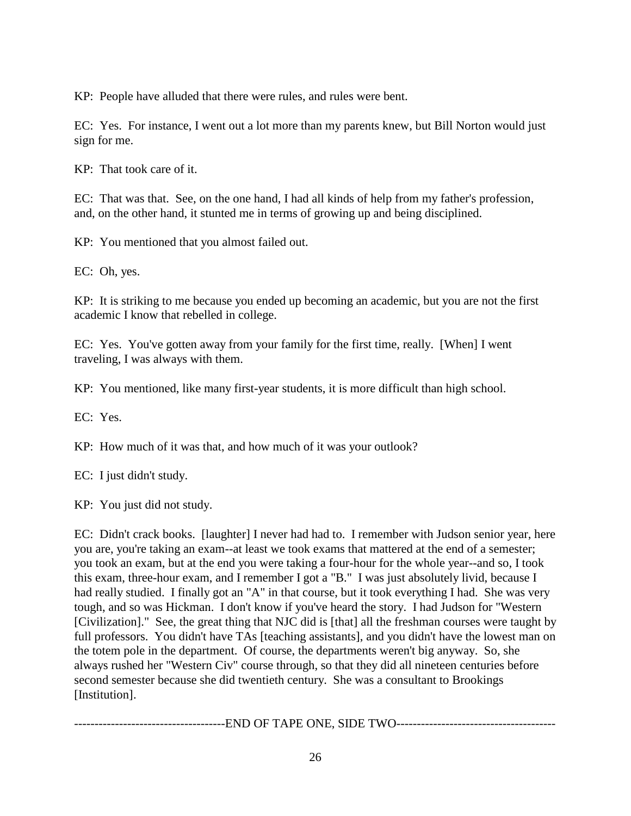KP: People have alluded that there were rules, and rules were bent.

EC: Yes. For instance, I went out a lot more than my parents knew, but Bill Norton would just sign for me.

KP: That took care of it.

EC: That was that. See, on the one hand, I had all kinds of help from my father's profession, and, on the other hand, it stunted me in terms of growing up and being disciplined.

KP: You mentioned that you almost failed out.

EC: Oh, yes.

KP: It is striking to me because you ended up becoming an academic, but you are not the first academic I know that rebelled in college.

EC: Yes. You've gotten away from your family for the first time, really. [When] I went traveling, I was always with them.

KP: You mentioned, like many first-year students, it is more difficult than high school.

EC: Yes.

KP: How much of it was that, and how much of it was your outlook?

EC: I just didn't study.

KP: You just did not study.

EC: Didn't crack books. [laughter] I never had had to. I remember with Judson senior year, here you are, you're taking an exam--at least we took exams that mattered at the end of a semester; you took an exam, but at the end you were taking a four-hour for the whole year--and so, I took this exam, three-hour exam, and I remember I got a "B." I was just absolutely livid, because I had really studied. I finally got an "A" in that course, but it took everything I had. She was very tough, and so was Hickman. I don't know if you've heard the story. I had Judson for "Western [Civilization]." See, the great thing that NJC did is [that] all the freshman courses were taught by full professors. You didn't have TAs [teaching assistants], and you didn't have the lowest man on the totem pole in the department. Of course, the departments weren't big anyway. So, she always rushed her "Western Civ" course through, so that they did all nineteen centuries before second semester because she did twentieth century. She was a consultant to Brookings [Institution].

-------------------------------------END OF TAPE ONE, SIDE TWO---------------------------------------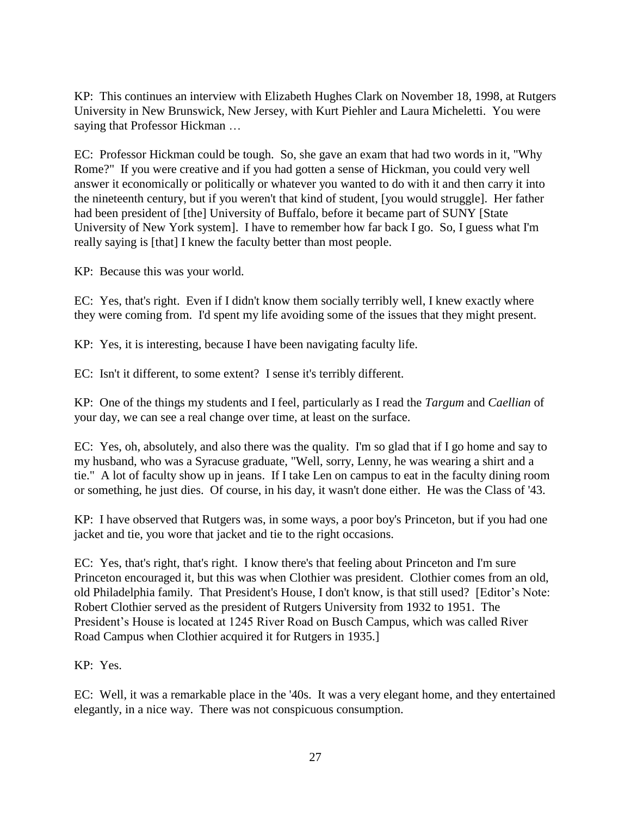KP: This continues an interview with Elizabeth Hughes Clark on November 18, 1998, at Rutgers University in New Brunswick, New Jersey, with Kurt Piehler and Laura Micheletti. You were saying that Professor Hickman …

EC: Professor Hickman could be tough. So, she gave an exam that had two words in it, "Why Rome?" If you were creative and if you had gotten a sense of Hickman, you could very well answer it economically or politically or whatever you wanted to do with it and then carry it into the nineteenth century, but if you weren't that kind of student, [you would struggle]. Her father had been president of [the] University of Buffalo, before it became part of SUNY [State University of New York system]. I have to remember how far back I go. So, I guess what I'm really saying is [that] I knew the faculty better than most people.

KP: Because this was your world.

EC: Yes, that's right. Even if I didn't know them socially terribly well, I knew exactly where they were coming from. I'd spent my life avoiding some of the issues that they might present.

KP: Yes, it is interesting, because I have been navigating faculty life.

EC: Isn't it different, to some extent? I sense it's terribly different.

KP: One of the things my students and I feel, particularly as I read the *Targum* and *Caellian* of your day, we can see a real change over time, at least on the surface.

EC: Yes, oh, absolutely, and also there was the quality. I'm so glad that if I go home and say to my husband, who was a Syracuse graduate, "Well, sorry, Lenny, he was wearing a shirt and a tie." A lot of faculty show up in jeans. If I take Len on campus to eat in the faculty dining room or something, he just dies. Of course, in his day, it wasn't done either. He was the Class of '43.

KP: I have observed that Rutgers was, in some ways, a poor boy's Princeton, but if you had one jacket and tie, you wore that jacket and tie to the right occasions.

EC: Yes, that's right, that's right. I know there's that feeling about Princeton and I'm sure Princeton encouraged it, but this was when Clothier was president. Clothier comes from an old, old Philadelphia family. That President's House, I don't know, is that still used? [Editor's Note: Robert Clothier served as the president of Rutgers University from 1932 to 1951. The President's House is located at 1245 River Road on Busch Campus, which was called River Road Campus when Clothier acquired it for Rutgers in 1935.]

KP: Yes.

EC: Well, it was a remarkable place in the '40s. It was a very elegant home, and they entertained elegantly, in a nice way. There was not conspicuous consumption.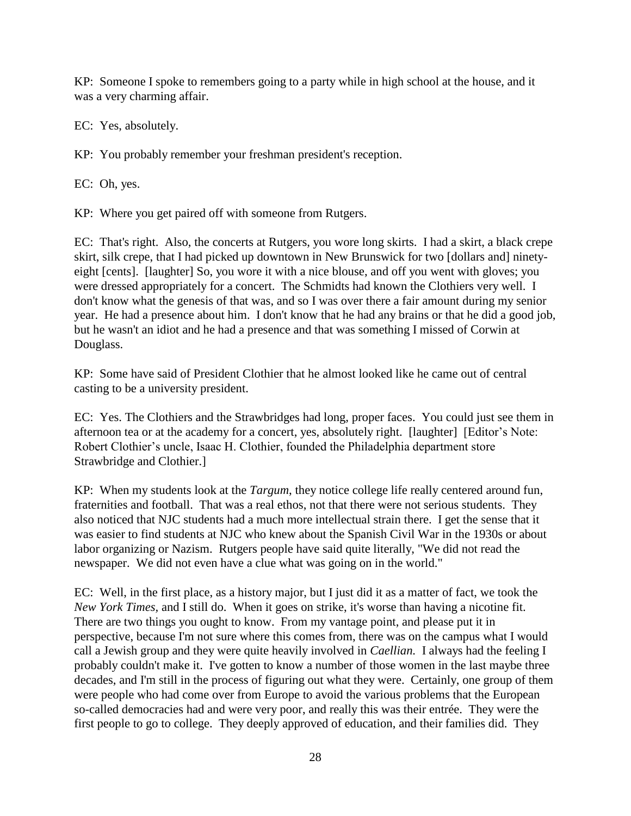KP: Someone I spoke to remembers going to a party while in high school at the house, and it was a very charming affair.

EC: Yes, absolutely.

KP: You probably remember your freshman president's reception.

EC: Oh, yes.

KP: Where you get paired off with someone from Rutgers.

EC: That's right. Also, the concerts at Rutgers, you wore long skirts. I had a skirt, a black crepe skirt, silk crepe, that I had picked up downtown in New Brunswick for two [dollars and] ninetyeight [cents]. [laughter] So, you wore it with a nice blouse, and off you went with gloves; you were dressed appropriately for a concert. The Schmidts had known the Clothiers very well. I don't know what the genesis of that was, and so I was over there a fair amount during my senior year. He had a presence about him. I don't know that he had any brains or that he did a good job, but he wasn't an idiot and he had a presence and that was something I missed of Corwin at Douglass.

KP: Some have said of President Clothier that he almost looked like he came out of central casting to be a university president.

EC: Yes. The Clothiers and the Strawbridges had long, proper faces. You could just see them in afternoon tea or at the academy for a concert, yes, absolutely right. [laughter] [Editor's Note: Robert Clothier's uncle, Isaac H. Clothier, founded the Philadelphia department store Strawbridge and Clothier.]

KP: When my students look at the *Targum*, they notice college life really centered around fun, fraternities and football. That was a real ethos, not that there were not serious students. They also noticed that NJC students had a much more intellectual strain there. I get the sense that it was easier to find students at NJC who knew about the Spanish Civil War in the 1930s or about labor organizing or Nazism. Rutgers people have said quite literally, "We did not read the newspaper. We did not even have a clue what was going on in the world."

EC: Well, in the first place, as a history major, but I just did it as a matter of fact, we took the *New York Times,* and I still do. When it goes on strike, it's worse than having a nicotine fit. There are two things you ought to know. From my vantage point, and please put it in perspective, because I'm not sure where this comes from, there was on the campus what I would call a Jewish group and they were quite heavily involved in *Caellian.* I always had the feeling I probably couldn't make it. I've gotten to know a number of those women in the last maybe three decades, and I'm still in the process of figuring out what they were. Certainly, one group of them were people who had come over from Europe to avoid the various problems that the European so-called democracies had and were very poor, and really this was their entrée. They were the first people to go to college. They deeply approved of education, and their families did. They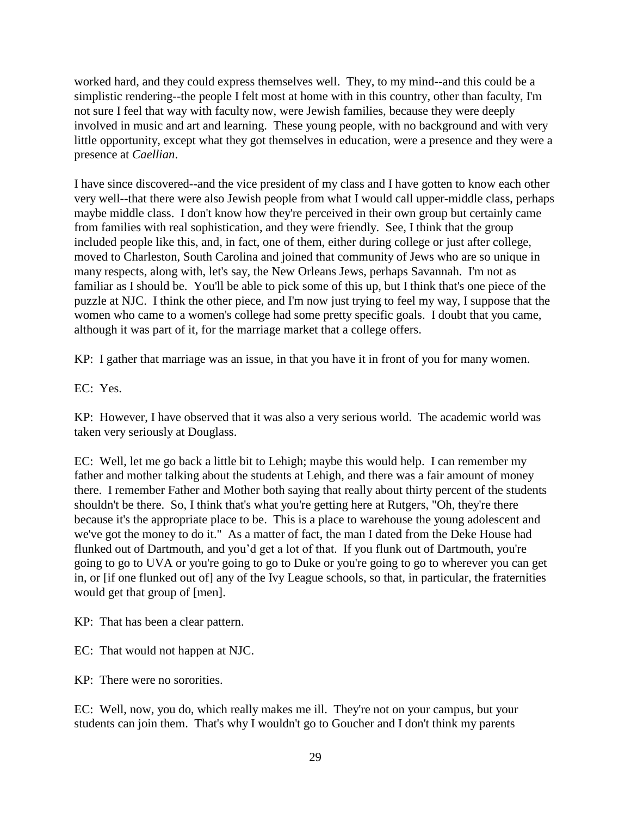worked hard, and they could express themselves well. They, to my mind--and this could be a simplistic rendering--the people I felt most at home with in this country, other than faculty, I'm not sure I feel that way with faculty now, were Jewish families, because they were deeply involved in music and art and learning. These young people, with no background and with very little opportunity, except what they got themselves in education, were a presence and they were a presence at *Caellian*.

I have since discovered--and the vice president of my class and I have gotten to know each other very well--that there were also Jewish people from what I would call upper-middle class, perhaps maybe middle class. I don't know how they're perceived in their own group but certainly came from families with real sophistication, and they were friendly. See, I think that the group included people like this, and, in fact, one of them, either during college or just after college, moved to Charleston, South Carolina and joined that community of Jews who are so unique in many respects, along with, let's say, the New Orleans Jews, perhaps Savannah. I'm not as familiar as I should be. You'll be able to pick some of this up, but I think that's one piece of the puzzle at NJC. I think the other piece, and I'm now just trying to feel my way, I suppose that the women who came to a women's college had some pretty specific goals. I doubt that you came, although it was part of it, for the marriage market that a college offers.

KP: I gather that marriage was an issue, in that you have it in front of you for many women.

EC: Yes.

KP: However, I have observed that it was also a very serious world. The academic world was taken very seriously at Douglass.

EC: Well, let me go back a little bit to Lehigh; maybe this would help. I can remember my father and mother talking about the students at Lehigh, and there was a fair amount of money there. I remember Father and Mother both saying that really about thirty percent of the students shouldn't be there. So, I think that's what you're getting here at Rutgers, "Oh, they're there because it's the appropriate place to be. This is a place to warehouse the young adolescent and we've got the money to do it." As a matter of fact, the man I dated from the Deke House had flunked out of Dartmouth, and you'd get a lot of that. If you flunk out of Dartmouth, you're going to go to UVA or you're going to go to Duke or you're going to go to wherever you can get in, or [if one flunked out of] any of the Ivy League schools, so that, in particular, the fraternities would get that group of [men].

KP: That has been a clear pattern.

EC: That would not happen at NJC.

KP: There were no sororities.

EC: Well, now, you do, which really makes me ill. They're not on your campus, but your students can join them. That's why I wouldn't go to Goucher and I don't think my parents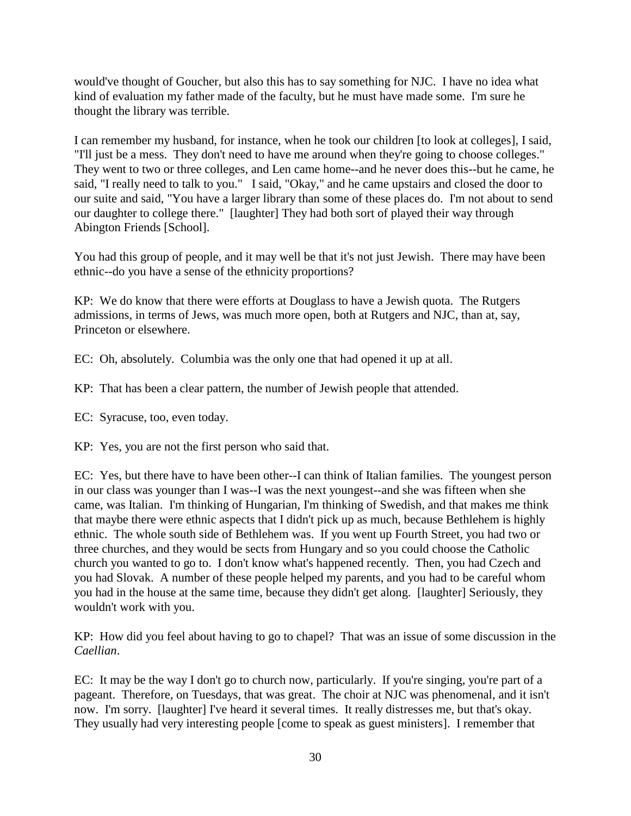would've thought of Goucher, but also this has to say something for NJC. I have no idea what kind of evaluation my father made of the faculty, but he must have made some. I'm sure he thought the library was terrible.

I can remember my husband, for instance, when he took our children [to look at colleges], I said, "I'll just be a mess. They don't need to have me around when they're going to choose colleges." They went to two or three colleges, and Len came home--and he never does this--but he came, he said, "I really need to talk to you." I said, "Okay," and he came upstairs and closed the door to our suite and said, "You have a larger library than some of these places do. I'm not about to send our daughter to college there." [laughter] They had both sort of played their way through Abington Friends [School].

You had this group of people, and it may well be that it's not just Jewish. There may have been ethnic--do you have a sense of the ethnicity proportions?

KP: We do know that there were efforts at Douglass to have a Jewish quota. The Rutgers admissions, in terms of Jews, was much more open, both at Rutgers and NJC, than at, say, Princeton or elsewhere.

EC: Oh, absolutely. Columbia was the only one that had opened it up at all.

KP: That has been a clear pattern, the number of Jewish people that attended.

EC: Syracuse, too, even today.

KP: Yes, you are not the first person who said that.

EC: Yes, but there have to have been other--I can think of Italian families. The youngest person in our class was younger than I was--I was the next youngest--and she was fifteen when she came, was Italian. I'm thinking of Hungarian, I'm thinking of Swedish, and that makes me think that maybe there were ethnic aspects that I didn't pick up as much, because Bethlehem is highly ethnic. The whole south side of Bethlehem was. If you went up Fourth Street, you had two or three churches, and they would be sects from Hungary and so you could choose the Catholic church you wanted to go to. I don't know what's happened recently. Then, you had Czech and you had Slovak. A number of these people helped my parents, and you had to be careful whom you had in the house at the same time, because they didn't get along. [laughter] Seriously, they wouldn't work with you.

KP: How did you feel about having to go to chapel? That was an issue of some discussion in the *Caellian*.

EC: It may be the way I don't go to church now, particularly. If you're singing, you're part of a pageant. Therefore, on Tuesdays, that was great. The choir at NJC was phenomenal, and it isn't now. I'm sorry. [laughter] I've heard it several times. It really distresses me, but that's okay. They usually had very interesting people [come to speak as guest ministers]. I remember that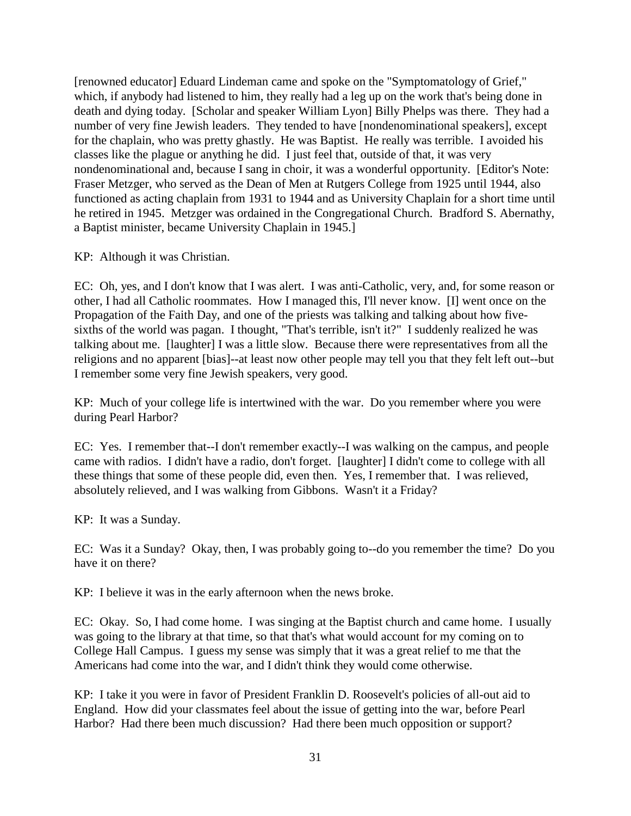[renowned educator] Eduard Lindeman came and spoke on the "Symptomatology of Grief," which, if anybody had listened to him, they really had a leg up on the work that's being done in death and dying today. [Scholar and speaker William Lyon] Billy Phelps was there. They had a number of very fine Jewish leaders. They tended to have [nondenominational speakers], except for the chaplain, who was pretty ghastly. He was Baptist. He really was terrible. I avoided his classes like the plague or anything he did. I just feel that, outside of that, it was very nondenominational and, because I sang in choir, it was a wonderful opportunity. [Editor's Note: Fraser Metzger, who served as the Dean of Men at Rutgers College from 1925 until 1944, also functioned as acting chaplain from 1931 to 1944 and as University Chaplain for a short time until he retired in 1945. Metzger was ordained in the Congregational Church. Bradford S. Abernathy, a Baptist minister, became University Chaplain in 1945.]

KP: Although it was Christian.

EC: Oh, yes, and I don't know that I was alert. I was anti-Catholic, very, and, for some reason or other, I had all Catholic roommates. How I managed this, I'll never know. [I] went once on the Propagation of the Faith Day, and one of the priests was talking and talking about how fivesixths of the world was pagan. I thought, "That's terrible, isn't it?" I suddenly realized he was talking about me. [laughter] I was a little slow. Because there were representatives from all the religions and no apparent [bias]--at least now other people may tell you that they felt left out--but I remember some very fine Jewish speakers, very good.

KP: Much of your college life is intertwined with the war. Do you remember where you were during Pearl Harbor?

EC: Yes. I remember that--I don't remember exactly--I was walking on the campus, and people came with radios. I didn't have a radio, don't forget. [laughter] I didn't come to college with all these things that some of these people did, even then. Yes, I remember that. I was relieved, absolutely relieved, and I was walking from Gibbons. Wasn't it a Friday?

KP: It was a Sunday.

EC: Was it a Sunday? Okay, then, I was probably going to--do you remember the time? Do you have it on there?

KP: I believe it was in the early afternoon when the news broke.

EC: Okay. So, I had come home. I was singing at the Baptist church and came home. I usually was going to the library at that time, so that that's what would account for my coming on to College Hall Campus. I guess my sense was simply that it was a great relief to me that the Americans had come into the war, and I didn't think they would come otherwise.

KP: I take it you were in favor of President Franklin D. Roosevelt's policies of all-out aid to England. How did your classmates feel about the issue of getting into the war, before Pearl Harbor? Had there been much discussion? Had there been much opposition or support?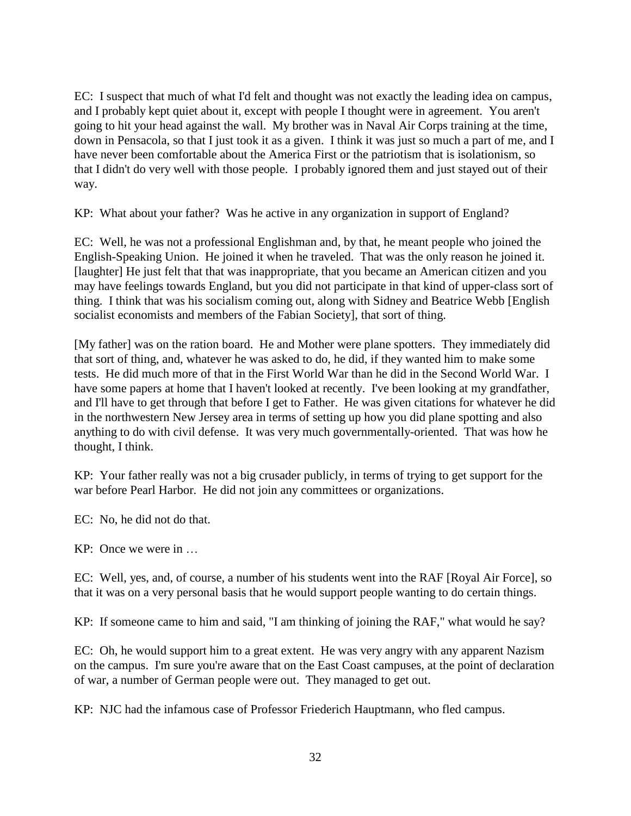EC: I suspect that much of what I'd felt and thought was not exactly the leading idea on campus, and I probably kept quiet about it, except with people I thought were in agreement. You aren't going to hit your head against the wall. My brother was in Naval Air Corps training at the time, down in Pensacola, so that I just took it as a given. I think it was just so much a part of me, and I have never been comfortable about the America First or the patriotism that is isolationism, so that I didn't do very well with those people. I probably ignored them and just stayed out of their way.

KP: What about your father? Was he active in any organization in support of England?

EC: Well, he was not a professional Englishman and, by that, he meant people who joined the English-Speaking Union. He joined it when he traveled. That was the only reason he joined it. [laughter] He just felt that that was inappropriate, that you became an American citizen and you may have feelings towards England, but you did not participate in that kind of upper-class sort of thing. I think that was his socialism coming out, along with Sidney and Beatrice Webb [English socialist economists and members of the Fabian Society], that sort of thing.

[My father] was on the ration board. He and Mother were plane spotters. They immediately did that sort of thing, and, whatever he was asked to do, he did, if they wanted him to make some tests. He did much more of that in the First World War than he did in the Second World War. I have some papers at home that I haven't looked at recently. I've been looking at my grandfather, and I'll have to get through that before I get to Father. He was given citations for whatever he did in the northwestern New Jersey area in terms of setting up how you did plane spotting and also anything to do with civil defense. It was very much governmentally-oriented. That was how he thought, I think.

KP: Your father really was not a big crusader publicly, in terms of trying to get support for the war before Pearl Harbor. He did not join any committees or organizations.

EC: No, he did not do that.

KP: Once we were in …

EC: Well, yes, and, of course, a number of his students went into the RAF [Royal Air Force], so that it was on a very personal basis that he would support people wanting to do certain things.

KP: If someone came to him and said, "I am thinking of joining the RAF," what would he say?

EC: Oh, he would support him to a great extent. He was very angry with any apparent Nazism on the campus. I'm sure you're aware that on the East Coast campuses, at the point of declaration of war, a number of German people were out. They managed to get out.

KP: NJC had the infamous case of Professor Friederich Hauptmann, who fled campus.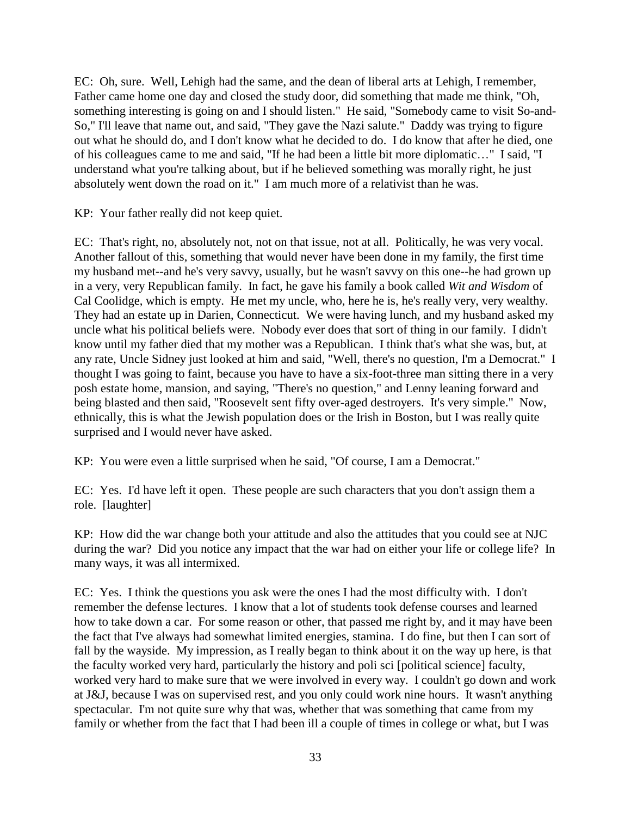EC: Oh, sure. Well, Lehigh had the same, and the dean of liberal arts at Lehigh, I remember, Father came home one day and closed the study door, did something that made me think, "Oh, something interesting is going on and I should listen." He said, "Somebody came to visit So-and-So," I'll leave that name out, and said, "They gave the Nazi salute." Daddy was trying to figure out what he should do, and I don't know what he decided to do. I do know that after he died, one of his colleagues came to me and said, "If he had been a little bit more diplomatic…" I said, "I understand what you're talking about, but if he believed something was morally right, he just absolutely went down the road on it." I am much more of a relativist than he was.

KP: Your father really did not keep quiet.

EC: That's right, no, absolutely not, not on that issue, not at all. Politically, he was very vocal. Another fallout of this, something that would never have been done in my family, the first time my husband met--and he's very savvy, usually, but he wasn't savvy on this one--he had grown up in a very, very Republican family. In fact, he gave his family a book called *Wit and Wisdom* of Cal Coolidge, which is empty. He met my uncle, who, here he is, he's really very, very wealthy. They had an estate up in Darien, Connecticut. We were having lunch, and my husband asked my uncle what his political beliefs were. Nobody ever does that sort of thing in our family. I didn't know until my father died that my mother was a Republican. I think that's what she was, but, at any rate, Uncle Sidney just looked at him and said, "Well, there's no question, I'm a Democrat." I thought I was going to faint, because you have to have a six-foot-three man sitting there in a very posh estate home, mansion, and saying, "There's no question," and Lenny leaning forward and being blasted and then said, "Roosevelt sent fifty over-aged destroyers. It's very simple." Now, ethnically, this is what the Jewish population does or the Irish in Boston, but I was really quite surprised and I would never have asked.

KP: You were even a little surprised when he said, "Of course, I am a Democrat."

EC: Yes. I'd have left it open. These people are such characters that you don't assign them a role. [laughter]

KP: How did the war change both your attitude and also the attitudes that you could see at NJC during the war? Did you notice any impact that the war had on either your life or college life? In many ways, it was all intermixed.

EC: Yes. I think the questions you ask were the ones I had the most difficulty with. I don't remember the defense lectures. I know that a lot of students took defense courses and learned how to take down a car. For some reason or other, that passed me right by, and it may have been the fact that I've always had somewhat limited energies, stamina. I do fine, but then I can sort of fall by the wayside. My impression, as I really began to think about it on the way up here, is that the faculty worked very hard, particularly the history and poli sci [political science] faculty, worked very hard to make sure that we were involved in every way. I couldn't go down and work at J&J, because I was on supervised rest, and you only could work nine hours. It wasn't anything spectacular. I'm not quite sure why that was, whether that was something that came from my family or whether from the fact that I had been ill a couple of times in college or what, but I was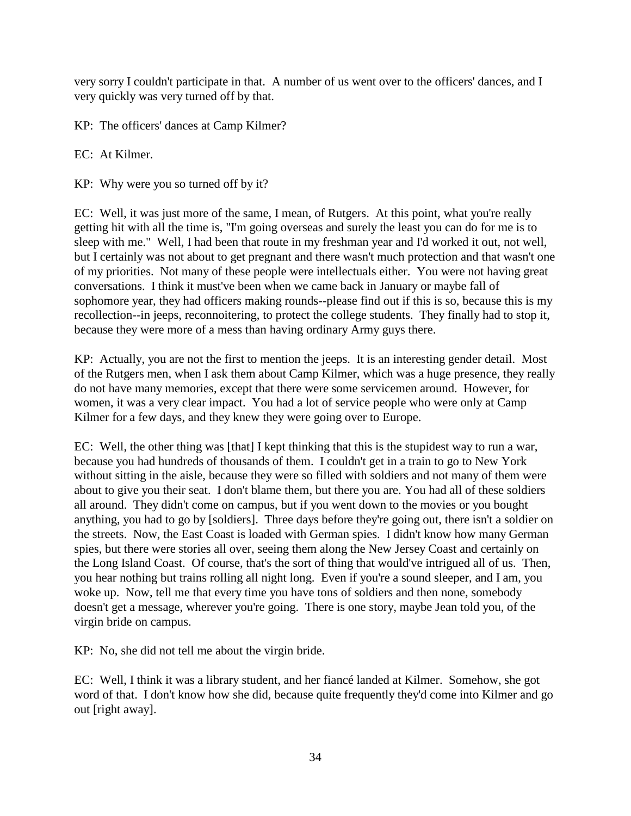very sorry I couldn't participate in that. A number of us went over to the officers' dances, and I very quickly was very turned off by that.

KP: The officers' dances at Camp Kilmer?

EC: At Kilmer.

KP: Why were you so turned off by it?

EC: Well, it was just more of the same, I mean, of Rutgers. At this point, what you're really getting hit with all the time is, "I'm going overseas and surely the least you can do for me is to sleep with me." Well, I had been that route in my freshman year and I'd worked it out, not well, but I certainly was not about to get pregnant and there wasn't much protection and that wasn't one of my priorities. Not many of these people were intellectuals either. You were not having great conversations. I think it must've been when we came back in January or maybe fall of sophomore year, they had officers making rounds--please find out if this is so, because this is my recollection--in jeeps, reconnoitering, to protect the college students. They finally had to stop it, because they were more of a mess than having ordinary Army guys there.

KP: Actually, you are not the first to mention the jeeps. It is an interesting gender detail. Most of the Rutgers men, when I ask them about Camp Kilmer, which was a huge presence, they really do not have many memories, except that there were some servicemen around. However, for women, it was a very clear impact. You had a lot of service people who were only at Camp Kilmer for a few days, and they knew they were going over to Europe.

EC: Well, the other thing was [that] I kept thinking that this is the stupidest way to run a war, because you had hundreds of thousands of them. I couldn't get in a train to go to New York without sitting in the aisle, because they were so filled with soldiers and not many of them were about to give you their seat. I don't blame them, but there you are. You had all of these soldiers all around. They didn't come on campus, but if you went down to the movies or you bought anything, you had to go by [soldiers]. Three days before they're going out, there isn't a soldier on the streets. Now, the East Coast is loaded with German spies. I didn't know how many German spies, but there were stories all over, seeing them along the New Jersey Coast and certainly on the Long Island Coast. Of course, that's the sort of thing that would've intrigued all of us. Then, you hear nothing but trains rolling all night long. Even if you're a sound sleeper, and I am, you woke up. Now, tell me that every time you have tons of soldiers and then none, somebody doesn't get a message, wherever you're going. There is one story, maybe Jean told you, of the virgin bride on campus.

KP: No, she did not tell me about the virgin bride.

EC: Well, I think it was a library student, and her fiancé landed at Kilmer. Somehow, she got word of that. I don't know how she did, because quite frequently they'd come into Kilmer and go out [right away].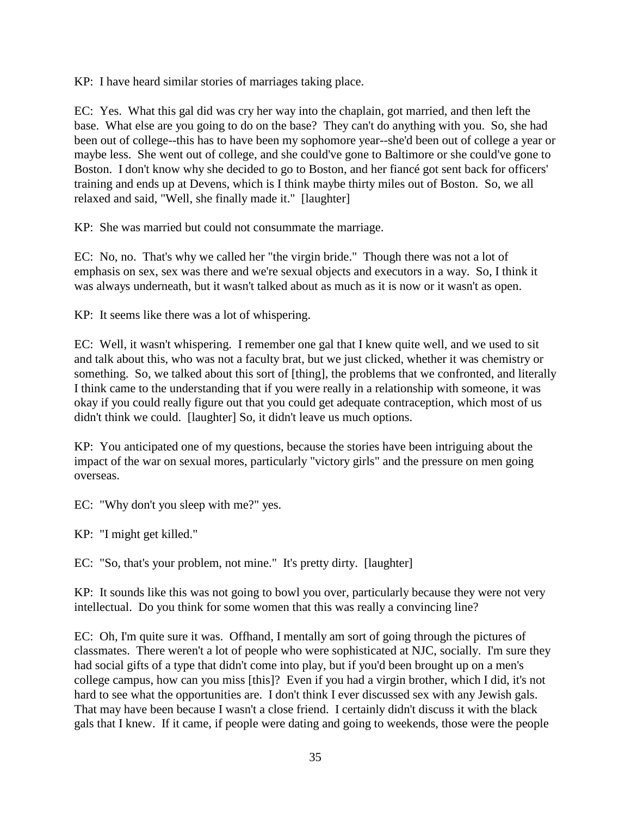KP: I have heard similar stories of marriages taking place.

EC: Yes. What this gal did was cry her way into the chaplain, got married, and then left the base. What else are you going to do on the base? They can't do anything with you. So, she had been out of college--this has to have been my sophomore year--she'd been out of college a year or maybe less. She went out of college, and she could've gone to Baltimore or she could've gone to Boston. I don't know why she decided to go to Boston, and her fiancé got sent back for officers' training and ends up at Devens, which is I think maybe thirty miles out of Boston. So, we all relaxed and said, "Well, she finally made it." [laughter]

KP: She was married but could not consummate the marriage.

EC: No, no. That's why we called her "the virgin bride." Though there was not a lot of emphasis on sex, sex was there and we're sexual objects and executors in a way. So, I think it was always underneath, but it wasn't talked about as much as it is now or it wasn't as open.

KP: It seems like there was a lot of whispering.

EC: Well, it wasn't whispering. I remember one gal that I knew quite well, and we used to sit and talk about this, who was not a faculty brat, but we just clicked, whether it was chemistry or something. So, we talked about this sort of [thing], the problems that we confronted, and literally I think came to the understanding that if you were really in a relationship with someone, it was okay if you could really figure out that you could get adequate contraception, which most of us didn't think we could. [laughter] So, it didn't leave us much options.

KP: You anticipated one of my questions, because the stories have been intriguing about the impact of the war on sexual mores, particularly "victory girls" and the pressure on men going overseas.

EC: "Why don't you sleep with me?" yes.

KP: "I might get killed."

EC: "So, that's your problem, not mine." It's pretty dirty. [laughter]

KP: It sounds like this was not going to bowl you over, particularly because they were not very intellectual. Do you think for some women that this was really a convincing line?

EC: Oh, I'm quite sure it was. Offhand, I mentally am sort of going through the pictures of classmates. There weren't a lot of people who were sophisticated at NJC, socially. I'm sure they had social gifts of a type that didn't come into play, but if you'd been brought up on a men's college campus, how can you miss [this]? Even if you had a virgin brother, which I did, it's not hard to see what the opportunities are. I don't think I ever discussed sex with any Jewish gals. That may have been because I wasn't a close friend. I certainly didn't discuss it with the black gals that I knew. If it came, if people were dating and going to weekends, those were the people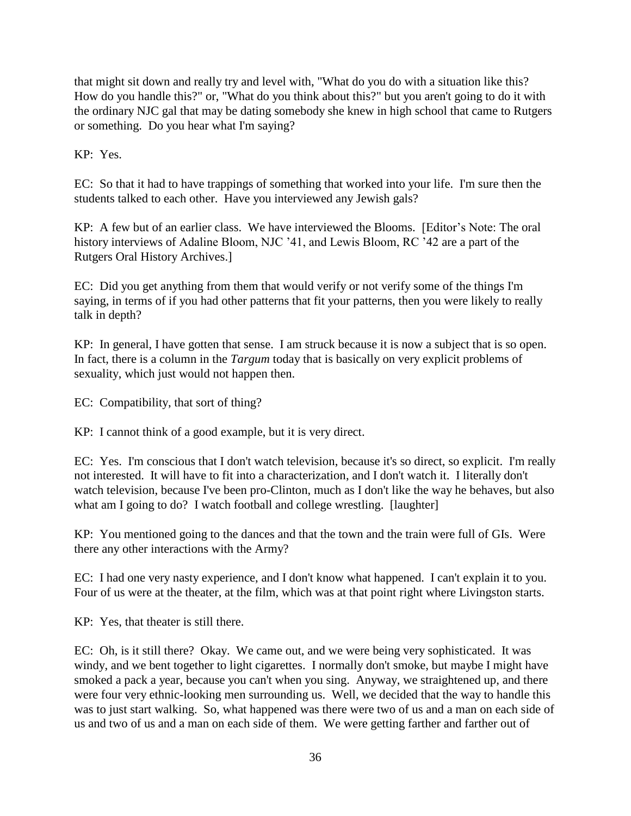that might sit down and really try and level with, "What do you do with a situation like this? How do you handle this?" or, "What do you think about this?" but you aren't going to do it with the ordinary NJC gal that may be dating somebody she knew in high school that came to Rutgers or something. Do you hear what I'm saying?

KP: Yes.

EC: So that it had to have trappings of something that worked into your life. I'm sure then the students talked to each other. Have you interviewed any Jewish gals?

KP: A few but of an earlier class. We have interviewed the Blooms. [Editor's Note: The oral history interviews of Adaline Bloom, NJC '41, and Lewis Bloom, RC '42 are a part of the Rutgers Oral History Archives.]

EC: Did you get anything from them that would verify or not verify some of the things I'm saying, in terms of if you had other patterns that fit your patterns, then you were likely to really talk in depth?

KP: In general, I have gotten that sense. I am struck because it is now a subject that is so open. In fact, there is a column in the *Targum* today that is basically on very explicit problems of sexuality, which just would not happen then.

EC: Compatibility, that sort of thing?

KP: I cannot think of a good example, but it is very direct.

EC: Yes. I'm conscious that I don't watch television, because it's so direct, so explicit. I'm really not interested. It will have to fit into a characterization, and I don't watch it. I literally don't watch television, because I've been pro-Clinton, much as I don't like the way he behaves, but also what am I going to do? I watch football and college wrestling. [laughter]

KP: You mentioned going to the dances and that the town and the train were full of GIs. Were there any other interactions with the Army?

EC: I had one very nasty experience, and I don't know what happened. I can't explain it to you. Four of us were at the theater, at the film, which was at that point right where Livingston starts.

KP: Yes, that theater is still there.

EC: Oh, is it still there? Okay. We came out, and we were being very sophisticated. It was windy, and we bent together to light cigarettes. I normally don't smoke, but maybe I might have smoked a pack a year, because you can't when you sing. Anyway, we straightened up, and there were four very ethnic-looking men surrounding us. Well, we decided that the way to handle this was to just start walking. So, what happened was there were two of us and a man on each side of us and two of us and a man on each side of them. We were getting farther and farther out of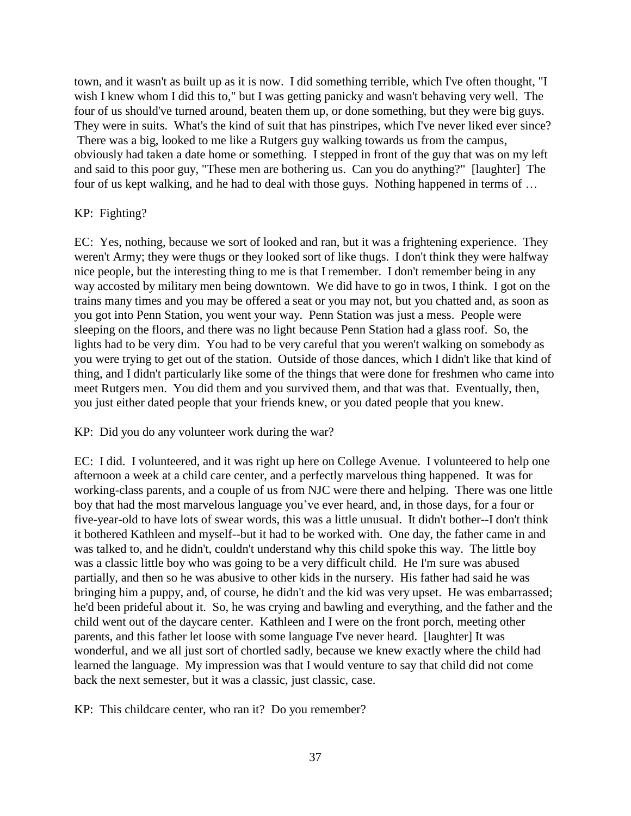town, and it wasn't as built up as it is now. I did something terrible, which I've often thought, "I wish I knew whom I did this to," but I was getting panicky and wasn't behaving very well. The four of us should've turned around, beaten them up, or done something, but they were big guys. They were in suits. What's the kind of suit that has pinstripes, which I've never liked ever since? There was a big, looked to me like a Rutgers guy walking towards us from the campus, obviously had taken a date home or something. I stepped in front of the guy that was on my left and said to this poor guy, "These men are bothering us. Can you do anything?" [laughter] The four of us kept walking, and he had to deal with those guys. Nothing happened in terms of …

#### KP: Fighting?

EC: Yes, nothing, because we sort of looked and ran, but it was a frightening experience. They weren't Army; they were thugs or they looked sort of like thugs. I don't think they were halfway nice people, but the interesting thing to me is that I remember. I don't remember being in any way accosted by military men being downtown. We did have to go in twos, I think. I got on the trains many times and you may be offered a seat or you may not, but you chatted and, as soon as you got into Penn Station, you went your way. Penn Station was just a mess. People were sleeping on the floors, and there was no light because Penn Station had a glass roof. So, the lights had to be very dim. You had to be very careful that you weren't walking on somebody as you were trying to get out of the station. Outside of those dances, which I didn't like that kind of thing, and I didn't particularly like some of the things that were done for freshmen who came into meet Rutgers men. You did them and you survived them, and that was that. Eventually, then, you just either dated people that your friends knew, or you dated people that you knew.

#### KP: Did you do any volunteer work during the war?

EC: I did. I volunteered, and it was right up here on College Avenue. I volunteered to help one afternoon a week at a child care center, and a perfectly marvelous thing happened. It was for working-class parents, and a couple of us from NJC were there and helping. There was one little boy that had the most marvelous language you've ever heard, and, in those days, for a four or five-year-old to have lots of swear words, this was a little unusual. It didn't bother--I don't think it bothered Kathleen and myself--but it had to be worked with. One day, the father came in and was talked to, and he didn't, couldn't understand why this child spoke this way. The little boy was a classic little boy who was going to be a very difficult child. He I'm sure was abused partially, and then so he was abusive to other kids in the nursery. His father had said he was bringing him a puppy, and, of course, he didn't and the kid was very upset. He was embarrassed; he'd been prideful about it. So, he was crying and bawling and everything, and the father and the child went out of the daycare center. Kathleen and I were on the front porch, meeting other parents, and this father let loose with some language I've never heard. [laughter] It was wonderful, and we all just sort of chortled sadly, because we knew exactly where the child had learned the language. My impression was that I would venture to say that child did not come back the next semester, but it was a classic, just classic, case.

KP: This childcare center, who ran it? Do you remember?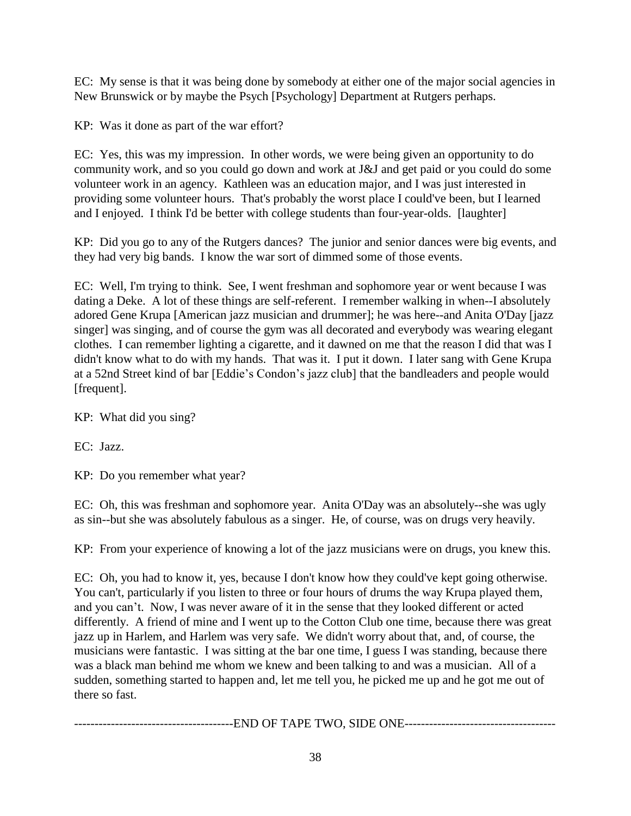EC: My sense is that it was being done by somebody at either one of the major social agencies in New Brunswick or by maybe the Psych [Psychology] Department at Rutgers perhaps.

KP: Was it done as part of the war effort?

EC: Yes, this was my impression. In other words, we were being given an opportunity to do community work, and so you could go down and work at J&J and get paid or you could do some volunteer work in an agency. Kathleen was an education major, and I was just interested in providing some volunteer hours. That's probably the worst place I could've been, but I learned and I enjoyed. I think I'd be better with college students than four-year-olds. [laughter]

KP: Did you go to any of the Rutgers dances? The junior and senior dances were big events, and they had very big bands. I know the war sort of dimmed some of those events.

EC: Well, I'm trying to think. See, I went freshman and sophomore year or went because I was dating a Deke. A lot of these things are self-referent. I remember walking in when--I absolutely adored Gene Krupa [American jazz musician and drummer]; he was here--and Anita O'Day [jazz singer] was singing, and of course the gym was all decorated and everybody was wearing elegant clothes. I can remember lighting a cigarette, and it dawned on me that the reason I did that was I didn't know what to do with my hands. That was it. I put it down. I later sang with Gene Krupa at a 52nd Street kind of bar [Eddie's Condon's jazz club] that the bandleaders and people would [frequent].

KP: What did you sing?

EC: Jazz.

KP: Do you remember what year?

EC: Oh, this was freshman and sophomore year. Anita O'Day was an absolutely--she was ugly as sin--but she was absolutely fabulous as a singer. He, of course, was on drugs very heavily.

KP: From your experience of knowing a lot of the jazz musicians were on drugs, you knew this.

EC: Oh, you had to know it, yes, because I don't know how they could've kept going otherwise. You can't, particularly if you listen to three or four hours of drums the way Krupa played them, and you can't. Now, I was never aware of it in the sense that they looked different or acted differently. A friend of mine and I went up to the Cotton Club one time, because there was great jazz up in Harlem, and Harlem was very safe. We didn't worry about that, and, of course, the musicians were fantastic. I was sitting at the bar one time, I guess I was standing, because there was a black man behind me whom we knew and been talking to and was a musician. All of a sudden, something started to happen and, let me tell you, he picked me up and he got me out of there so fast.

---------------------------------------END OF TAPE TWO, SIDE ONE-------------------------------------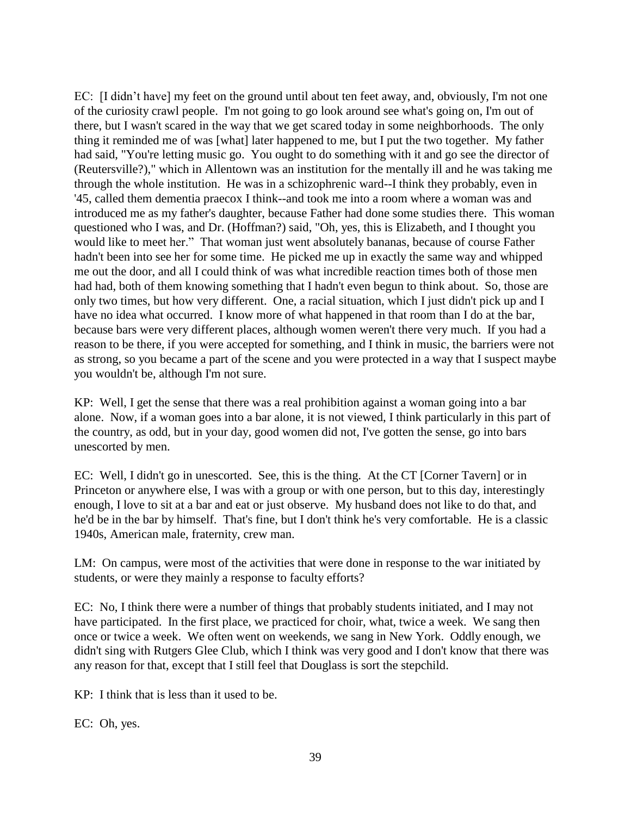EC: [I didn't have] my feet on the ground until about ten feet away, and, obviously, I'm not one of the curiosity crawl people. I'm not going to go look around see what's going on, I'm out of there, but I wasn't scared in the way that we get scared today in some neighborhoods. The only thing it reminded me of was [what] later happened to me, but I put the two together. My father had said, "You're letting music go. You ought to do something with it and go see the director of (Reutersville?)," which in Allentown was an institution for the mentally ill and he was taking me through the whole institution. He was in a schizophrenic ward--I think they probably, even in '45, called them dementia praecox I think--and took me into a room where a woman was and introduced me as my father's daughter, because Father had done some studies there. This woman questioned who I was, and Dr. (Hoffman?) said, "Oh, yes, this is Elizabeth, and I thought you would like to meet her." That woman just went absolutely bananas, because of course Father hadn't been into see her for some time. He picked me up in exactly the same way and whipped me out the door, and all I could think of was what incredible reaction times both of those men had had, both of them knowing something that I hadn't even begun to think about. So, those are only two times, but how very different. One, a racial situation, which I just didn't pick up and I have no idea what occurred. I know more of what happened in that room than I do at the bar, because bars were very different places, although women weren't there very much. If you had a reason to be there, if you were accepted for something, and I think in music, the barriers were not as strong, so you became a part of the scene and you were protected in a way that I suspect maybe you wouldn't be, although I'm not sure.

KP: Well, I get the sense that there was a real prohibition against a woman going into a bar alone. Now, if a woman goes into a bar alone, it is not viewed, I think particularly in this part of the country, as odd, but in your day, good women did not, I've gotten the sense, go into bars unescorted by men.

EC: Well, I didn't go in unescorted. See, this is the thing. At the CT [Corner Tavern] or in Princeton or anywhere else, I was with a group or with one person, but to this day, interestingly enough, I love to sit at a bar and eat or just observe. My husband does not like to do that, and he'd be in the bar by himself. That's fine, but I don't think he's very comfortable. He is a classic 1940s, American male, fraternity, crew man.

LM: On campus, were most of the activities that were done in response to the war initiated by students, or were they mainly a response to faculty efforts?

EC: No, I think there were a number of things that probably students initiated, and I may not have participated. In the first place, we practiced for choir, what, twice a week. We sang then once or twice a week. We often went on weekends, we sang in New York. Oddly enough, we didn't sing with Rutgers Glee Club, which I think was very good and I don't know that there was any reason for that, except that I still feel that Douglass is sort the stepchild.

KP: I think that is less than it used to be.

EC: Oh, yes.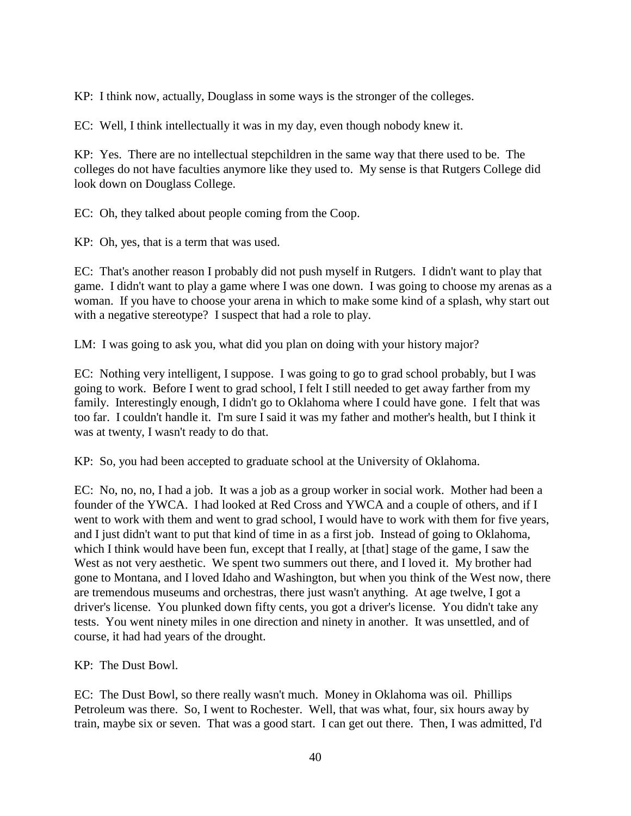KP: I think now, actually, Douglass in some ways is the stronger of the colleges.

EC: Well, I think intellectually it was in my day, even though nobody knew it.

KP: Yes. There are no intellectual stepchildren in the same way that there used to be. The colleges do not have faculties anymore like they used to. My sense is that Rutgers College did look down on Douglass College.

EC: Oh, they talked about people coming from the Coop.

KP: Oh, yes, that is a term that was used.

EC: That's another reason I probably did not push myself in Rutgers. I didn't want to play that game. I didn't want to play a game where I was one down. I was going to choose my arenas as a woman. If you have to choose your arena in which to make some kind of a splash, why start out with a negative stereotype? I suspect that had a role to play.

LM: I was going to ask you, what did you plan on doing with your history major?

EC: Nothing very intelligent, I suppose. I was going to go to grad school probably, but I was going to work. Before I went to grad school, I felt I still needed to get away farther from my family. Interestingly enough, I didn't go to Oklahoma where I could have gone. I felt that was too far. I couldn't handle it. I'm sure I said it was my father and mother's health, but I think it was at twenty, I wasn't ready to do that.

KP: So, you had been accepted to graduate school at the University of Oklahoma.

EC: No, no, no, I had a job. It was a job as a group worker in social work. Mother had been a founder of the YWCA. I had looked at Red Cross and YWCA and a couple of others, and if I went to work with them and went to grad school, I would have to work with them for five years, and I just didn't want to put that kind of time in as a first job. Instead of going to Oklahoma, which I think would have been fun, except that I really, at [that] stage of the game, I saw the West as not very aesthetic. We spent two summers out there, and I loved it. My brother had gone to Montana, and I loved Idaho and Washington, but when you think of the West now, there are tremendous museums and orchestras, there just wasn't anything. At age twelve, I got a driver's license. You plunked down fifty cents, you got a driver's license. You didn't take any tests. You went ninety miles in one direction and ninety in another. It was unsettled, and of course, it had had years of the drought.

KP: The Dust Bowl.

EC: The Dust Bowl, so there really wasn't much. Money in Oklahoma was oil. Phillips Petroleum was there. So, I went to Rochester. Well, that was what, four, six hours away by train, maybe six or seven. That was a good start. I can get out there. Then, I was admitted, I'd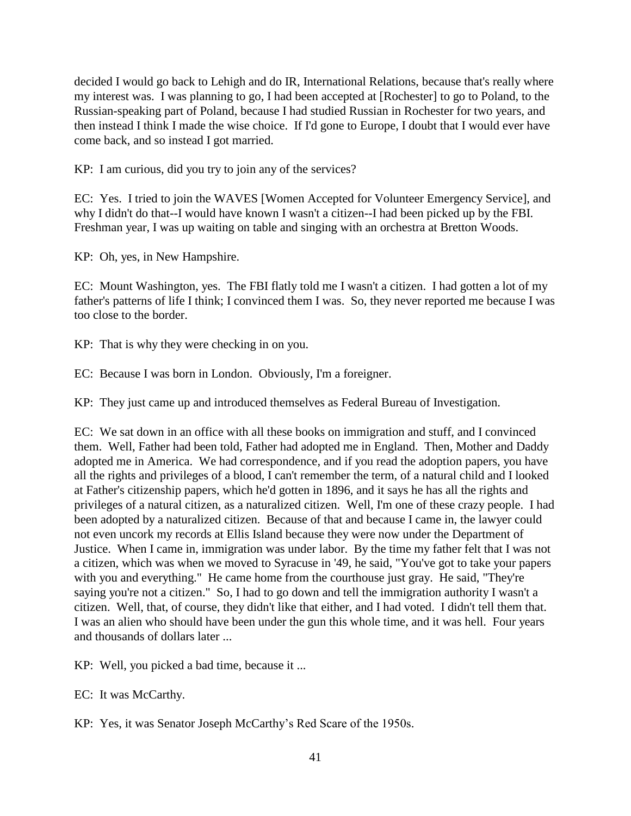decided I would go back to Lehigh and do IR, International Relations, because that's really where my interest was. I was planning to go, I had been accepted at [Rochester] to go to Poland, to the Russian-speaking part of Poland, because I had studied Russian in Rochester for two years, and then instead I think I made the wise choice. If I'd gone to Europe, I doubt that I would ever have come back, and so instead I got married.

KP: I am curious, did you try to join any of the services?

EC: Yes. I tried to join the WAVES [Women Accepted for Volunteer Emergency Service], and why I didn't do that--I would have known I wasn't a citizen--I had been picked up by the FBI. Freshman year, I was up waiting on table and singing with an orchestra at Bretton Woods.

KP: Oh, yes, in New Hampshire.

EC: Mount Washington, yes. The FBI flatly told me I wasn't a citizen. I had gotten a lot of my father's patterns of life I think; I convinced them I was. So, they never reported me because I was too close to the border.

KP: That is why they were checking in on you.

EC: Because I was born in London. Obviously, I'm a foreigner.

KP: They just came up and introduced themselves as Federal Bureau of Investigation.

EC: We sat down in an office with all these books on immigration and stuff, and I convinced them. Well, Father had been told, Father had adopted me in England. Then, Mother and Daddy adopted me in America. We had correspondence, and if you read the adoption papers, you have all the rights and privileges of a blood, I can't remember the term, of a natural child and I looked at Father's citizenship papers, which he'd gotten in 1896, and it says he has all the rights and privileges of a natural citizen, as a naturalized citizen. Well, I'm one of these crazy people. I had been adopted by a naturalized citizen. Because of that and because I came in, the lawyer could not even uncork my records at Ellis Island because they were now under the Department of Justice. When I came in, immigration was under labor. By the time my father felt that I was not a citizen, which was when we moved to Syracuse in '49, he said, "You've got to take your papers with you and everything." He came home from the courthouse just gray. He said, "They're saying you're not a citizen." So, I had to go down and tell the immigration authority I wasn't a citizen. Well, that, of course, they didn't like that either, and I had voted. I didn't tell them that. I was an alien who should have been under the gun this whole time, and it was hell. Four years and thousands of dollars later ...

KP: Well, you picked a bad time, because it ...

EC: It was McCarthy.

KP: Yes, it was Senator Joseph McCarthy's Red Scare of the 1950s.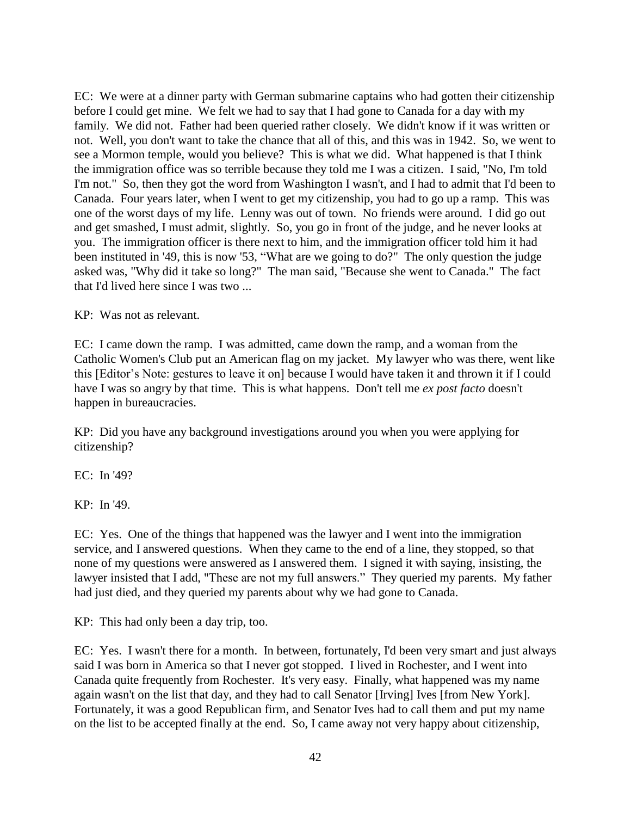EC: We were at a dinner party with German submarine captains who had gotten their citizenship before I could get mine. We felt we had to say that I had gone to Canada for a day with my family. We did not. Father had been queried rather closely. We didn't know if it was written or not. Well, you don't want to take the chance that all of this, and this was in 1942. So, we went to see a Mormon temple, would you believe? This is what we did. What happened is that I think the immigration office was so terrible because they told me I was a citizen. I said, "No, I'm told I'm not." So, then they got the word from Washington I wasn't, and I had to admit that I'd been to Canada. Four years later, when I went to get my citizenship, you had to go up a ramp. This was one of the worst days of my life. Lenny was out of town. No friends were around. I did go out and get smashed, I must admit, slightly. So, you go in front of the judge, and he never looks at you. The immigration officer is there next to him, and the immigration officer told him it had been instituted in '49, this is now '53, "What are we going to do?" The only question the judge asked was, "Why did it take so long?" The man said, "Because she went to Canada." The fact that I'd lived here since I was two ...

KP: Was not as relevant.

EC: I came down the ramp. I was admitted, came down the ramp, and a woman from the Catholic Women's Club put an American flag on my jacket. My lawyer who was there, went like this [Editor's Note: gestures to leave it on] because I would have taken it and thrown it if I could have I was so angry by that time. This is what happens. Don't tell me *ex post facto* doesn't happen in bureaucracies.

KP: Did you have any background investigations around you when you were applying for citizenship?

EC: In '49?

KP: In '49.

EC: Yes. One of the things that happened was the lawyer and I went into the immigration service, and I answered questions. When they came to the end of a line, they stopped, so that none of my questions were answered as I answered them. I signed it with saying, insisting, the lawyer insisted that I add, "These are not my full answers." They queried my parents. My father had just died, and they queried my parents about why we had gone to Canada.

KP: This had only been a day trip, too.

EC: Yes. I wasn't there for a month. In between, fortunately, I'd been very smart and just always said I was born in America so that I never got stopped. I lived in Rochester, and I went into Canada quite frequently from Rochester. It's very easy. Finally, what happened was my name again wasn't on the list that day, and they had to call Senator [Irving] Ives [from New York]. Fortunately, it was a good Republican firm, and Senator Ives had to call them and put my name on the list to be accepted finally at the end. So, I came away not very happy about citizenship,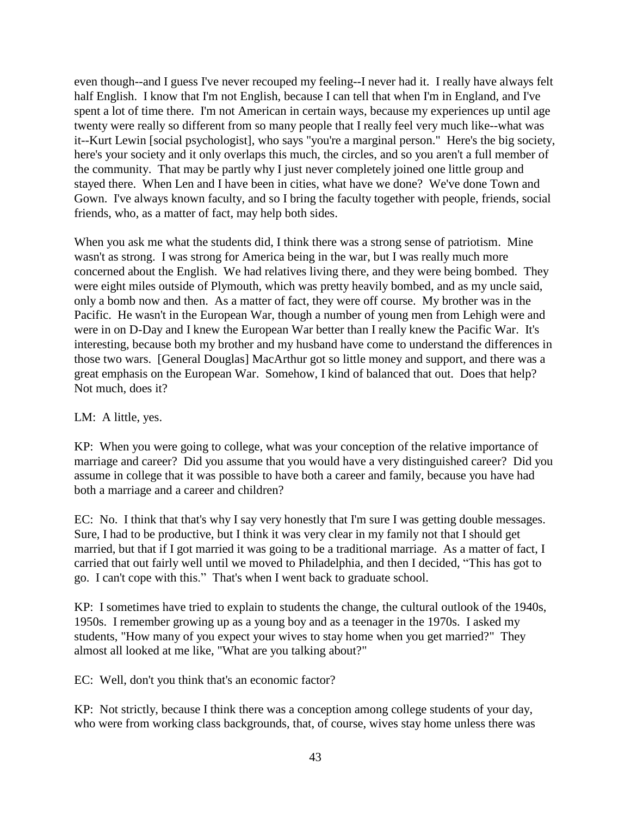even though--and I guess I've never recouped my feeling--I never had it. I really have always felt half English. I know that I'm not English, because I can tell that when I'm in England, and I've spent a lot of time there. I'm not American in certain ways, because my experiences up until age twenty were really so different from so many people that I really feel very much like--what was it--Kurt Lewin [social psychologist], who says "you're a marginal person." Here's the big society, here's your society and it only overlaps this much, the circles, and so you aren't a full member of the community. That may be partly why I just never completely joined one little group and stayed there. When Len and I have been in cities, what have we done? We've done Town and Gown. I've always known faculty, and so I bring the faculty together with people, friends, social friends, who, as a matter of fact, may help both sides.

When you ask me what the students did, I think there was a strong sense of patriotism. Mine wasn't as strong. I was strong for America being in the war, but I was really much more concerned about the English. We had relatives living there, and they were being bombed. They were eight miles outside of Plymouth, which was pretty heavily bombed, and as my uncle said, only a bomb now and then. As a matter of fact, they were off course. My brother was in the Pacific. He wasn't in the European War, though a number of young men from Lehigh were and were in on D-Day and I knew the European War better than I really knew the Pacific War. It's interesting, because both my brother and my husband have come to understand the differences in those two wars. [General Douglas] MacArthur got so little money and support, and there was a great emphasis on the European War. Somehow, I kind of balanced that out. Does that help? Not much, does it?

## LM: A little, yes.

KP: When you were going to college, what was your conception of the relative importance of marriage and career? Did you assume that you would have a very distinguished career? Did you assume in college that it was possible to have both a career and family, because you have had both a marriage and a career and children?

EC: No. I think that that's why I say very honestly that I'm sure I was getting double messages. Sure, I had to be productive, but I think it was very clear in my family not that I should get married, but that if I got married it was going to be a traditional marriage. As a matter of fact, I carried that out fairly well until we moved to Philadelphia, and then I decided, "This has got to go. I can't cope with this." That's when I went back to graduate school.

KP: I sometimes have tried to explain to students the change, the cultural outlook of the 1940s, 1950s. I remember growing up as a young boy and as a teenager in the 1970s. I asked my students, "How many of you expect your wives to stay home when you get married?" They almost all looked at me like, "What are you talking about?"

EC: Well, don't you think that's an economic factor?

KP: Not strictly, because I think there was a conception among college students of your day, who were from working class backgrounds, that, of course, wives stay home unless there was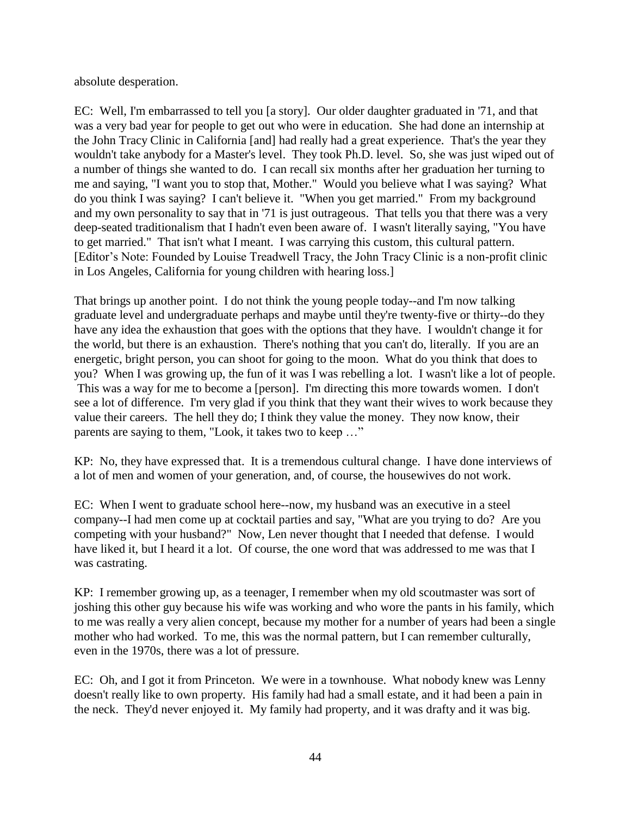absolute desperation.

EC: Well, I'm embarrassed to tell you [a story]. Our older daughter graduated in '71, and that was a very bad year for people to get out who were in education. She had done an internship at the John Tracy Clinic in California [and] had really had a great experience. That's the year they wouldn't take anybody for a Master's level. They took Ph.D. level. So, she was just wiped out of a number of things she wanted to do. I can recall six months after her graduation her turning to me and saying, "I want you to stop that, Mother." Would you believe what I was saying? What do you think I was saying? I can't believe it. "When you get married." From my background and my own personality to say that in '71 is just outrageous. That tells you that there was a very deep-seated traditionalism that I hadn't even been aware of. I wasn't literally saying, "You have to get married." That isn't what I meant. I was carrying this custom, this cultural pattern. [Editor's Note: Founded by Louise Treadwell Tracy, the John Tracy Clinic is a non-profit clinic in Los Angeles, California for young children with hearing loss.]

That brings up another point. I do not think the young people today--and I'm now talking graduate level and undergraduate perhaps and maybe until they're twenty-five or thirty--do they have any idea the exhaustion that goes with the options that they have. I wouldn't change it for the world, but there is an exhaustion. There's nothing that you can't do, literally. If you are an energetic, bright person, you can shoot for going to the moon. What do you think that does to you? When I was growing up, the fun of it was I was rebelling a lot. I wasn't like a lot of people. This was a way for me to become a [person]. I'm directing this more towards women. I don't see a lot of difference. I'm very glad if you think that they want their wives to work because they value their careers. The hell they do; I think they value the money. They now know, their parents are saying to them, "Look, it takes two to keep …"

KP: No, they have expressed that. It is a tremendous cultural change. I have done interviews of a lot of men and women of your generation, and, of course, the housewives do not work.

EC: When I went to graduate school here--now, my husband was an executive in a steel company--I had men come up at cocktail parties and say, "What are you trying to do? Are you competing with your husband?" Now, Len never thought that I needed that defense. I would have liked it, but I heard it a lot. Of course, the one word that was addressed to me was that I was castrating.

KP: I remember growing up, as a teenager, I remember when my old scoutmaster was sort of joshing this other guy because his wife was working and who wore the pants in his family, which to me was really a very alien concept, because my mother for a number of years had been a single mother who had worked. To me, this was the normal pattern, but I can remember culturally, even in the 1970s, there was a lot of pressure.

EC: Oh, and I got it from Princeton. We were in a townhouse. What nobody knew was Lenny doesn't really like to own property. His family had had a small estate, and it had been a pain in the neck. They'd never enjoyed it. My family had property, and it was drafty and it was big.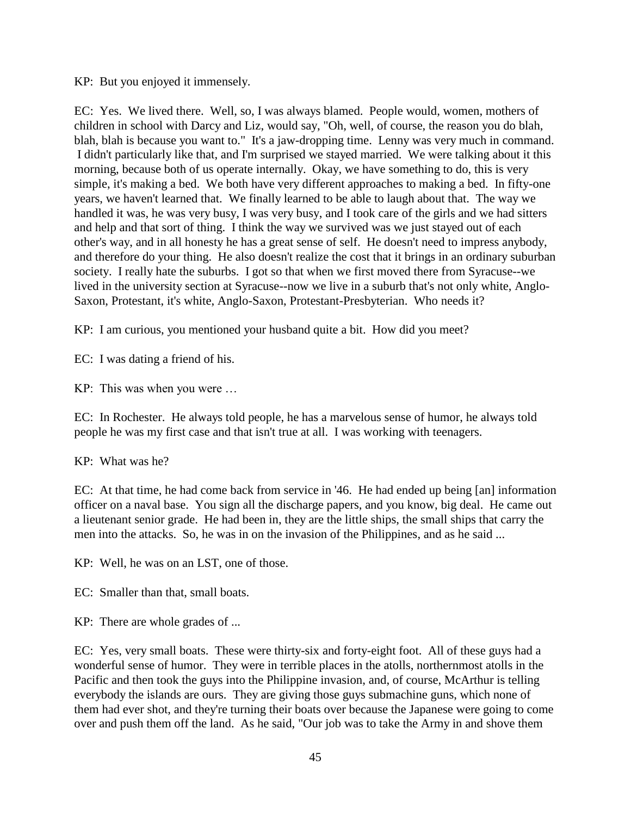KP: But you enjoyed it immensely.

EC: Yes. We lived there. Well, so, I was always blamed. People would, women, mothers of children in school with Darcy and Liz, would say, "Oh, well, of course, the reason you do blah, blah, blah is because you want to." It's a jaw-dropping time. Lenny was very much in command. I didn't particularly like that, and I'm surprised we stayed married. We were talking about it this morning, because both of us operate internally. Okay, we have something to do, this is very simple, it's making a bed. We both have very different approaches to making a bed. In fifty-one years, we haven't learned that. We finally learned to be able to laugh about that. The way we handled it was, he was very busy, I was very busy, and I took care of the girls and we had sitters and help and that sort of thing. I think the way we survived was we just stayed out of each other's way, and in all honesty he has a great sense of self. He doesn't need to impress anybody, and therefore do your thing. He also doesn't realize the cost that it brings in an ordinary suburban society. I really hate the suburbs. I got so that when we first moved there from Syracuse--we lived in the university section at Syracuse--now we live in a suburb that's not only white, Anglo-Saxon, Protestant, it's white, Anglo-Saxon, Protestant-Presbyterian. Who needs it?

KP: I am curious, you mentioned your husband quite a bit. How did you meet?

EC: I was dating a friend of his.

KP: This was when you were …

EC: In Rochester. He always told people, he has a marvelous sense of humor, he always told people he was my first case and that isn't true at all. I was working with teenagers.

# KP: What was he?

EC: At that time, he had come back from service in '46. He had ended up being [an] information officer on a naval base. You sign all the discharge papers, and you know, big deal. He came out a lieutenant senior grade. He had been in, they are the little ships, the small ships that carry the men into the attacks. So, he was in on the invasion of the Philippines, and as he said ...

KP: Well, he was on an LST, one of those.

EC: Smaller than that, small boats.

KP: There are whole grades of ...

EC: Yes, very small boats. These were thirty-six and forty-eight foot. All of these guys had a wonderful sense of humor. They were in terrible places in the atolls, northernmost atolls in the Pacific and then took the guys into the Philippine invasion, and, of course, McArthur is telling everybody the islands are ours. They are giving those guys submachine guns, which none of them had ever shot, and they're turning their boats over because the Japanese were going to come over and push them off the land. As he said, "Our job was to take the Army in and shove them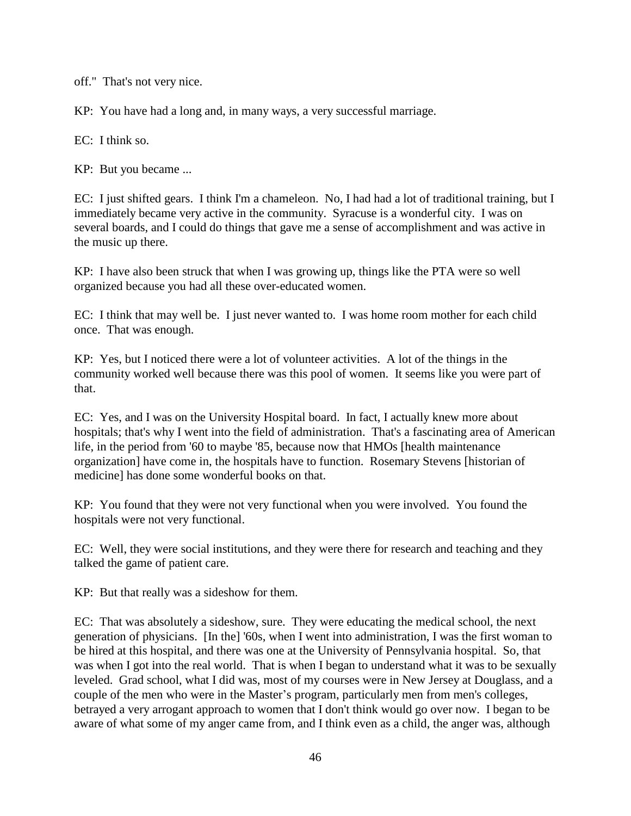off." That's not very nice.

KP: You have had a long and, in many ways, a very successful marriage.

EC: I think so.

KP: But you became ...

EC: I just shifted gears. I think I'm a chameleon. No, I had had a lot of traditional training, but I immediately became very active in the community. Syracuse is a wonderful city. I was on several boards, and I could do things that gave me a sense of accomplishment and was active in the music up there.

KP: I have also been struck that when I was growing up, things like the PTA were so well organized because you had all these over-educated women.

EC: I think that may well be. I just never wanted to. I was home room mother for each child once. That was enough.

KP: Yes, but I noticed there were a lot of volunteer activities. A lot of the things in the community worked well because there was this pool of women. It seems like you were part of that.

EC: Yes, and I was on the University Hospital board. In fact, I actually knew more about hospitals; that's why I went into the field of administration. That's a fascinating area of American life, in the period from '60 to maybe '85, because now that HMOs [health maintenance organization] have come in, the hospitals have to function. Rosemary Stevens [historian of medicine] has done some wonderful books on that.

KP: You found that they were not very functional when you were involved. You found the hospitals were not very functional.

EC: Well, they were social institutions, and they were there for research and teaching and they talked the game of patient care.

KP: But that really was a sideshow for them.

EC: That was absolutely a sideshow, sure. They were educating the medical school, the next generation of physicians. [In the] '60s, when I went into administration, I was the first woman to be hired at this hospital, and there was one at the University of Pennsylvania hospital. So, that was when I got into the real world. That is when I began to understand what it was to be sexually leveled. Grad school, what I did was, most of my courses were in New Jersey at Douglass, and a couple of the men who were in the Master's program, particularly men from men's colleges, betrayed a very arrogant approach to women that I don't think would go over now. I began to be aware of what some of my anger came from, and I think even as a child, the anger was, although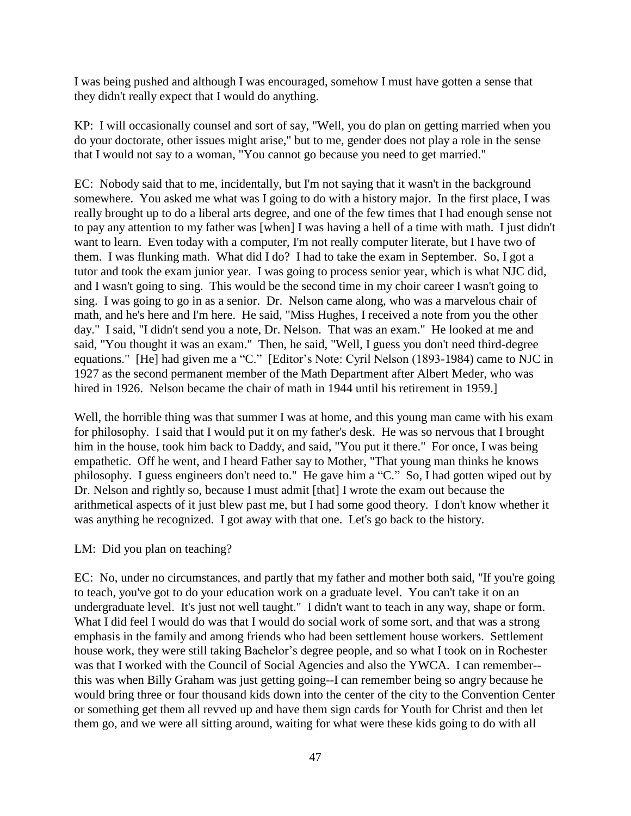I was being pushed and although I was encouraged, somehow I must have gotten a sense that they didn't really expect that I would do anything.

KP: I will occasionally counsel and sort of say, "Well, you do plan on getting married when you do your doctorate, other issues might arise," but to me, gender does not play a role in the sense that I would not say to a woman, "You cannot go because you need to get married."

EC: Nobody said that to me, incidentally, but I'm not saying that it wasn't in the background somewhere. You asked me what was I going to do with a history major. In the first place, I was really brought up to do a liberal arts degree, and one of the few times that I had enough sense not to pay any attention to my father was [when] I was having a hell of a time with math. I just didn't want to learn. Even today with a computer, I'm not really computer literate, but I have two of them. I was flunking math. What did I do? I had to take the exam in September. So, I got a tutor and took the exam junior year. I was going to process senior year, which is what NJC did, and I wasn't going to sing. This would be the second time in my choir career I wasn't going to sing. I was going to go in as a senior. Dr. Nelson came along, who was a marvelous chair of math, and he's here and I'm here. He said, "Miss Hughes, I received a note from you the other day." I said, "I didn't send you a note, Dr. Nelson. That was an exam." He looked at me and said, "You thought it was an exam." Then, he said, "Well, I guess you don't need third-degree equations." [He] had given me a "C." [Editor's Note: Cyril Nelson (1893-1984) came to NJC in 1927 as the second permanent member of the Math Department after Albert Meder, who was hired in 1926. Nelson became the chair of math in 1944 until his retirement in 1959.]

Well, the horrible thing was that summer I was at home, and this young man came with his exam for philosophy. I said that I would put it on my father's desk. He was so nervous that I brought him in the house, took him back to Daddy, and said, "You put it there." For once, I was being empathetic. Off he went, and I heard Father say to Mother, "That young man thinks he knows philosophy. I guess engineers don't need to." He gave him a "C." So, I had gotten wiped out by Dr. Nelson and rightly so, because I must admit [that] I wrote the exam out because the arithmetical aspects of it just blew past me, but I had some good theory. I don't know whether it was anything he recognized. I got away with that one. Let's go back to the history.

## LM: Did you plan on teaching?

EC: No, under no circumstances, and partly that my father and mother both said, "If you're going to teach, you've got to do your education work on a graduate level. You can't take it on an undergraduate level. It's just not well taught." I didn't want to teach in any way, shape or form. What I did feel I would do was that I would do social work of some sort, and that was a strong emphasis in the family and among friends who had been settlement house workers. Settlement house work, they were still taking Bachelor's degree people, and so what I took on in Rochester was that I worked with the Council of Social Agencies and also the YWCA. I can remember- this was when Billy Graham was just getting going--I can remember being so angry because he would bring three or four thousand kids down into the center of the city to the Convention Center or something get them all revved up and have them sign cards for Youth for Christ and then let them go, and we were all sitting around, waiting for what were these kids going to do with all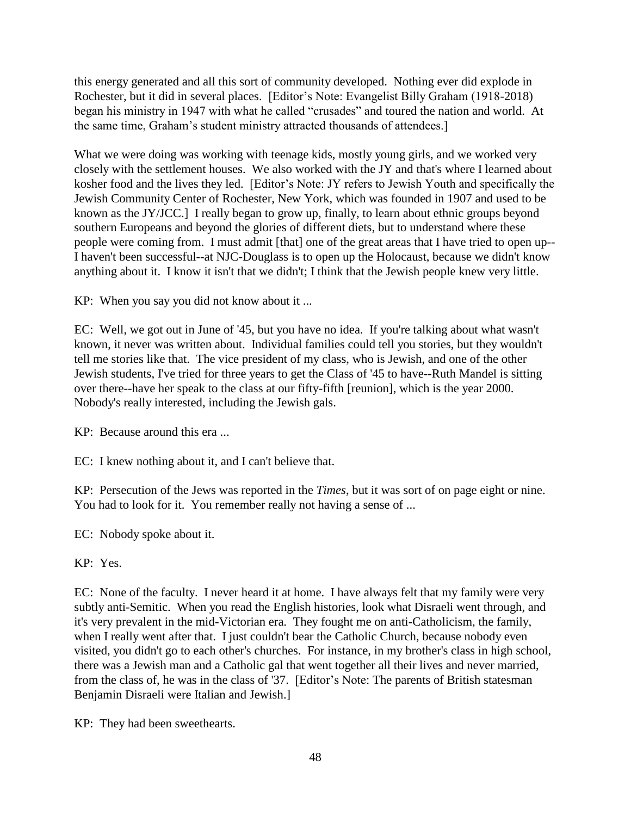this energy generated and all this sort of community developed. Nothing ever did explode in Rochester, but it did in several places. [Editor's Note: Evangelist Billy Graham (1918-2018) began his ministry in 1947 with what he called "crusades" and toured the nation and world. At the same time, Graham's student ministry attracted thousands of attendees.]

What we were doing was working with teenage kids, mostly young girls, and we worked very closely with the settlement houses. We also worked with the JY and that's where I learned about kosher food and the lives they led. [Editor's Note: JY refers to Jewish Youth and specifically the Jewish Community Center of Rochester, New York, which was founded in 1907 and used to be known as the JY/JCC.] I really began to grow up, finally, to learn about ethnic groups beyond southern Europeans and beyond the glories of different diets, but to understand where these people were coming from. I must admit [that] one of the great areas that I have tried to open up-- I haven't been successful--at NJC-Douglass is to open up the Holocaust, because we didn't know anything about it. I know it isn't that we didn't; I think that the Jewish people knew very little.

KP: When you say you did not know about it ...

EC: Well, we got out in June of '45, but you have no idea. If you're talking about what wasn't known, it never was written about. Individual families could tell you stories, but they wouldn't tell me stories like that. The vice president of my class, who is Jewish, and one of the other Jewish students, I've tried for three years to get the Class of '45 to have--Ruth Mandel is sitting over there--have her speak to the class at our fifty-fifth [reunion], which is the year 2000. Nobody's really interested, including the Jewish gals.

KP: Because around this era ...

EC: I knew nothing about it, and I can't believe that.

KP: Persecution of the Jews was reported in the *Times*, but it was sort of on page eight or nine. You had to look for it. You remember really not having a sense of ...

EC: Nobody spoke about it.

KP: Yes.

EC: None of the faculty. I never heard it at home. I have always felt that my family were very subtly anti-Semitic. When you read the English histories, look what Disraeli went through, and it's very prevalent in the mid-Victorian era. They fought me on anti-Catholicism, the family, when I really went after that. I just couldn't bear the Catholic Church, because nobody even visited, you didn't go to each other's churches. For instance, in my brother's class in high school, there was a Jewish man and a Catholic gal that went together all their lives and never married, from the class of, he was in the class of '37. [Editor's Note: The parents of British statesman Benjamin Disraeli were Italian and Jewish.]

KP: They had been sweethearts.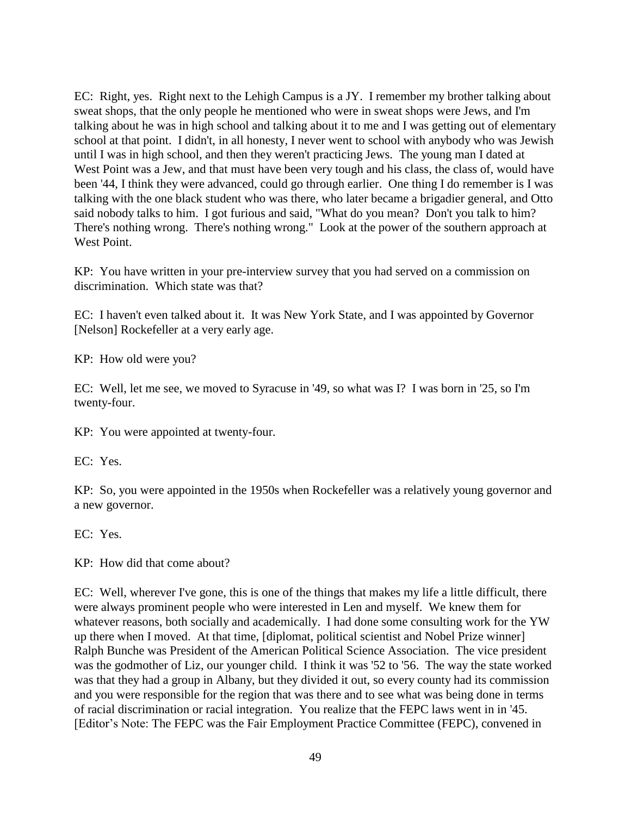EC: Right, yes. Right next to the Lehigh Campus is a JY. I remember my brother talking about sweat shops, that the only people he mentioned who were in sweat shops were Jews, and I'm talking about he was in high school and talking about it to me and I was getting out of elementary school at that point. I didn't, in all honesty, I never went to school with anybody who was Jewish until I was in high school, and then they weren't practicing Jews. The young man I dated at West Point was a Jew, and that must have been very tough and his class, the class of, would have been '44, I think they were advanced, could go through earlier. One thing I do remember is I was talking with the one black student who was there, who later became a brigadier general, and Otto said nobody talks to him. I got furious and said, "What do you mean? Don't you talk to him? There's nothing wrong. There's nothing wrong." Look at the power of the southern approach at West Point.

KP: You have written in your pre-interview survey that you had served on a commission on discrimination. Which state was that?

EC: I haven't even talked about it. It was New York State, and I was appointed by Governor [Nelson] Rockefeller at a very early age.

KP: How old were you?

EC: Well, let me see, we moved to Syracuse in '49, so what was I? I was born in '25, so I'm twenty-four.

KP: You were appointed at twenty-four.

EC: Yes.

KP: So, you were appointed in the 1950s when Rockefeller was a relatively young governor and a new governor.

EC: Yes.

KP: How did that come about?

EC: Well, wherever I've gone, this is one of the things that makes my life a little difficult, there were always prominent people who were interested in Len and myself. We knew them for whatever reasons, both socially and academically. I had done some consulting work for the YW up there when I moved. At that time, [diplomat, political scientist and Nobel Prize winner] Ralph Bunche was President of the American Political Science Association. The vice president was the godmother of Liz, our younger child. I think it was '52 to '56. The way the state worked was that they had a group in Albany, but they divided it out, so every county had its commission and you were responsible for the region that was there and to see what was being done in terms of racial discrimination or racial integration. You realize that the FEPC laws went in in '45. [Editor's Note: The FEPC was the Fair Employment Practice Committee (FEPC), convened in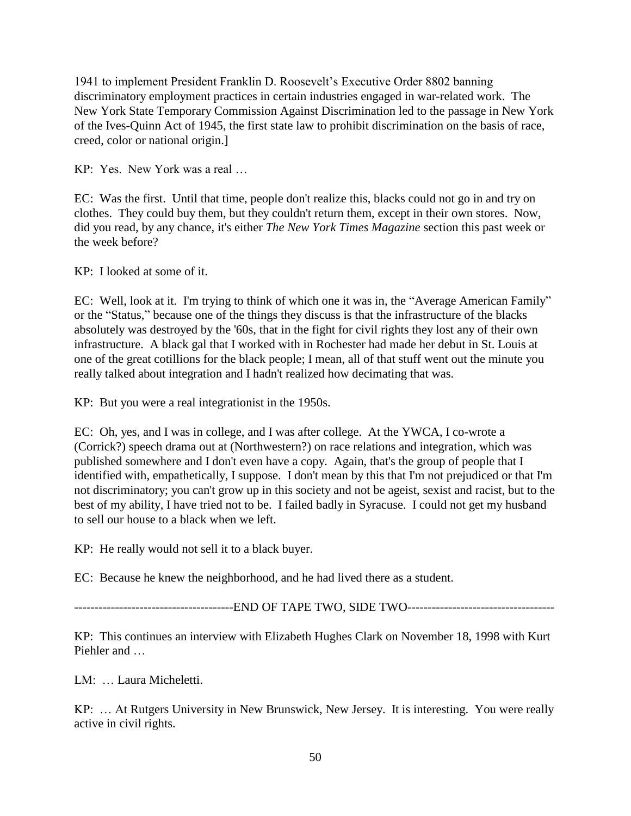1941 to implement President Franklin D. Roosevelt's Executive Order 8802 banning discriminatory employment practices in certain industries engaged in war-related work. The New York State Temporary Commission Against Discrimination led to the passage in New York of the Ives-Quinn Act of 1945, the first state law to prohibit discrimination on the basis of race, creed, color or national origin.]

KP: Yes. New York was a real …

EC: Was the first. Until that time, people don't realize this, blacks could not go in and try on clothes. They could buy them, but they couldn't return them, except in their own stores. Now, did you read, by any chance, it's either *The New York Times Magazine* section this past week or the week before?

KP: I looked at some of it.

EC: Well, look at it. I'm trying to think of which one it was in, the "Average American Family" or the "Status," because one of the things they discuss is that the infrastructure of the blacks absolutely was destroyed by the '60s, that in the fight for civil rights they lost any of their own infrastructure. A black gal that I worked with in Rochester had made her debut in St. Louis at one of the great cotillions for the black people; I mean, all of that stuff went out the minute you really talked about integration and I hadn't realized how decimating that was.

KP: But you were a real integrationist in the 1950s.

EC: Oh, yes, and I was in college, and I was after college. At the YWCA, I co-wrote a (Corrick?) speech drama out at (Northwestern?) on race relations and integration, which was published somewhere and I don't even have a copy. Again, that's the group of people that I identified with, empathetically, I suppose. I don't mean by this that I'm not prejudiced or that I'm not discriminatory; you can't grow up in this society and not be ageist, sexist and racist, but to the best of my ability, I have tried not to be. I failed badly in Syracuse. I could not get my husband to sell our house to a black when we left.

KP: He really would not sell it to a black buyer.

EC: Because he knew the neighborhood, and he had lived there as a student.

---------------------------------------END OF TAPE TWO, SIDE TWO------------------------------------

KP: This continues an interview with Elizabeth Hughes Clark on November 18, 1998 with Kurt Piehler and …

LM: … Laura Micheletti.

KP: … At Rutgers University in New Brunswick, New Jersey. It is interesting. You were really active in civil rights.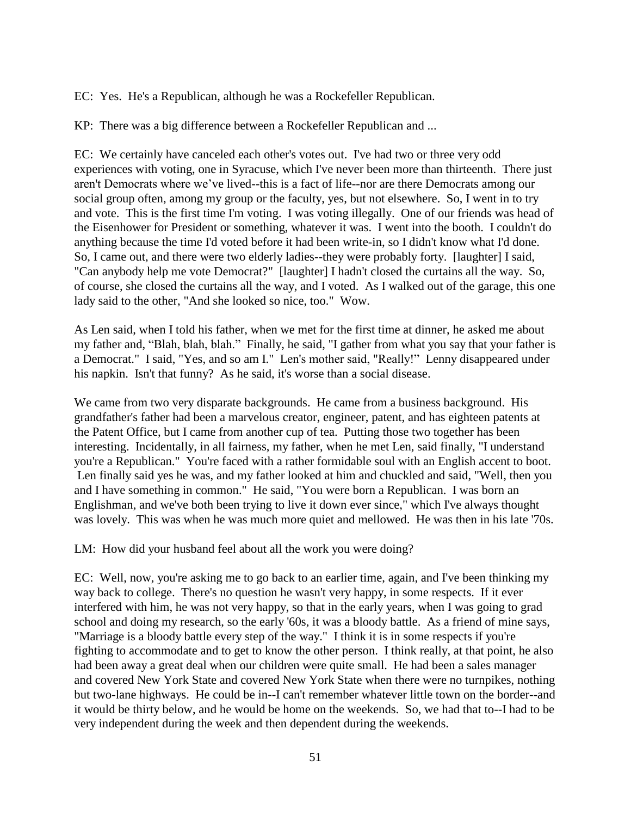EC: Yes. He's a Republican, although he was a Rockefeller Republican.

KP: There was a big difference between a Rockefeller Republican and ...

EC: We certainly have canceled each other's votes out. I've had two or three very odd experiences with voting, one in Syracuse, which I've never been more than thirteenth. There just aren't Democrats where we've lived--this is a fact of life--nor are there Democrats among our social group often, among my group or the faculty, yes, but not elsewhere. So, I went in to try and vote. This is the first time I'm voting. I was voting illegally. One of our friends was head of the Eisenhower for President or something, whatever it was. I went into the booth. I couldn't do anything because the time I'd voted before it had been write-in, so I didn't know what I'd done. So, I came out, and there were two elderly ladies--they were probably forty. [laughter] I said, "Can anybody help me vote Democrat?" [laughter] I hadn't closed the curtains all the way. So, of course, she closed the curtains all the way, and I voted. As I walked out of the garage, this one lady said to the other, "And she looked so nice, too." Wow.

As Len said, when I told his father, when we met for the first time at dinner, he asked me about my father and, "Blah, blah, blah." Finally, he said, "I gather from what you say that your father is a Democrat." I said, "Yes, and so am I." Len's mother said, "Really!" Lenny disappeared under his napkin. Isn't that funny? As he said, it's worse than a social disease.

We came from two very disparate backgrounds. He came from a business background. His grandfather's father had been a marvelous creator, engineer, patent, and has eighteen patents at the Patent Office, but I came from another cup of tea. Putting those two together has been interesting. Incidentally, in all fairness, my father, when he met Len, said finally, "I understand you're a Republican." You're faced with a rather formidable soul with an English accent to boot. Len finally said yes he was, and my father looked at him and chuckled and said, "Well, then you and I have something in common." He said, "You were born a Republican. I was born an Englishman, and we've both been trying to live it down ever since," which I've always thought was lovely. This was when he was much more quiet and mellowed. He was then in his late '70s.

LM: How did your husband feel about all the work you were doing?

EC: Well, now, you're asking me to go back to an earlier time, again, and I've been thinking my way back to college. There's no question he wasn't very happy, in some respects. If it ever interfered with him, he was not very happy, so that in the early years, when I was going to grad school and doing my research, so the early '60s, it was a bloody battle. As a friend of mine says, "Marriage is a bloody battle every step of the way." I think it is in some respects if you're fighting to accommodate and to get to know the other person. I think really, at that point, he also had been away a great deal when our children were quite small. He had been a sales manager and covered New York State and covered New York State when there were no turnpikes, nothing but two-lane highways. He could be in--I can't remember whatever little town on the border--and it would be thirty below, and he would be home on the weekends. So, we had that to--I had to be very independent during the week and then dependent during the weekends.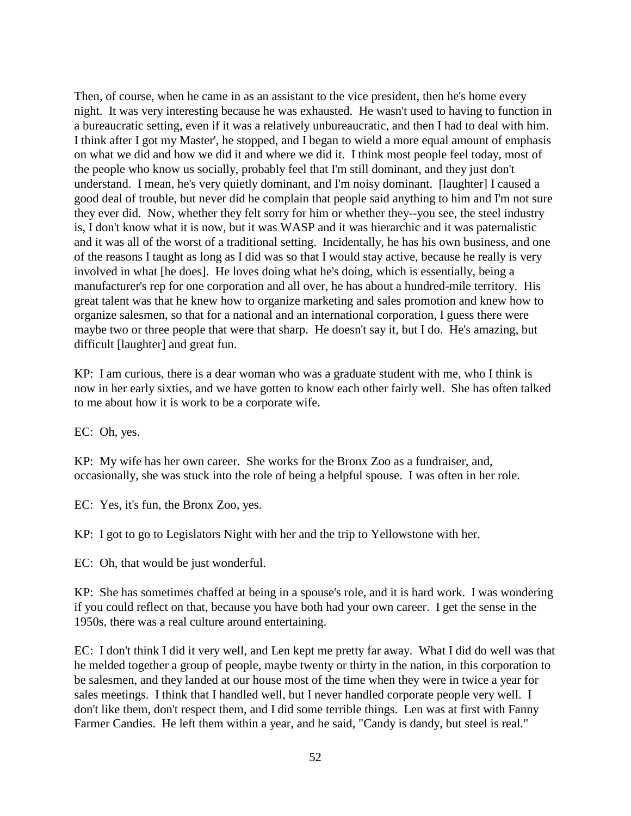Then, of course, when he came in as an assistant to the vice president, then he's home every night. It was very interesting because he was exhausted. He wasn't used to having to function in a bureaucratic setting, even if it was a relatively unbureaucratic, and then I had to deal with him. I think after I got my Master', he stopped, and I began to wield a more equal amount of emphasis on what we did and how we did it and where we did it. I think most people feel today, most of the people who know us socially, probably feel that I'm still dominant, and they just don't understand. I mean, he's very quietly dominant, and I'm noisy dominant. [laughter] I caused a good deal of trouble, but never did he complain that people said anything to him and I'm not sure they ever did. Now, whether they felt sorry for him or whether they--you see, the steel industry is, I don't know what it is now, but it was WASP and it was hierarchic and it was paternalistic and it was all of the worst of a traditional setting. Incidentally, he has his own business, and one of the reasons I taught as long as I did was so that I would stay active, because he really is very involved in what [he does]. He loves doing what he's doing, which is essentially, being a manufacturer's rep for one corporation and all over, he has about a hundred-mile territory. His great talent was that he knew how to organize marketing and sales promotion and knew how to organize salesmen, so that for a national and an international corporation, I guess there were maybe two or three people that were that sharp. He doesn't say it, but I do. He's amazing, but difficult [laughter] and great fun.

KP: I am curious, there is a dear woman who was a graduate student with me, who I think is now in her early sixties, and we have gotten to know each other fairly well. She has often talked to me about how it is work to be a corporate wife.

EC: Oh, yes.

KP: My wife has her own career. She works for the Bronx Zoo as a fundraiser, and, occasionally, she was stuck into the role of being a helpful spouse. I was often in her role.

EC: Yes, it's fun, the Bronx Zoo, yes.

KP: I got to go to Legislators Night with her and the trip to Yellowstone with her.

EC: Oh, that would be just wonderful.

KP: She has sometimes chaffed at being in a spouse's role, and it is hard work. I was wondering if you could reflect on that, because you have both had your own career. I get the sense in the 1950s, there was a real culture around entertaining.

EC: I don't think I did it very well, and Len kept me pretty far away. What I did do well was that he melded together a group of people, maybe twenty or thirty in the nation, in this corporation to be salesmen, and they landed at our house most of the time when they were in twice a year for sales meetings. I think that I handled well, but I never handled corporate people very well. I don't like them, don't respect them, and I did some terrible things. Len was at first with Fanny Farmer Candies. He left them within a year, and he said, "Candy is dandy, but steel is real."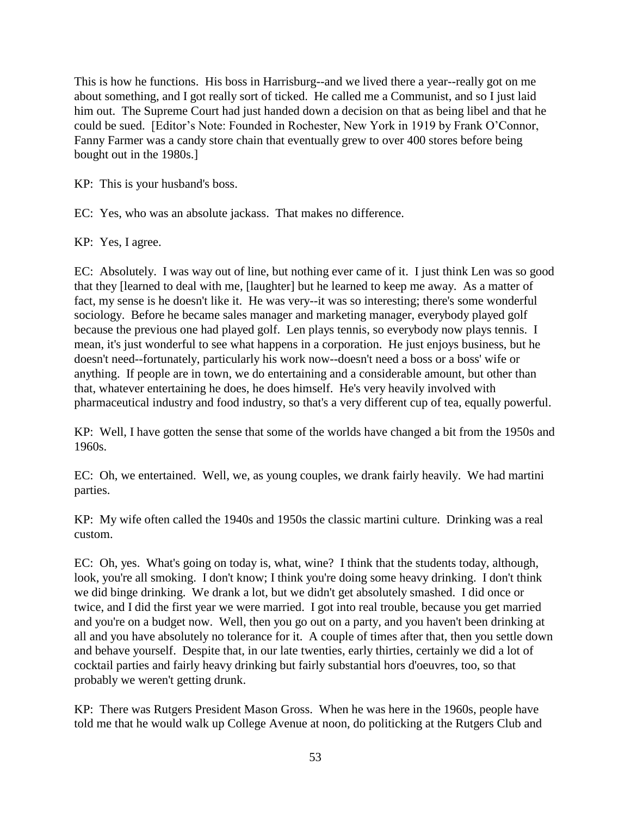This is how he functions. His boss in Harrisburg--and we lived there a year--really got on me about something, and I got really sort of ticked. He called me a Communist, and so I just laid him out. The Supreme Court had just handed down a decision on that as being libel and that he could be sued. [Editor's Note: Founded in Rochester, New York in 1919 by Frank O'Connor, Fanny Farmer was a candy store chain that eventually grew to over 400 stores before being bought out in the 1980s.]

KP: This is your husband's boss.

EC: Yes, who was an absolute jackass. That makes no difference.

KP: Yes, I agree.

EC: Absolutely. I was way out of line, but nothing ever came of it. I just think Len was so good that they [learned to deal with me, [laughter] but he learned to keep me away. As a matter of fact, my sense is he doesn't like it. He was very--it was so interesting; there's some wonderful sociology. Before he became sales manager and marketing manager, everybody played golf because the previous one had played golf. Len plays tennis, so everybody now plays tennis. I mean, it's just wonderful to see what happens in a corporation. He just enjoys business, but he doesn't need--fortunately, particularly his work now--doesn't need a boss or a boss' wife or anything. If people are in town, we do entertaining and a considerable amount, but other than that, whatever entertaining he does, he does himself. He's very heavily involved with pharmaceutical industry and food industry, so that's a very different cup of tea, equally powerful.

KP: Well, I have gotten the sense that some of the worlds have changed a bit from the 1950s and 1960s.

EC: Oh, we entertained. Well, we, as young couples, we drank fairly heavily. We had martini parties.

KP: My wife often called the 1940s and 1950s the classic martini culture. Drinking was a real custom.

EC: Oh, yes. What's going on today is, what, wine? I think that the students today, although, look, you're all smoking. I don't know; I think you're doing some heavy drinking. I don't think we did binge drinking. We drank a lot, but we didn't get absolutely smashed. I did once or twice, and I did the first year we were married. I got into real trouble, because you get married and you're on a budget now. Well, then you go out on a party, and you haven't been drinking at all and you have absolutely no tolerance for it. A couple of times after that, then you settle down and behave yourself. Despite that, in our late twenties, early thirties, certainly we did a lot of cocktail parties and fairly heavy drinking but fairly substantial hors d'oeuvres, too, so that probably we weren't getting drunk.

KP: There was Rutgers President Mason Gross. When he was here in the 1960s, people have told me that he would walk up College Avenue at noon, do politicking at the Rutgers Club and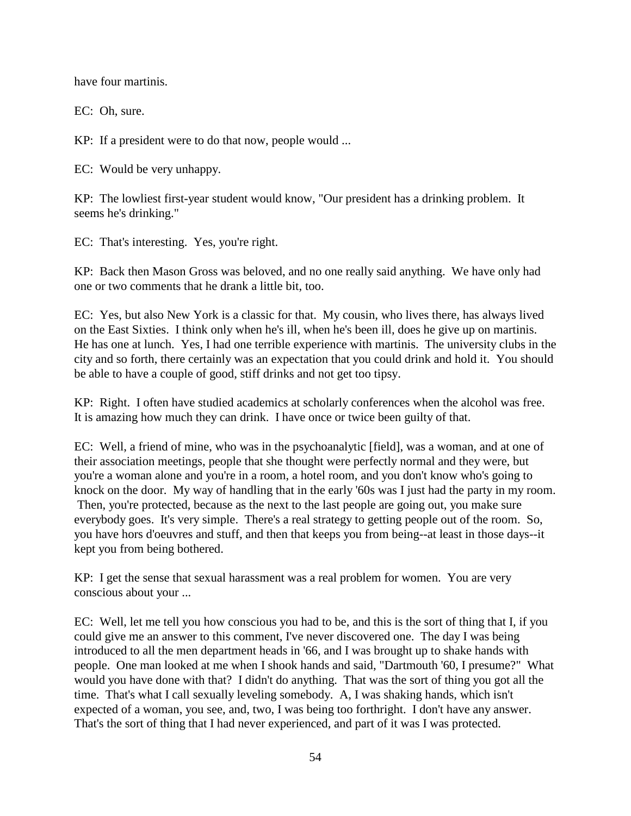have four martinis.

EC: Oh, sure.

KP: If a president were to do that now, people would ...

EC: Would be very unhappy.

KP: The lowliest first-year student would know, "Our president has a drinking problem. It seems he's drinking."

EC: That's interesting. Yes, you're right.

KP: Back then Mason Gross was beloved, and no one really said anything. We have only had one or two comments that he drank a little bit, too.

EC: Yes, but also New York is a classic for that. My cousin, who lives there, has always lived on the East Sixties. I think only when he's ill, when he's been ill, does he give up on martinis. He has one at lunch. Yes, I had one terrible experience with martinis. The university clubs in the city and so forth, there certainly was an expectation that you could drink and hold it. You should be able to have a couple of good, stiff drinks and not get too tipsy.

KP: Right. I often have studied academics at scholarly conferences when the alcohol was free. It is amazing how much they can drink. I have once or twice been guilty of that.

EC: Well, a friend of mine, who was in the psychoanalytic [field], was a woman, and at one of their association meetings, people that she thought were perfectly normal and they were, but you're a woman alone and you're in a room, a hotel room, and you don't know who's going to knock on the door. My way of handling that in the early '60s was I just had the party in my room. Then, you're protected, because as the next to the last people are going out, you make sure everybody goes. It's very simple. There's a real strategy to getting people out of the room. So, you have hors d'oeuvres and stuff, and then that keeps you from being--at least in those days--it kept you from being bothered.

KP: I get the sense that sexual harassment was a real problem for women. You are very conscious about your ...

EC: Well, let me tell you how conscious you had to be, and this is the sort of thing that I, if you could give me an answer to this comment, I've never discovered one. The day I was being introduced to all the men department heads in '66, and I was brought up to shake hands with people. One man looked at me when I shook hands and said, "Dartmouth '60, I presume?" What would you have done with that? I didn't do anything. That was the sort of thing you got all the time. That's what I call sexually leveling somebody. A, I was shaking hands, which isn't expected of a woman, you see, and, two, I was being too forthright. I don't have any answer. That's the sort of thing that I had never experienced, and part of it was I was protected.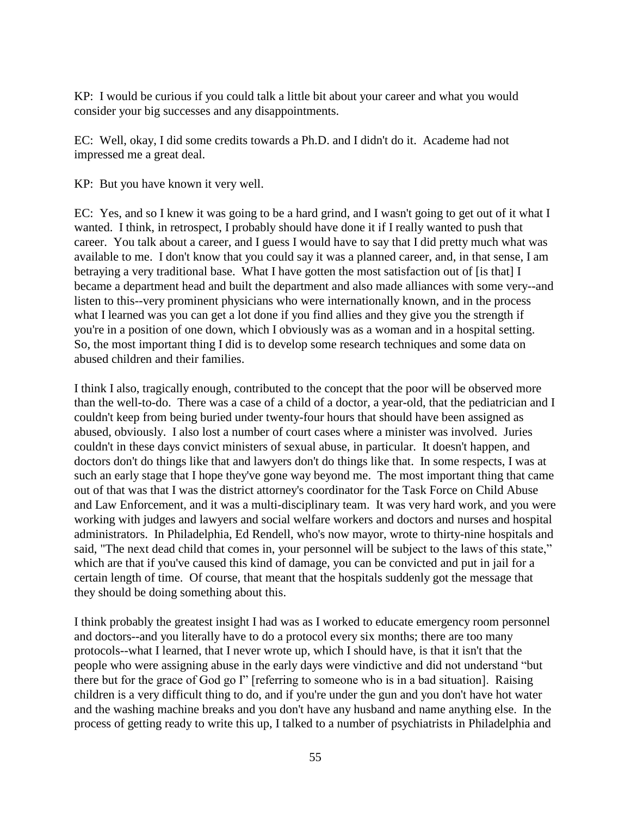KP: I would be curious if you could talk a little bit about your career and what you would consider your big successes and any disappointments.

EC: Well, okay, I did some credits towards a Ph.D. and I didn't do it. Academe had not impressed me a great deal.

KP: But you have known it very well.

EC: Yes, and so I knew it was going to be a hard grind, and I wasn't going to get out of it what I wanted. I think, in retrospect, I probably should have done it if I really wanted to push that career. You talk about a career, and I guess I would have to say that I did pretty much what was available to me. I don't know that you could say it was a planned career, and, in that sense, I am betraying a very traditional base. What I have gotten the most satisfaction out of [is that] I became a department head and built the department and also made alliances with some very--and listen to this--very prominent physicians who were internationally known, and in the process what I learned was you can get a lot done if you find allies and they give you the strength if you're in a position of one down, which I obviously was as a woman and in a hospital setting. So, the most important thing I did is to develop some research techniques and some data on abused children and their families.

I think I also, tragically enough, contributed to the concept that the poor will be observed more than the well-to-do. There was a case of a child of a doctor, a year-old, that the pediatrician and I couldn't keep from being buried under twenty-four hours that should have been assigned as abused, obviously. I also lost a number of court cases where a minister was involved. Juries couldn't in these days convict ministers of sexual abuse, in particular. It doesn't happen, and doctors don't do things like that and lawyers don't do things like that. In some respects, I was at such an early stage that I hope they've gone way beyond me. The most important thing that came out of that was that I was the district attorney's coordinator for the Task Force on Child Abuse and Law Enforcement, and it was a multi-disciplinary team. It was very hard work, and you were working with judges and lawyers and social welfare workers and doctors and nurses and hospital administrators. In Philadelphia, Ed Rendell, who's now mayor, wrote to thirty-nine hospitals and said, "The next dead child that comes in, your personnel will be subject to the laws of this state," which are that if you've caused this kind of damage, you can be convicted and put in jail for a certain length of time. Of course, that meant that the hospitals suddenly got the message that they should be doing something about this.

I think probably the greatest insight I had was as I worked to educate emergency room personnel and doctors--and you literally have to do a protocol every six months; there are too many protocols--what I learned, that I never wrote up, which I should have, is that it isn't that the people who were assigning abuse in the early days were vindictive and did not understand "but there but for the grace of God go I" [referring to someone who is in a bad situation]. Raising children is a very difficult thing to do, and if you're under the gun and you don't have hot water and the washing machine breaks and you don't have any husband and name anything else. In the process of getting ready to write this up, I talked to a number of psychiatrists in Philadelphia and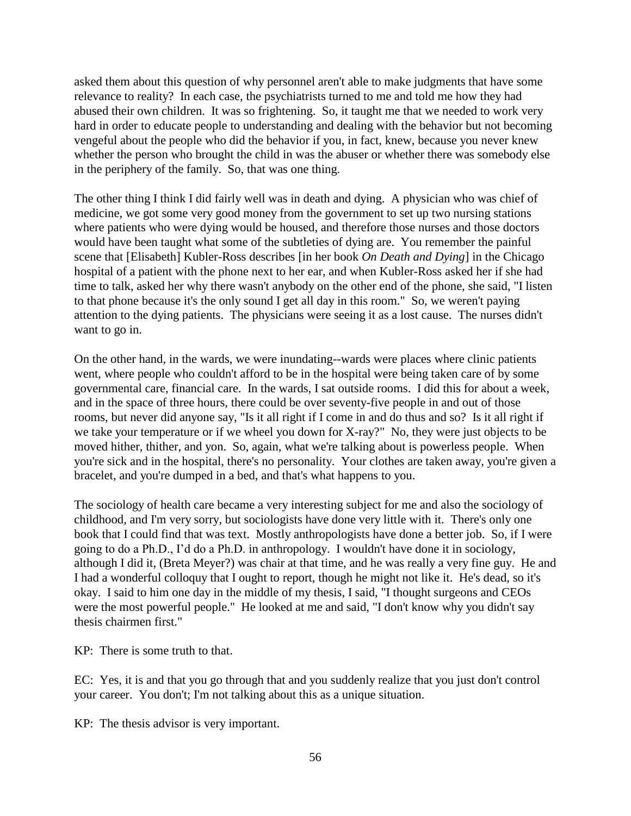asked them about this question of why personnel aren't able to make judgments that have some relevance to reality? In each case, the psychiatrists turned to me and told me how they had abused their own children. It was so frightening. So, it taught me that we needed to work very hard in order to educate people to understanding and dealing with the behavior but not becoming vengeful about the people who did the behavior if you, in fact, knew, because you never knew whether the person who brought the child in was the abuser or whether there was somebody else in the periphery of the family. So, that was one thing.

The other thing I think I did fairly well was in death and dying. A physician who was chief of medicine, we got some very good money from the government to set up two nursing stations where patients who were dying would be housed, and therefore those nurses and those doctors would have been taught what some of the subtleties of dying are. You remember the painful scene that [Elisabeth] Kubler-Ross describes [in her book *On Death and Dying*] in the Chicago hospital of a patient with the phone next to her ear, and when Kubler-Ross asked her if she had time to talk, asked her why there wasn't anybody on the other end of the phone, she said, "I listen to that phone because it's the only sound I get all day in this room." So, we weren't paying attention to the dying patients. The physicians were seeing it as a lost cause. The nurses didn't want to go in.

On the other hand, in the wards, we were inundating--wards were places where clinic patients went, where people who couldn't afford to be in the hospital were being taken care of by some governmental care, financial care. In the wards, I sat outside rooms. I did this for about a week, and in the space of three hours, there could be over seventy-five people in and out of those rooms, but never did anyone say, "Is it all right if I come in and do thus and so? Is it all right if we take your temperature or if we wheel you down for X-ray?" No, they were just objects to be moved hither, thither, and yon. So, again, what we're talking about is powerless people. When you're sick and in the hospital, there's no personality. Your clothes are taken away, you're given a bracelet, and you're dumped in a bed, and that's what happens to you.

The sociology of health care became a very interesting subject for me and also the sociology of childhood, and I'm very sorry, but sociologists have done very little with it. There's only one book that I could find that was text. Mostly anthropologists have done a better job. So, if I were going to do a Ph.D., I'd do a Ph.D. in anthropology. I wouldn't have done it in sociology, although I did it, (Breta Meyer?) was chair at that time, and he was really a very fine guy. He and I had a wonderful colloquy that I ought to report, though he might not like it. He's dead, so it's okay. I said to him one day in the middle of my thesis, I said, "I thought surgeons and CEOs were the most powerful people." He looked at me and said, "I don't know why you didn't say thesis chairmen first."

KP: There is some truth to that.

EC: Yes, it is and that you go through that and you suddenly realize that you just don't control your career. You don't; I'm not talking about this as a unique situation.

KP: The thesis advisor is very important.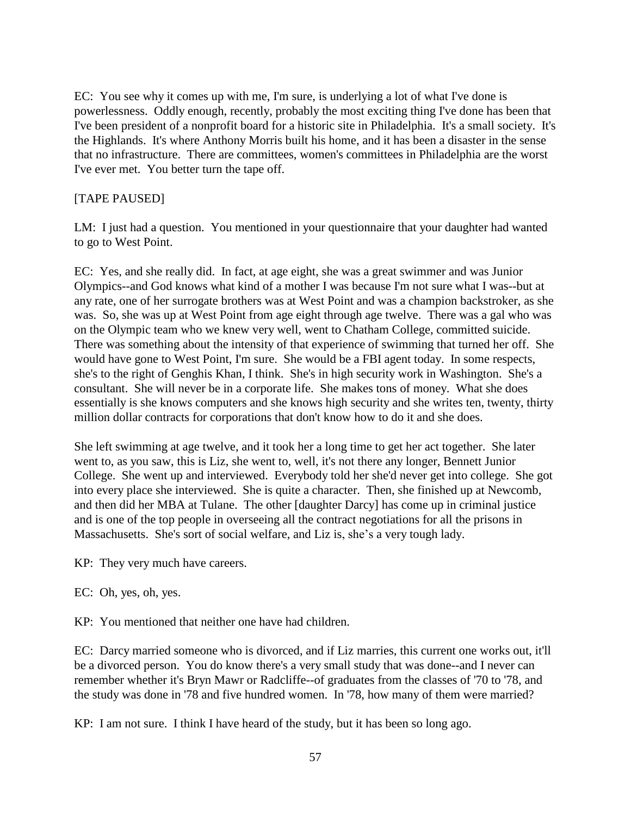EC: You see why it comes up with me, I'm sure, is underlying a lot of what I've done is powerlessness. Oddly enough, recently, probably the most exciting thing I've done has been that I've been president of a nonprofit board for a historic site in Philadelphia. It's a small society. It's the Highlands. It's where Anthony Morris built his home, and it has been a disaster in the sense that no infrastructure. There are committees, women's committees in Philadelphia are the worst I've ever met. You better turn the tape off.

# [TAPE PAUSED]

LM: I just had a question. You mentioned in your questionnaire that your daughter had wanted to go to West Point.

EC: Yes, and she really did. In fact, at age eight, she was a great swimmer and was Junior Olympics--and God knows what kind of a mother I was because I'm not sure what I was--but at any rate, one of her surrogate brothers was at West Point and was a champion backstroker, as she was. So, she was up at West Point from age eight through age twelve. There was a gal who was on the Olympic team who we knew very well, went to Chatham College, committed suicide. There was something about the intensity of that experience of swimming that turned her off. She would have gone to West Point, I'm sure. She would be a FBI agent today. In some respects, she's to the right of Genghis Khan, I think. She's in high security work in Washington. She's a consultant. She will never be in a corporate life. She makes tons of money. What she does essentially is she knows computers and she knows high security and she writes ten, twenty, thirty million dollar contracts for corporations that don't know how to do it and she does.

She left swimming at age twelve, and it took her a long time to get her act together. She later went to, as you saw, this is Liz, she went to, well, it's not there any longer, Bennett Junior College. She went up and interviewed. Everybody told her she'd never get into college. She got into every place she interviewed. She is quite a character. Then, she finished up at Newcomb, and then did her MBA at Tulane. The other [daughter Darcy] has come up in criminal justice and is one of the top people in overseeing all the contract negotiations for all the prisons in Massachusetts. She's sort of social welfare, and Liz is, she's a very tough lady.

KP: They very much have careers.

EC: Oh, yes, oh, yes.

KP: You mentioned that neither one have had children.

EC: Darcy married someone who is divorced, and if Liz marries, this current one works out, it'll be a divorced person. You do know there's a very small study that was done--and I never can remember whether it's Bryn Mawr or Radcliffe--of graduates from the classes of '70 to '78, and the study was done in '78 and five hundred women. In '78, how many of them were married?

KP: I am not sure. I think I have heard of the study, but it has been so long ago.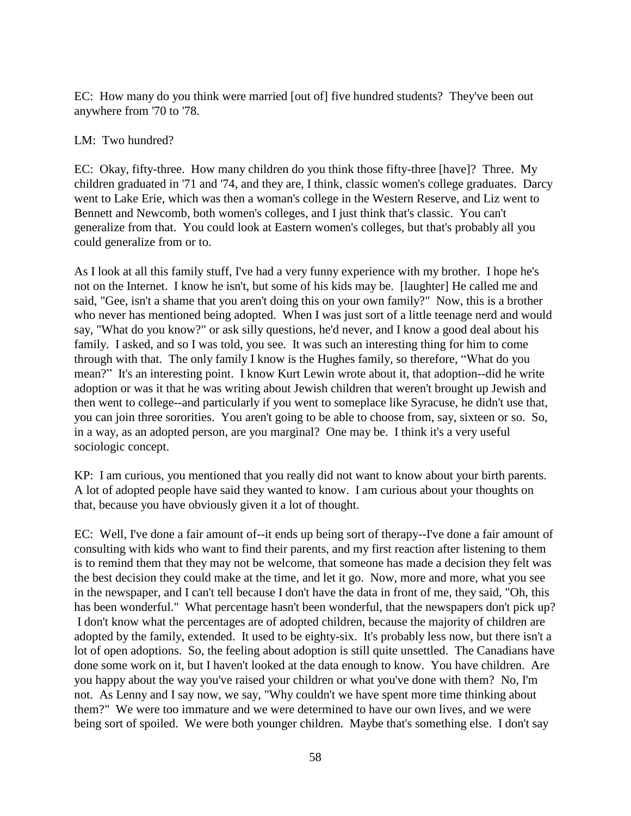EC: How many do you think were married [out of] five hundred students? They've been out anywhere from '70 to '78.

## LM: Two hundred?

EC: Okay, fifty-three. How many children do you think those fifty-three [have]? Three. My children graduated in '71 and '74, and they are, I think, classic women's college graduates. Darcy went to Lake Erie, which was then a woman's college in the Western Reserve, and Liz went to Bennett and Newcomb, both women's colleges, and I just think that's classic. You can't generalize from that. You could look at Eastern women's colleges, but that's probably all you could generalize from or to.

As I look at all this family stuff, I've had a very funny experience with my brother. I hope he's not on the Internet. I know he isn't, but some of his kids may be. [laughter] He called me and said, "Gee, isn't a shame that you aren't doing this on your own family?" Now, this is a brother who never has mentioned being adopted. When I was just sort of a little teenage nerd and would say, "What do you know?" or ask silly questions, he'd never, and I know a good deal about his family. I asked, and so I was told, you see. It was such an interesting thing for him to come through with that. The only family I know is the Hughes family, so therefore, "What do you mean?" It's an interesting point. I know Kurt Lewin wrote about it, that adoption--did he write adoption or was it that he was writing about Jewish children that weren't brought up Jewish and then went to college--and particularly if you went to someplace like Syracuse, he didn't use that, you can join three sororities. You aren't going to be able to choose from, say, sixteen or so. So, in a way, as an adopted person, are you marginal? One may be. I think it's a very useful sociologic concept.

KP: I am curious, you mentioned that you really did not want to know about your birth parents. A lot of adopted people have said they wanted to know. I am curious about your thoughts on that, because you have obviously given it a lot of thought.

EC: Well, I've done a fair amount of--it ends up being sort of therapy--I've done a fair amount of consulting with kids who want to find their parents, and my first reaction after listening to them is to remind them that they may not be welcome, that someone has made a decision they felt was the best decision they could make at the time, and let it go. Now, more and more, what you see in the newspaper, and I can't tell because I don't have the data in front of me, they said, "Oh, this has been wonderful." What percentage hasn't been wonderful, that the newspapers don't pick up? I don't know what the percentages are of adopted children, because the majority of children are adopted by the family, extended. It used to be eighty-six. It's probably less now, but there isn't a lot of open adoptions. So, the feeling about adoption is still quite unsettled. The Canadians have done some work on it, but I haven't looked at the data enough to know. You have children. Are you happy about the way you've raised your children or what you've done with them? No, I'm not. As Lenny and I say now, we say, "Why couldn't we have spent more time thinking about them?" We were too immature and we were determined to have our own lives, and we were being sort of spoiled. We were both younger children. Maybe that's something else. I don't say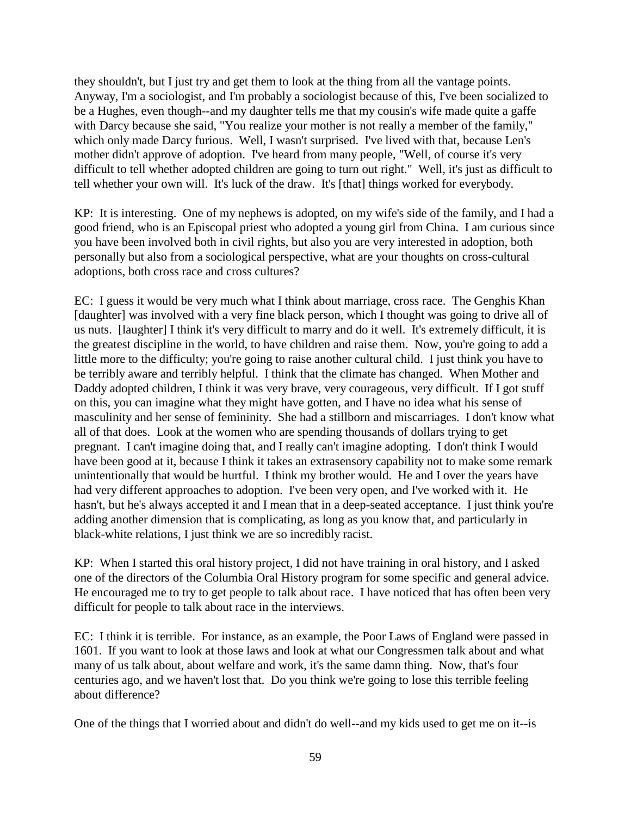they shouldn't, but I just try and get them to look at the thing from all the vantage points. Anyway, I'm a sociologist, and I'm probably a sociologist because of this, I've been socialized to be a Hughes, even though--and my daughter tells me that my cousin's wife made quite a gaffe with Darcy because she said, "You realize your mother is not really a member of the family," which only made Darcy furious. Well, I wasn't surprised. I've lived with that, because Len's mother didn't approve of adoption. I've heard from many people, "Well, of course it's very difficult to tell whether adopted children are going to turn out right." Well, it's just as difficult to tell whether your own will. It's luck of the draw. It's [that] things worked for everybody.

KP: It is interesting. One of my nephews is adopted, on my wife's side of the family, and I had a good friend, who is an Episcopal priest who adopted a young girl from China. I am curious since you have been involved both in civil rights, but also you are very interested in adoption, both personally but also from a sociological perspective, what are your thoughts on cross-cultural adoptions, both cross race and cross cultures?

EC: I guess it would be very much what I think about marriage, cross race. The Genghis Khan [daughter] was involved with a very fine black person, which I thought was going to drive all of us nuts. [laughter] I think it's very difficult to marry and do it well. It's extremely difficult, it is the greatest discipline in the world, to have children and raise them. Now, you're going to add a little more to the difficulty; you're going to raise another cultural child. I just think you have to be terribly aware and terribly helpful. I think that the climate has changed. When Mother and Daddy adopted children, I think it was very brave, very courageous, very difficult. If I got stuff on this, you can imagine what they might have gotten, and I have no idea what his sense of masculinity and her sense of femininity. She had a stillborn and miscarriages. I don't know what all of that does. Look at the women who are spending thousands of dollars trying to get pregnant. I can't imagine doing that, and I really can't imagine adopting. I don't think I would have been good at it, because I think it takes an extrasensory capability not to make some remark unintentionally that would be hurtful. I think my brother would. He and I over the years have had very different approaches to adoption. I've been very open, and I've worked with it. He hasn't, but he's always accepted it and I mean that in a deep-seated acceptance. I just think you're adding another dimension that is complicating, as long as you know that, and particularly in black-white relations, I just think we are so incredibly racist.

KP: When I started this oral history project, I did not have training in oral history, and I asked one of the directors of the Columbia Oral History program for some specific and general advice. He encouraged me to try to get people to talk about race. I have noticed that has often been very difficult for people to talk about race in the interviews.

EC: I think it is terrible. For instance, as an example, the Poor Laws of England were passed in 1601. If you want to look at those laws and look at what our Congressmen talk about and what many of us talk about, about welfare and work, it's the same damn thing. Now, that's four centuries ago, and we haven't lost that. Do you think we're going to lose this terrible feeling about difference?

One of the things that I worried about and didn't do well--and my kids used to get me on it--is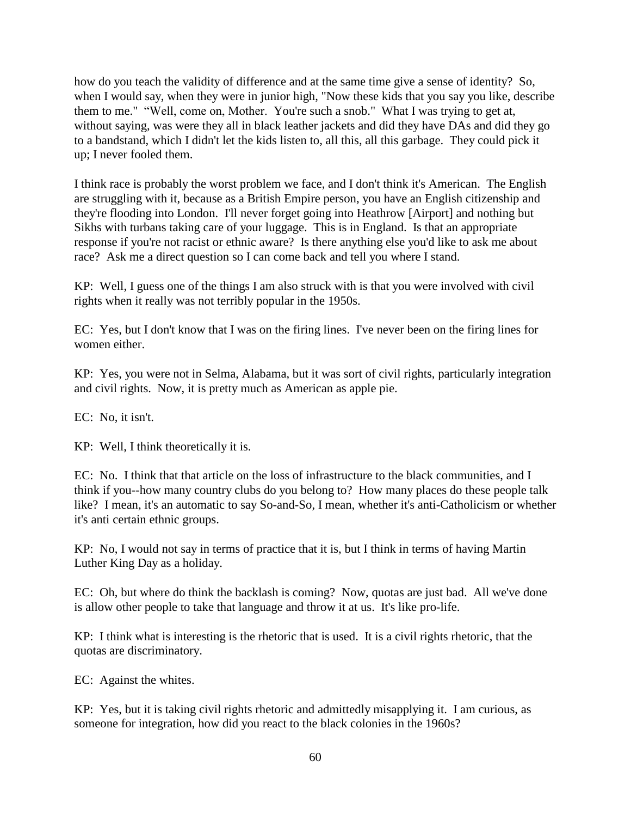how do you teach the validity of difference and at the same time give a sense of identity? So, when I would say, when they were in junior high, "Now these kids that you say you like, describe them to me." "Well, come on, Mother. You're such a snob." What I was trying to get at, without saying, was were they all in black leather jackets and did they have DAs and did they go to a bandstand, which I didn't let the kids listen to, all this, all this garbage. They could pick it up; I never fooled them.

I think race is probably the worst problem we face, and I don't think it's American. The English are struggling with it, because as a British Empire person, you have an English citizenship and they're flooding into London. I'll never forget going into Heathrow [Airport] and nothing but Sikhs with turbans taking care of your luggage. This is in England. Is that an appropriate response if you're not racist or ethnic aware? Is there anything else you'd like to ask me about race? Ask me a direct question so I can come back and tell you where I stand.

KP: Well, I guess one of the things I am also struck with is that you were involved with civil rights when it really was not terribly popular in the 1950s.

EC: Yes, but I don't know that I was on the firing lines. I've never been on the firing lines for women either.

KP: Yes, you were not in Selma, Alabama, but it was sort of civil rights, particularly integration and civil rights. Now, it is pretty much as American as apple pie.

EC: No, it isn't.

KP: Well, I think theoretically it is.

EC: No. I think that that article on the loss of infrastructure to the black communities, and I think if you--how many country clubs do you belong to? How many places do these people talk like? I mean, it's an automatic to say So-and-So, I mean, whether it's anti-Catholicism or whether it's anti certain ethnic groups.

KP: No, I would not say in terms of practice that it is, but I think in terms of having Martin Luther King Day as a holiday.

EC: Oh, but where do think the backlash is coming? Now, quotas are just bad. All we've done is allow other people to take that language and throw it at us. It's like pro-life.

KP: I think what is interesting is the rhetoric that is used. It is a civil rights rhetoric, that the quotas are discriminatory.

EC: Against the whites.

KP: Yes, but it is taking civil rights rhetoric and admittedly misapplying it. I am curious, as someone for integration, how did you react to the black colonies in the 1960s?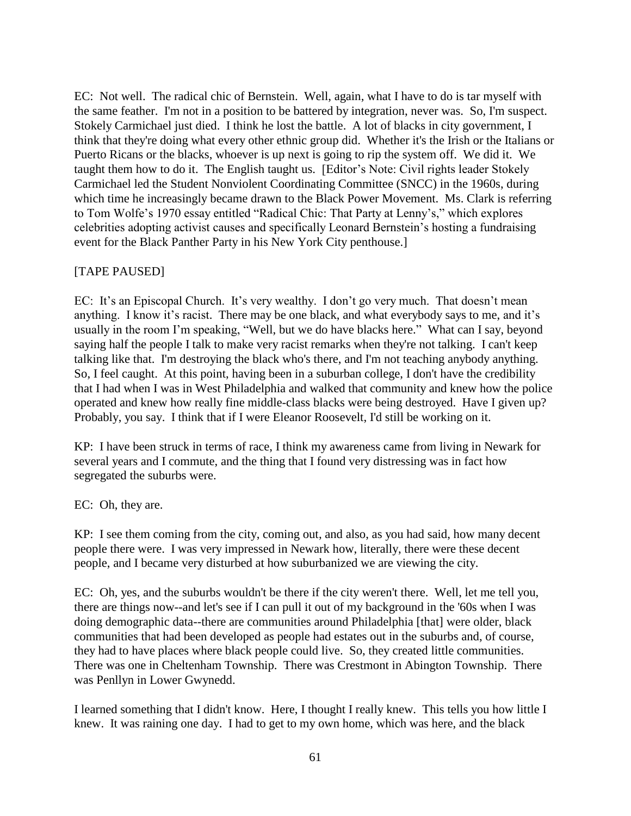EC: Not well. The radical chic of Bernstein. Well, again, what I have to do is tar myself with the same feather. I'm not in a position to be battered by integration, never was. So, I'm suspect. Stokely Carmichael just died. I think he lost the battle. A lot of blacks in city government, I think that they're doing what every other ethnic group did. Whether it's the Irish or the Italians or Puerto Ricans or the blacks, whoever is up next is going to rip the system off. We did it. We taught them how to do it. The English taught us. [Editor's Note: Civil rights leader Stokely Carmichael led the Student Nonviolent Coordinating Committee (SNCC) in the 1960s, during which time he increasingly became drawn to the Black Power Movement. Ms. Clark is referring to Tom Wolfe's 1970 essay entitled "Radical Chic: That Party at Lenny's," which explores celebrities adopting activist causes and specifically Leonard Bernstein's hosting a fundraising event for the Black Panther Party in his New York City penthouse.]

## [TAPE PAUSED]

EC: It's an Episcopal Church. It's very wealthy. I don't go very much. That doesn't mean anything. I know it's racist. There may be one black, and what everybody says to me, and it's usually in the room I'm speaking, "Well, but we do have blacks here." What can I say, beyond saying half the people I talk to make very racist remarks when they're not talking. I can't keep talking like that. I'm destroying the black who's there, and I'm not teaching anybody anything. So, I feel caught. At this point, having been in a suburban college, I don't have the credibility that I had when I was in West Philadelphia and walked that community and knew how the police operated and knew how really fine middle-class blacks were being destroyed. Have I given up? Probably, you say. I think that if I were Eleanor Roosevelt, I'd still be working on it.

KP: I have been struck in terms of race, I think my awareness came from living in Newark for several years and I commute, and the thing that I found very distressing was in fact how segregated the suburbs were.

## EC: Oh, they are.

KP: I see them coming from the city, coming out, and also, as you had said, how many decent people there were. I was very impressed in Newark how, literally, there were these decent people, and I became very disturbed at how suburbanized we are viewing the city.

EC: Oh, yes, and the suburbs wouldn't be there if the city weren't there. Well, let me tell you, there are things now--and let's see if I can pull it out of my background in the '60s when I was doing demographic data--there are communities around Philadelphia [that] were older, black communities that had been developed as people had estates out in the suburbs and, of course, they had to have places where black people could live. So, they created little communities. There was one in Cheltenham Township. There was Crestmont in Abington Township. There was Penllyn in Lower Gwynedd.

I learned something that I didn't know. Here, I thought I really knew. This tells you how little I knew. It was raining one day. I had to get to my own home, which was here, and the black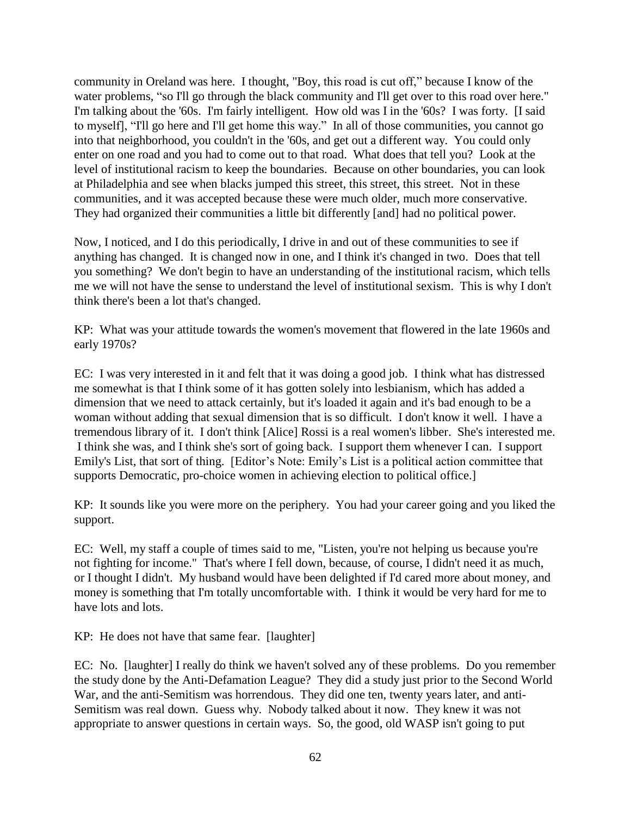community in Oreland was here. I thought, "Boy, this road is cut off," because I know of the water problems, "so I'll go through the black community and I'll get over to this road over here." I'm talking about the '60s. I'm fairly intelligent. How old was I in the '60s? I was forty. [I said to myself], "I'll go here and I'll get home this way." In all of those communities, you cannot go into that neighborhood, you couldn't in the '60s, and get out a different way. You could only enter on one road and you had to come out to that road. What does that tell you? Look at the level of institutional racism to keep the boundaries. Because on other boundaries, you can look at Philadelphia and see when blacks jumped this street, this street, this street. Not in these communities, and it was accepted because these were much older, much more conservative. They had organized their communities a little bit differently [and] had no political power.

Now, I noticed, and I do this periodically, I drive in and out of these communities to see if anything has changed. It is changed now in one, and I think it's changed in two. Does that tell you something? We don't begin to have an understanding of the institutional racism, which tells me we will not have the sense to understand the level of institutional sexism. This is why I don't think there's been a lot that's changed.

KP: What was your attitude towards the women's movement that flowered in the late 1960s and early 1970s?

EC: I was very interested in it and felt that it was doing a good job. I think what has distressed me somewhat is that I think some of it has gotten solely into lesbianism, which has added a dimension that we need to attack certainly, but it's loaded it again and it's bad enough to be a woman without adding that sexual dimension that is so difficult. I don't know it well. I have a tremendous library of it. I don't think [Alice] Rossi is a real women's libber. She's interested me. I think she was, and I think she's sort of going back. I support them whenever I can. I support Emily's List, that sort of thing. [Editor's Note: Emily's List is a political action committee that supports Democratic, pro-choice women in achieving election to political office.]

KP: It sounds like you were more on the periphery. You had your career going and you liked the support.

EC: Well, my staff a couple of times said to me, "Listen, you're not helping us because you're not fighting for income." That's where I fell down, because, of course, I didn't need it as much, or I thought I didn't. My husband would have been delighted if I'd cared more about money, and money is something that I'm totally uncomfortable with. I think it would be very hard for me to have lots and lots.

KP: He does not have that same fear. [laughter]

EC: No. [laughter] I really do think we haven't solved any of these problems. Do you remember the study done by the Anti-Defamation League? They did a study just prior to the Second World War, and the anti-Semitism was horrendous. They did one ten, twenty years later, and anti-Semitism was real down. Guess why. Nobody talked about it now. They knew it was not appropriate to answer questions in certain ways. So, the good, old WASP isn't going to put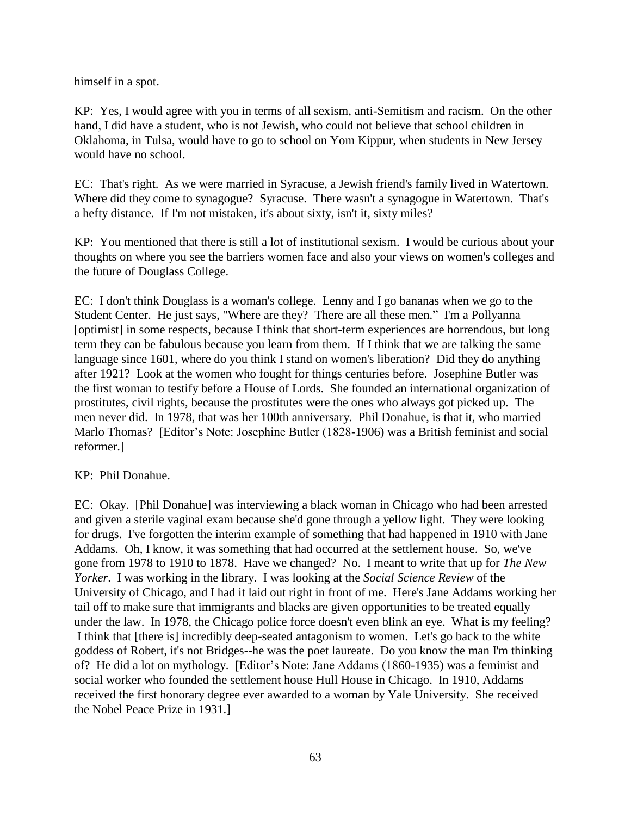himself in a spot.

KP: Yes, I would agree with you in terms of all sexism, anti-Semitism and racism. On the other hand, I did have a student, who is not Jewish, who could not believe that school children in Oklahoma, in Tulsa, would have to go to school on Yom Kippur, when students in New Jersey would have no school.

EC: That's right. As we were married in Syracuse, a Jewish friend's family lived in Watertown. Where did they come to synagogue? Syracuse. There wasn't a synagogue in Watertown. That's a hefty distance. If I'm not mistaken, it's about sixty, isn't it, sixty miles?

KP: You mentioned that there is still a lot of institutional sexism. I would be curious about your thoughts on where you see the barriers women face and also your views on women's colleges and the future of Douglass College.

EC: I don't think Douglass is a woman's college. Lenny and I go bananas when we go to the Student Center. He just says, "Where are they? There are all these men." I'm a Pollyanna [optimist] in some respects, because I think that short-term experiences are horrendous, but long term they can be fabulous because you learn from them. If I think that we are talking the same language since 1601, where do you think I stand on women's liberation? Did they do anything after 1921? Look at the women who fought for things centuries before. Josephine Butler was the first woman to testify before a House of Lords. She founded an international organization of prostitutes, civil rights, because the prostitutes were the ones who always got picked up. The men never did. In 1978, that was her 100th anniversary. Phil Donahue, is that it, who married Marlo Thomas? [Editor's Note: Josephine Butler (1828-1906) was a British feminist and social reformer.]

## KP: Phil Donahue.

EC: Okay. [Phil Donahue] was interviewing a black woman in Chicago who had been arrested and given a sterile vaginal exam because she'd gone through a yellow light. They were looking for drugs. I've forgotten the interim example of something that had happened in 1910 with Jane Addams. Oh, I know, it was something that had occurred at the settlement house. So, we've gone from 1978 to 1910 to 1878. Have we changed? No. I meant to write that up for *The New Yorker*. I was working in the library. I was looking at the *Social Science Review* of the University of Chicago, and I had it laid out right in front of me. Here's Jane Addams working her tail off to make sure that immigrants and blacks are given opportunities to be treated equally under the law. In 1978, the Chicago police force doesn't even blink an eye. What is my feeling? I think that [there is] incredibly deep-seated antagonism to women. Let's go back to the white goddess of Robert, it's not Bridges--he was the poet laureate. Do you know the man I'm thinking of? He did a lot on mythology. [Editor's Note: Jane Addams (1860-1935) was a feminist and social worker who founded the settlement house Hull House in Chicago. In 1910, Addams received the first honorary degree ever awarded to a woman by Yale University. She received the Nobel Peace Prize in 1931.]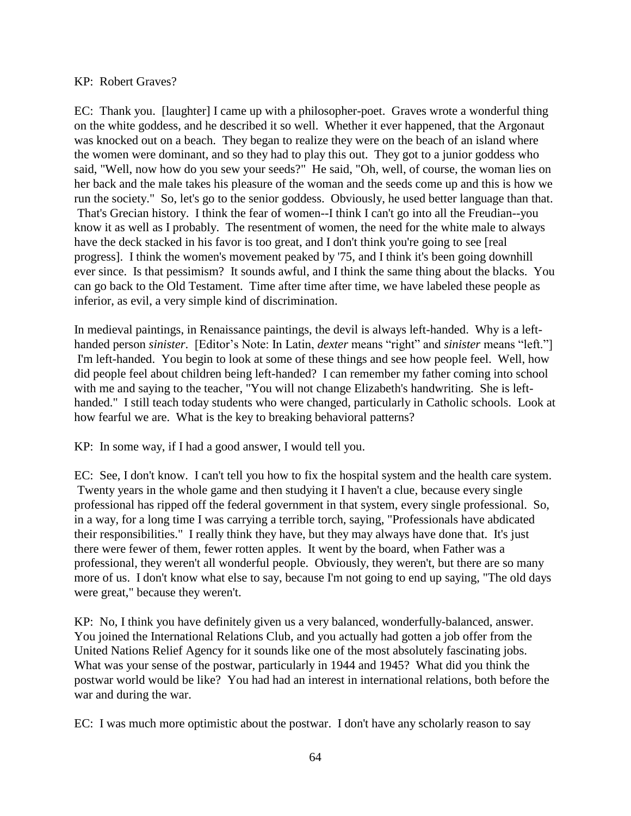## KP: Robert Graves?

EC: Thank you. [laughter] I came up with a philosopher-poet. Graves wrote a wonderful thing on the white goddess, and he described it so well. Whether it ever happened, that the Argonaut was knocked out on a beach. They began to realize they were on the beach of an island where the women were dominant, and so they had to play this out. They got to a junior goddess who said, "Well, now how do you sew your seeds?" He said, "Oh, well, of course, the woman lies on her back and the male takes his pleasure of the woman and the seeds come up and this is how we run the society." So, let's go to the senior goddess. Obviously, he used better language than that. That's Grecian history. I think the fear of women--I think I can't go into all the Freudian--you know it as well as I probably. The resentment of women, the need for the white male to always have the deck stacked in his favor is too great, and I don't think you're going to see [real progress]. I think the women's movement peaked by '75, and I think it's been going downhill ever since. Is that pessimism? It sounds awful, and I think the same thing about the blacks. You can go back to the Old Testament. Time after time after time, we have labeled these people as inferior, as evil, a very simple kind of discrimination.

In medieval paintings, in Renaissance paintings, the devil is always left-handed. Why is a lefthanded person *sinister*. [Editor's Note: In Latin, *dexter* means "right" and *sinister* means "left."] I'm left-handed. You begin to look at some of these things and see how people feel. Well, how did people feel about children being left-handed? I can remember my father coming into school with me and saying to the teacher, "You will not change Elizabeth's handwriting. She is lefthanded." I still teach today students who were changed, particularly in Catholic schools. Look at how fearful we are. What is the key to breaking behavioral patterns?

KP: In some way, if I had a good answer, I would tell you.

EC: See, I don't know. I can't tell you how to fix the hospital system and the health care system. Twenty years in the whole game and then studying it I haven't a clue, because every single professional has ripped off the federal government in that system, every single professional. So, in a way, for a long time I was carrying a terrible torch, saying, "Professionals have abdicated their responsibilities." I really think they have, but they may always have done that. It's just there were fewer of them, fewer rotten apples. It went by the board, when Father was a professional, they weren't all wonderful people. Obviously, they weren't, but there are so many more of us. I don't know what else to say, because I'm not going to end up saying, "The old days were great," because they weren't.

KP: No, I think you have definitely given us a very balanced, wonderfully-balanced, answer. You joined the International Relations Club, and you actually had gotten a job offer from the United Nations Relief Agency for it sounds like one of the most absolutely fascinating jobs. What was your sense of the postwar, particularly in 1944 and 1945? What did you think the postwar world would be like? You had had an interest in international relations, both before the war and during the war.

EC: I was much more optimistic about the postwar. I don't have any scholarly reason to say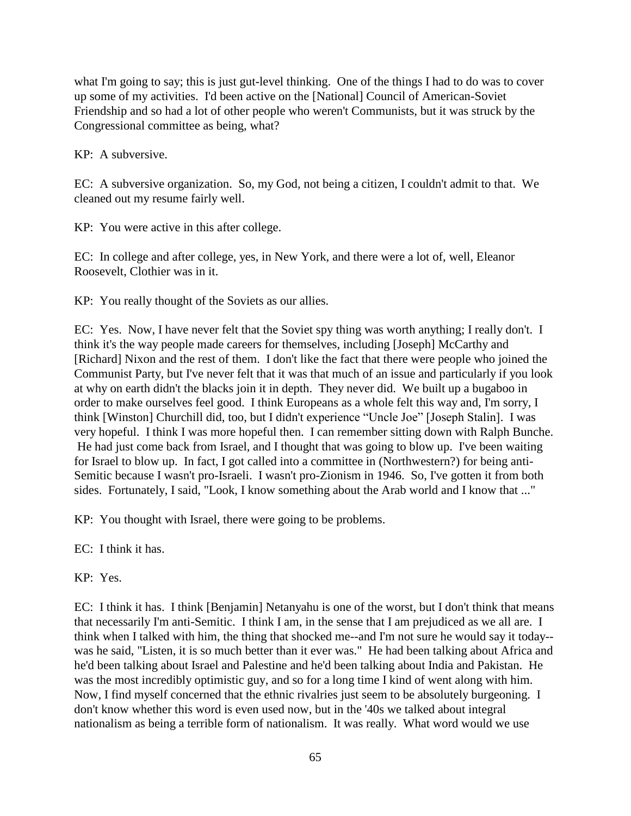what I'm going to say; this is just gut-level thinking. One of the things I had to do was to cover up some of my activities. I'd been active on the [National] Council of American-Soviet Friendship and so had a lot of other people who weren't Communists, but it was struck by the Congressional committee as being, what?

KP: A subversive.

EC: A subversive organization. So, my God, not being a citizen, I couldn't admit to that. We cleaned out my resume fairly well.

KP: You were active in this after college.

EC: In college and after college, yes, in New York, and there were a lot of, well, Eleanor Roosevelt, Clothier was in it.

KP: You really thought of the Soviets as our allies.

EC: Yes. Now, I have never felt that the Soviet spy thing was worth anything; I really don't. I think it's the way people made careers for themselves, including [Joseph] McCarthy and [Richard] Nixon and the rest of them. I don't like the fact that there were people who joined the Communist Party, but I've never felt that it was that much of an issue and particularly if you look at why on earth didn't the blacks join it in depth. They never did. We built up a bugaboo in order to make ourselves feel good. I think Europeans as a whole felt this way and, I'm sorry, I think [Winston] Churchill did, too, but I didn't experience "Uncle Joe" [Joseph Stalin]. I was very hopeful. I think I was more hopeful then. I can remember sitting down with Ralph Bunche. He had just come back from Israel, and I thought that was going to blow up. I've been waiting for Israel to blow up. In fact, I got called into a committee in (Northwestern?) for being anti-Semitic because I wasn't pro-Israeli. I wasn't pro-Zionism in 1946. So, I've gotten it from both sides. Fortunately, I said, "Look, I know something about the Arab world and I know that ..."

KP: You thought with Israel, there were going to be problems.

EC: I think it has.

KP: Yes.

EC: I think it has. I think [Benjamin] Netanyahu is one of the worst, but I don't think that means that necessarily I'm anti-Semitic. I think I am, in the sense that I am prejudiced as we all are. I think when I talked with him, the thing that shocked me--and I'm not sure he would say it today- was he said, "Listen, it is so much better than it ever was." He had been talking about Africa and he'd been talking about Israel and Palestine and he'd been talking about India and Pakistan. He was the most incredibly optimistic guy, and so for a long time I kind of went along with him. Now, I find myself concerned that the ethnic rivalries just seem to be absolutely burgeoning. I don't know whether this word is even used now, but in the '40s we talked about integral nationalism as being a terrible form of nationalism. It was really. What word would we use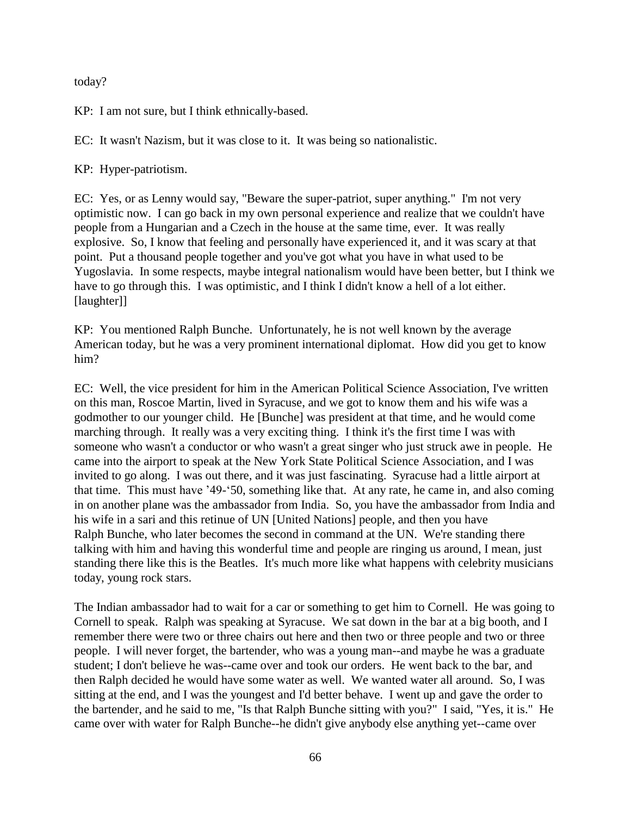today?

KP: I am not sure, but I think ethnically-based.

EC: It wasn't Nazism, but it was close to it. It was being so nationalistic.

KP: Hyper-patriotism.

EC: Yes, or as Lenny would say, "Beware the super-patriot, super anything." I'm not very optimistic now. I can go back in my own personal experience and realize that we couldn't have people from a Hungarian and a Czech in the house at the same time, ever. It was really explosive. So, I know that feeling and personally have experienced it, and it was scary at that point. Put a thousand people together and you've got what you have in what used to be Yugoslavia. In some respects, maybe integral nationalism would have been better, but I think we have to go through this. I was optimistic, and I think I didn't know a hell of a lot either. [laughter]]

KP: You mentioned Ralph Bunche. Unfortunately, he is not well known by the average American today, but he was a very prominent international diplomat. How did you get to know him?

EC: Well, the vice president for him in the American Political Science Association, I've written on this man, Roscoe Martin, lived in Syracuse, and we got to know them and his wife was a godmother to our younger child. He [Bunche] was president at that time, and he would come marching through. It really was a very exciting thing. I think it's the first time I was with someone who wasn't a conductor or who wasn't a great singer who just struck awe in people. He came into the airport to speak at the New York State Political Science Association, and I was invited to go along. I was out there, and it was just fascinating. Syracuse had a little airport at that time. This must have '49-'50, something like that. At any rate, he came in, and also coming in on another plane was the ambassador from India. So, you have the ambassador from India and his wife in a sari and this retinue of UN [United Nations] people, and then you have Ralph Bunche, who later becomes the second in command at the UN. We're standing there talking with him and having this wonderful time and people are ringing us around, I mean, just standing there like this is the Beatles. It's much more like what happens with celebrity musicians today, young rock stars.

The Indian ambassador had to wait for a car or something to get him to Cornell. He was going to Cornell to speak. Ralph was speaking at Syracuse. We sat down in the bar at a big booth, and I remember there were two or three chairs out here and then two or three people and two or three people. I will never forget, the bartender, who was a young man--and maybe he was a graduate student; I don't believe he was--came over and took our orders. He went back to the bar, and then Ralph decided he would have some water as well. We wanted water all around. So, I was sitting at the end, and I was the youngest and I'd better behave. I went up and gave the order to the bartender, and he said to me, "Is that Ralph Bunche sitting with you?" I said, "Yes, it is." He came over with water for Ralph Bunche--he didn't give anybody else anything yet--came over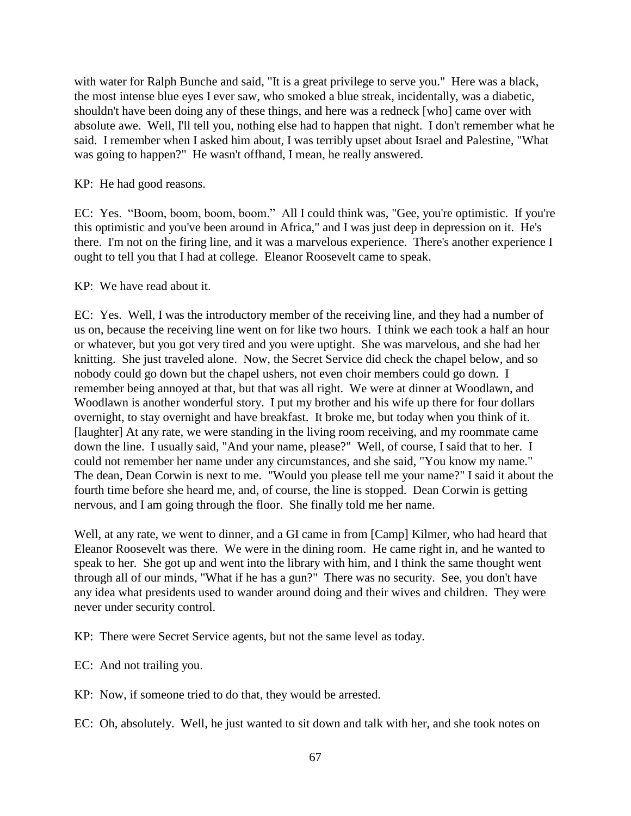with water for Ralph Bunche and said, "It is a great privilege to serve you." Here was a black, the most intense blue eyes I ever saw, who smoked a blue streak, incidentally, was a diabetic, shouldn't have been doing any of these things, and here was a redneck [who] came over with absolute awe. Well, I'll tell you, nothing else had to happen that night. I don't remember what he said. I remember when I asked him about, I was terribly upset about Israel and Palestine, "What was going to happen?" He wasn't offhand, I mean, he really answered.

KP: He had good reasons.

EC: Yes. "Boom, boom, boom, boom." All I could think was, "Gee, you're optimistic. If you're this optimistic and you've been around in Africa," and I was just deep in depression on it. He's there. I'm not on the firing line, and it was a marvelous experience. There's another experience I ought to tell you that I had at college. Eleanor Roosevelt came to speak.

KP: We have read about it.

EC: Yes. Well, I was the introductory member of the receiving line, and they had a number of us on, because the receiving line went on for like two hours. I think we each took a half an hour or whatever, but you got very tired and you were uptight. She was marvelous, and she had her knitting. She just traveled alone. Now, the Secret Service did check the chapel below, and so nobody could go down but the chapel ushers, not even choir members could go down. I remember being annoyed at that, but that was all right. We were at dinner at Woodlawn, and Woodlawn is another wonderful story. I put my brother and his wife up there for four dollars overnight, to stay overnight and have breakfast. It broke me, but today when you think of it. [laughter] At any rate, we were standing in the living room receiving, and my roommate came down the line. I usually said, "And your name, please?" Well, of course, I said that to her. I could not remember her name under any circumstances, and she said, "You know my name." The dean, Dean Corwin is next to me. "Would you please tell me your name?" I said it about the fourth time before she heard me, and, of course, the line is stopped. Dean Corwin is getting nervous, and I am going through the floor. She finally told me her name.

Well, at any rate, we went to dinner, and a GI came in from [Camp] Kilmer, who had heard that Eleanor Roosevelt was there. We were in the dining room. He came right in, and he wanted to speak to her. She got up and went into the library with him, and I think the same thought went through all of our minds, "What if he has a gun?" There was no security. See, you don't have any idea what presidents used to wander around doing and their wives and children. They were never under security control.

KP: There were Secret Service agents, but not the same level as today.

EC: And not trailing you.

KP: Now, if someone tried to do that, they would be arrested.

EC: Oh, absolutely. Well, he just wanted to sit down and talk with her, and she took notes on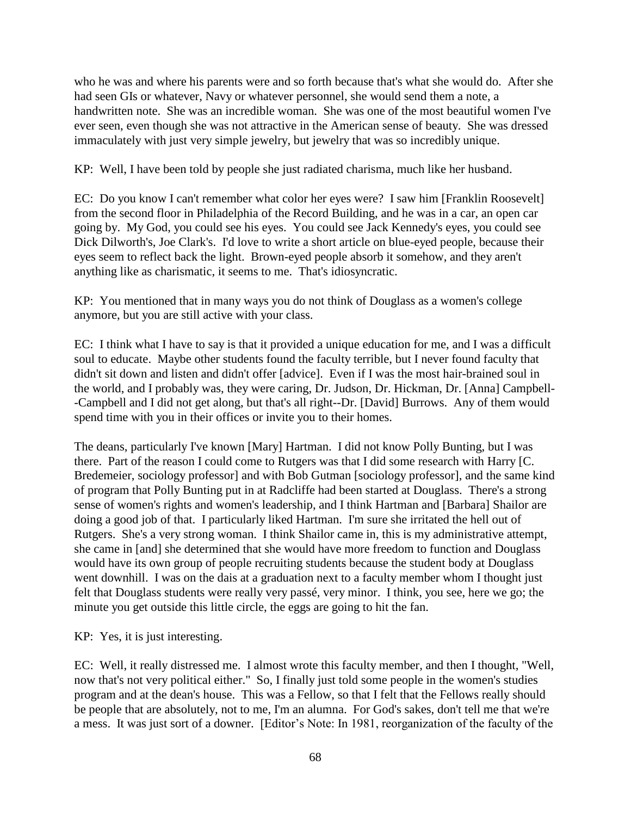who he was and where his parents were and so forth because that's what she would do. After she had seen GIs or whatever, Navy or whatever personnel, she would send them a note, a handwritten note. She was an incredible woman. She was one of the most beautiful women I've ever seen, even though she was not attractive in the American sense of beauty. She was dressed immaculately with just very simple jewelry, but jewelry that was so incredibly unique.

KP: Well, I have been told by people she just radiated charisma, much like her husband.

EC: Do you know I can't remember what color her eyes were? I saw him [Franklin Roosevelt] from the second floor in Philadelphia of the Record Building, and he was in a car, an open car going by. My God, you could see his eyes. You could see Jack Kennedy's eyes, you could see Dick Dilworth's, Joe Clark's. I'd love to write a short article on blue-eyed people, because their eyes seem to reflect back the light. Brown-eyed people absorb it somehow, and they aren't anything like as charismatic, it seems to me. That's idiosyncratic.

KP: You mentioned that in many ways you do not think of Douglass as a women's college anymore, but you are still active with your class.

EC: I think what I have to say is that it provided a unique education for me, and I was a difficult soul to educate. Maybe other students found the faculty terrible, but I never found faculty that didn't sit down and listen and didn't offer [advice]. Even if I was the most hair-brained soul in the world, and I probably was, they were caring, Dr. Judson, Dr. Hickman, Dr. [Anna] Campbell- -Campbell and I did not get along, but that's all right--Dr. [David] Burrows. Any of them would spend time with you in their offices or invite you to their homes.

The deans, particularly I've known [Mary] Hartman. I did not know Polly Bunting, but I was there. Part of the reason I could come to Rutgers was that I did some research with Harry [C. Bredemeier, sociology professor] and with Bob Gutman [sociology professor], and the same kind of program that Polly Bunting put in at Radcliffe had been started at Douglass. There's a strong sense of women's rights and women's leadership, and I think Hartman and [Barbara] Shailor are doing a good job of that. I particularly liked Hartman. I'm sure she irritated the hell out of Rutgers. She's a very strong woman. I think Shailor came in, this is my administrative attempt, she came in [and] she determined that she would have more freedom to function and Douglass would have its own group of people recruiting students because the student body at Douglass went downhill. I was on the dais at a graduation next to a faculty member whom I thought just felt that Douglass students were really very passé, very minor. I think, you see, here we go; the minute you get outside this little circle, the eggs are going to hit the fan.

KP: Yes, it is just interesting.

EC: Well, it really distressed me. I almost wrote this faculty member, and then I thought, "Well, now that's not very political either." So, I finally just told some people in the women's studies program and at the dean's house. This was a Fellow, so that I felt that the Fellows really should be people that are absolutely, not to me, I'm an alumna. For God's sakes, don't tell me that we're a mess. It was just sort of a downer. [Editor's Note: In 1981, reorganization of the faculty of the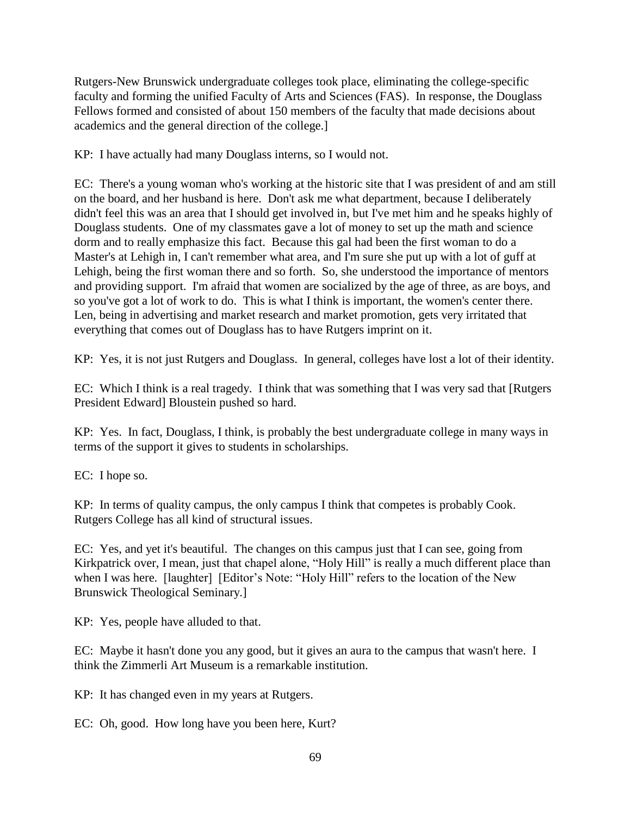Rutgers-New Brunswick undergraduate colleges took place, eliminating the college-specific faculty and forming the unified Faculty of Arts and Sciences (FAS). In response, the Douglass Fellows formed and consisted of about 150 members of the faculty that made decisions about academics and the general direction of the college.]

KP: I have actually had many Douglass interns, so I would not.

EC: There's a young woman who's working at the historic site that I was president of and am still on the board, and her husband is here. Don't ask me what department, because I deliberately didn't feel this was an area that I should get involved in, but I've met him and he speaks highly of Douglass students. One of my classmates gave a lot of money to set up the math and science dorm and to really emphasize this fact. Because this gal had been the first woman to do a Master's at Lehigh in, I can't remember what area, and I'm sure she put up with a lot of guff at Lehigh, being the first woman there and so forth. So, she understood the importance of mentors and providing support. I'm afraid that women are socialized by the age of three, as are boys, and so you've got a lot of work to do. This is what I think is important, the women's center there. Len, being in advertising and market research and market promotion, gets very irritated that everything that comes out of Douglass has to have Rutgers imprint on it.

KP: Yes, it is not just Rutgers and Douglass. In general, colleges have lost a lot of their identity.

EC: Which I think is a real tragedy. I think that was something that I was very sad that [Rutgers President Edward] Bloustein pushed so hard.

KP: Yes. In fact, Douglass, I think, is probably the best undergraduate college in many ways in terms of the support it gives to students in scholarships.

EC: I hope so.

KP: In terms of quality campus, the only campus I think that competes is probably Cook. Rutgers College has all kind of structural issues.

EC: Yes, and yet it's beautiful. The changes on this campus just that I can see, going from Kirkpatrick over, I mean, just that chapel alone, "Holy Hill" is really a much different place than when I was here. [laughter] [Editor's Note: "Holy Hill" refers to the location of the New Brunswick Theological Seminary.]

KP: Yes, people have alluded to that.

EC: Maybe it hasn't done you any good, but it gives an aura to the campus that wasn't here. I think the Zimmerli Art Museum is a remarkable institution.

KP: It has changed even in my years at Rutgers.

EC: Oh, good. How long have you been here, Kurt?